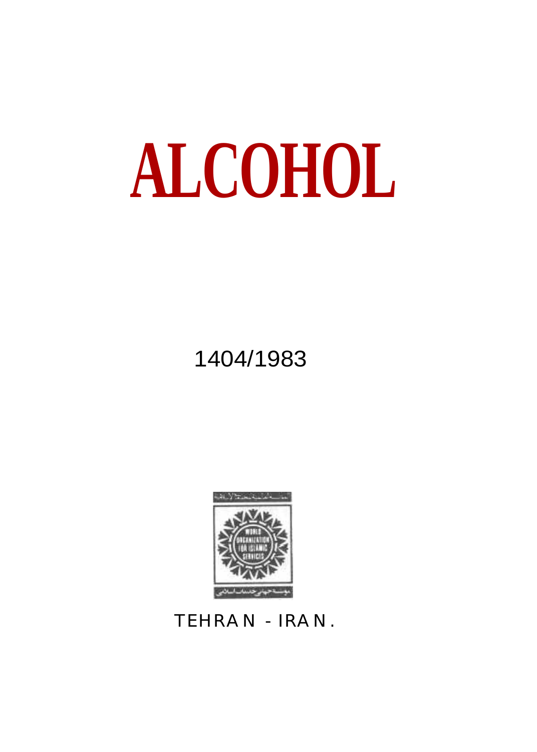# ALCOHOL **ALCOHOL**

1404/1983



TEHRAN - IRAN.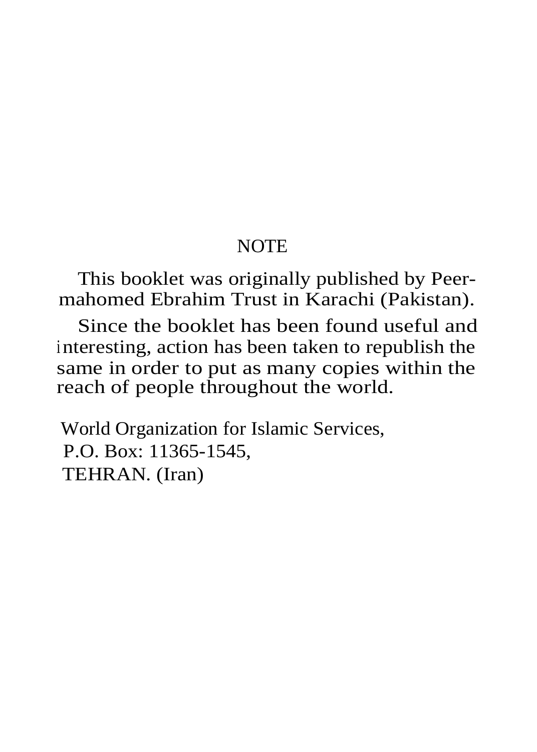#### **NOTE**

This booklet was originally published by Peermahomed Ebrahim Trust in Karachi (Pakistan).

Since the booklet has been found useful and interesting, action has been taken to republish the same in order to put as many copies within the reach of people throughout the world.

World Organization for Islamic Services, P.O. Box: 11365-1545, TEHRAN. (Iran)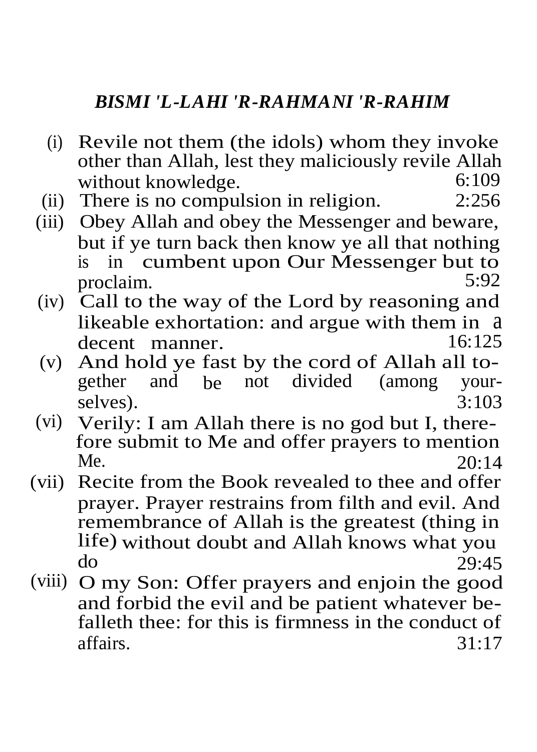#### *BISMI 'L-LAHI 'R-RAHMANI 'R-RAHIM*

- (i) Revile not them (the idols) whom they invoke other than Allah, lest they maliciously revile Allah without knowledge.  $6:109$ <br>There is no compulsion in religion  $2:256$
- $(ii)$  There is no compulsion in religion.
- (iii) Obey Allah and obey the Messenger and beware, but if ye turn back then know ye all that nothing<br>is in cumbent upon Our Messenger but to in cumbent upon Our Messenger but to<br>5:92 proclaim.
- (iv) Call to the way of the Lord by reasoning and likeable exhortation: and argue with them in a decent manner
- (v) And hold ye fast by the cord of Allah all to-<br>gether and be not divided (among vournot divided (among your-<br> $3:103$ selves).
- (vi) Verily: I am Allah there is no god but I, therefore submit to Me and offer prayers to mention<br>Me. 20:14 Me. 20:14
- (vii) Recite from the Book revealed to thee and offer prayer. Prayer restrains from filth and evil. And remembrance of Allah is the greatest (thing in life) without doubt and Allah knows what you<br>do  $29.45$  $\frac{29:45}{ }$
- (viii) O my Son: Offer prayers and enjoin the good and forbid the evil and be patient whatever befalleth thee: for this is firmness in the conduct of affairs. 31:17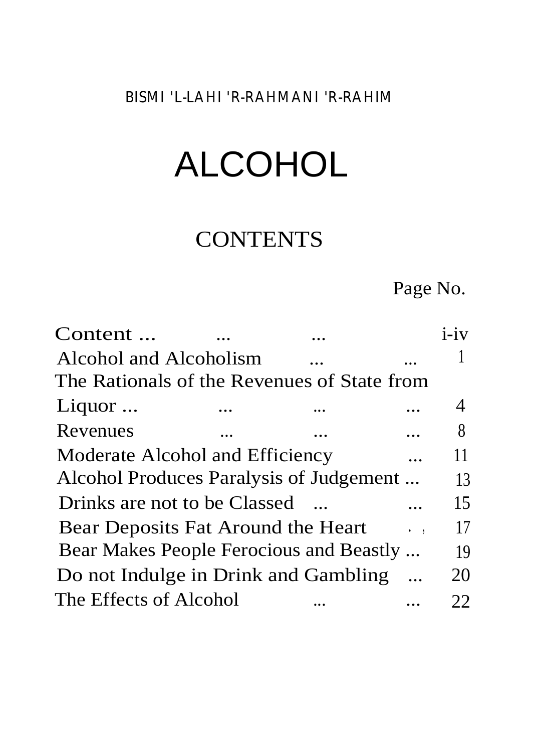*BISMI 'L-LAHI 'R-RAHMANI 'R-RAHIM*

### ALCOHOL

#### **CONTENTS**

Page No.

| Content                                     |  | $i - iv$ |
|---------------------------------------------|--|----------|
| Alcohol and Alcoholism                      |  |          |
| The Rationals of the Revenues of State from |  |          |
| Liquor                                      |  | 4        |
| Revenues                                    |  | 8        |
| Moderate Alcohol and Efficiency             |  | 11       |
| Alcohol Produces Paralysis of Judgement     |  | 13       |
| Drinks are not to be Classed                |  | 15       |
| Bear Deposits Fat Around the Heart          |  | 17       |
| Bear Makes People Ferocious and Beastly     |  | 19       |
| Do not Indulge in Drink and Gambling        |  | 20       |
| The Effects of Alcohol                      |  | 22       |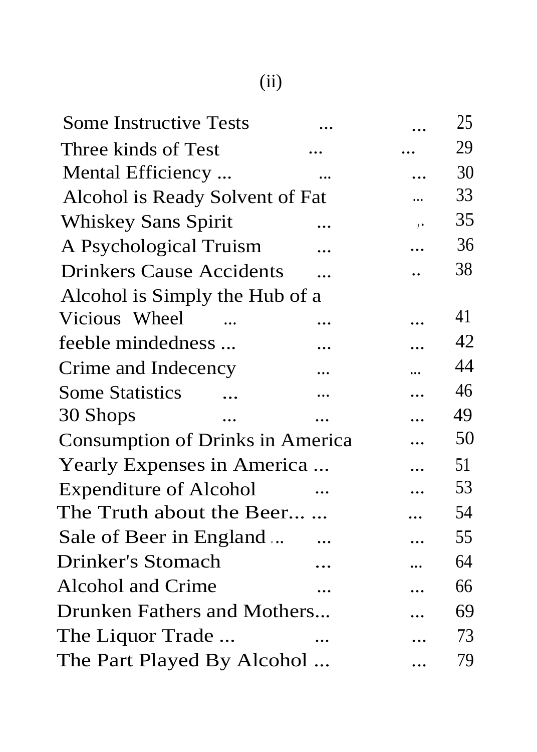| Some Instructive Tests           |           |                      | 25 |
|----------------------------------|-----------|----------------------|----|
| Three kinds of Test              |           |                      | 29 |
| Mental Efficiency                |           |                      | 30 |
| Alcohol is Ready Solvent of Fat  |           |                      | 33 |
| Whiskey Sans Spirit              |           | $\ddot{\phantom{a}}$ | 35 |
| A Psychological Truism           | $\ddotsc$ |                      | 36 |
| <b>Drinkers Cause Accidents</b>  |           | $\ddot{\phantom{a}}$ | 38 |
| Alcohol is Simply the Hub of a   |           |                      |    |
| Vicious Wheel                    | .         |                      | 41 |
| feeble mindedness                | .         |                      | 42 |
| Crime and Indecency              | .         | $\cdots$             | 44 |
| Some Statistics<br>$\ddotsc$     |           |                      | 46 |
| 30 Shops<br>$\dddotsc$           |           | $\ddotsc$            | 49 |
| Consumption of Drinks in America |           |                      | 50 |
| Yearly Expenses in America       |           | $\ddotsc$            | 51 |
| <b>Expenditure of Alcohol</b>    | $\ddotsc$ |                      | 53 |
| The Truth about the Beer         |           |                      | 54 |
| Sale of Beer in England          |           | $\ddotsc$            | 55 |
| Drinker's Stomach                |           | .                    | 64 |
| Alcohol and Crime                |           | $\cdots$             | 66 |
| Drunken Fathers and Mothers      |           |                      | 69 |
| The Liquor Trade                 | $\ddotsc$ |                      | 73 |
| The Part Played By Alcohol       |           |                      | 79 |
|                                  |           |                      |    |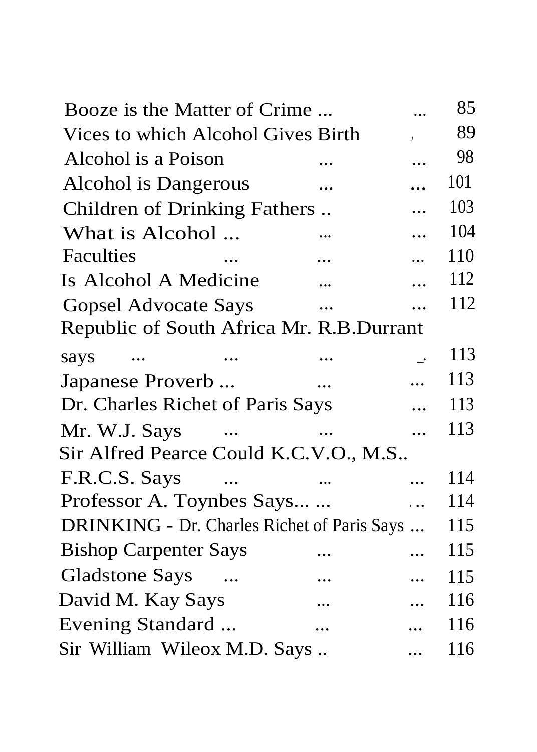| Booze is the Matter of Crime                |            |                       | 85  |
|---------------------------------------------|------------|-----------------------|-----|
| Vices to which Alcohol Gives Birth          |            |                       | 89  |
| Alcohol is a Poison                         |            |                       | 98  |
| Alcohol is Dangerous                        | $\ddotsc$  |                       | 101 |
| Children of Drinking Fathers                |            | $\ddotsc$             | 103 |
| What is Alcohol                             |            | $\ddotsc$             | 104 |
| <b>Faculties</b>                            |            | $\ddot{\phantom{a}}$  | 110 |
| Is Alcohol A Medicine                       |            |                       | 112 |
| Gopsel Advocate Says                        |            |                       | 112 |
| Republic of South Africa Mr. R.B.Durrant    |            |                       |     |
| says<br>$\cdots$                            |            |                       | 113 |
| Japanese Proverb                            | $\dddotsc$ |                       | 113 |
| Dr. Charles Richet of Paris Says            |            |                       | 113 |
| Mr. W.J. Says<br>$\sim$ $\sim$              |            | $\ddotsc$             | 113 |
| Sir Alfred Pearce Could K.C.V.O., M.S       |            |                       |     |
| F.R.C.S. Says                               |            | $\ddotsc$             | 114 |
| Professor A. Toynbes Says                   |            | $\dddot{\phantom{0}}$ | 114 |
| DRINKING - Dr. Charles Richet of Paris Says |            |                       | 115 |
| <b>Bishop Carpenter Says</b>                |            |                       | 115 |
| Gladstone Says                              |            |                       | 115 |
| David M. Kay Says                           |            |                       | 116 |
| Evening Standard                            | $\ddotsc$  |                       | 116 |
| Sir William Wileox M.D. Says                |            | $\cdots$              | 116 |
|                                             |            |                       |     |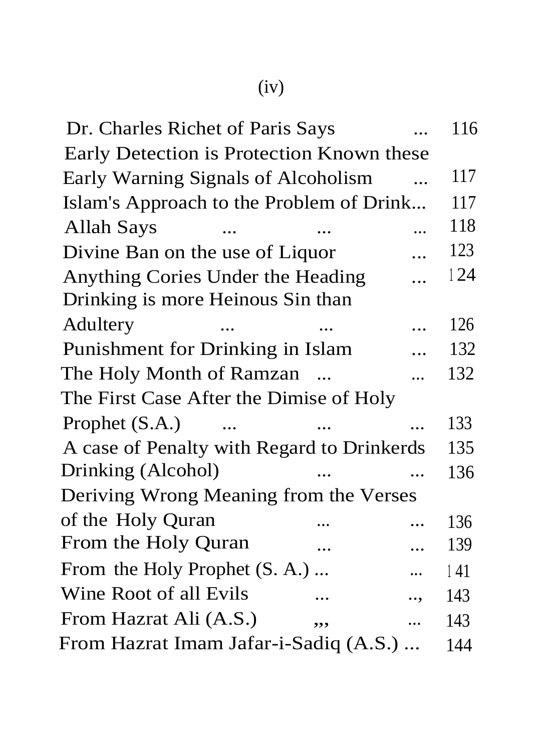| × |
|---|

| Dr. Charles Richet of Paris Says           |            | 116 |
|--------------------------------------------|------------|-----|
| Early Detection is Protection Known these  |            |     |
| Early Warning Signals of Alcoholism        |            | 117 |
| Islam's Approach to the Problem of Drink   |            | 117 |
| Allah Says                                 |            | 118 |
| Divine Ban on the use of Liquor            |            | 123 |
| Anything Cories Under the Heading          |            | 124 |
| Drinking is more Heinous Sin than          |            |     |
| Adultery                                   |            | 126 |
| Punishment for Drinking in Islam           |            | 132 |
| The Holy Month of Ramzan                   | $\dddotsc$ | 132 |
| The First Case After the Dimise of Holy    |            |     |
| Prophet (S.A.)<br>$\dddotsc$               |            | 133 |
| A case of Penalty with Regard to Drinkerds |            | 135 |
| Drinking (Alcohol)                         | $\ddotsc$  | 136 |
| Deriving Wrong Meaning from the Verses     |            |     |
| of the Holy Quran                          | .          | 136 |
| From the Holy Quran<br>.                   | $\cdots$   | 139 |
| From the Holy Prophet (S. A.)              |            | 141 |
| Wine Root of all Evils<br>.                |            | 143 |
| From Hazrat Ali (A.S.)<br>,,,              | $\cdots$   | 143 |
| From Hazrat Imam Jafar-i-Sadiq (A.S.)      |            | 144 |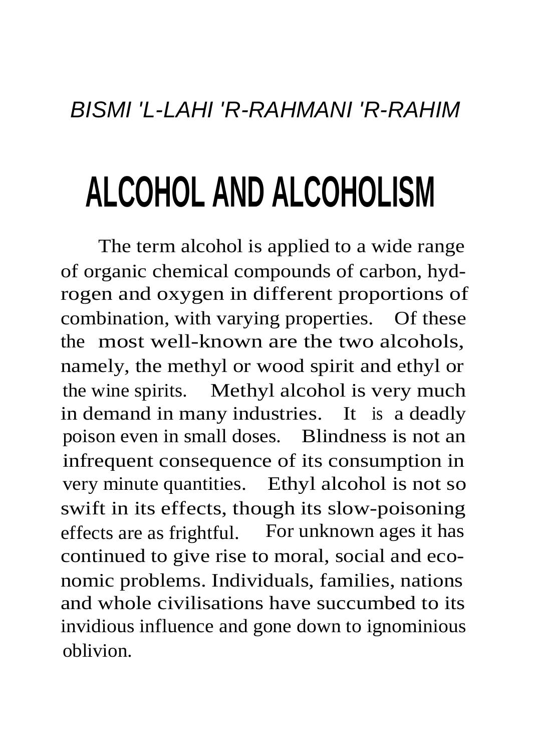## **ALCOHOL AND ALCOHOLISM**

The term alcohol is applied to a wide range of organic chemical compounds of carbon, hydrogen and oxygen in different proportions of combination, with varying properties. Of these the most well-known are the two alcohols, namely, the methyl or wood spirit and ethyl or the wine spirits. Methyl alcohol is very much in demand in many industries. It is a deadly poison even in small doses. Blindness is not an infrequent consequence of its consumption in very minute quantities. Ethyl alcohol is not so swift in its effects, though its slow-poisoning effects are as frightful. For unknown ages it has continued to give rise to moral, social and economic problems. Individuals, families, nations and whole civilisations have succumbed to its invidious influence and gone down to ignominious oblivion.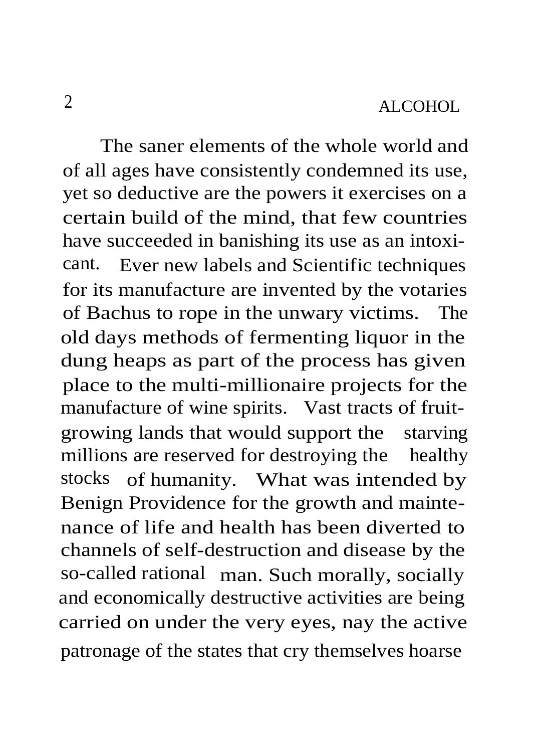The saner elements of the whole world and of all ages have consistently condemned its use, yet so deductive are the powers it exercises on a certain build of the mind, that few countries have succeeded in banishing its use as an intoxicant. Ever new labels and Scientific techniques for its manufacture are invented by the votaries of Bachus to rope in the unwary victims. The old days methods of fermenting liquor in the dung heaps as part of the process has given place to the multi-millionaire projects for the manufacture of wine spirits. Vast tracts of fruitgrowing lands that would support the starving millions are reserved for destroying the healthy stocks of humanity. What was intended by Benign Providence for the growth and maintenance of life and health has been diverted to channels of self-destruction and disease by the so-called rational man. Such morally, socially and economically destructive activities are being carried on under the very eyes, nay the active patronage of the states that cry themselves hoarse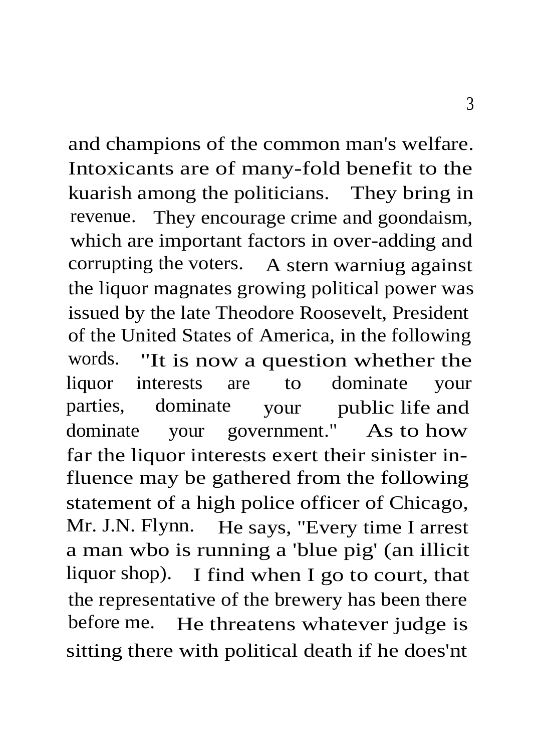and champions of the common man's welfare. Intoxicants are of many-fold benefit to the kuarish among the politicians. They bring in revenue. They encourage crime and goondaism, which are important factors in over-adding and corrupting the voters. A stern warniug against the liquor magnates growing political power was issued by the late Theodore Roosevelt, President of the United States of America, in the following words. "It is now a question whether the liquor interests are to dominate your parties, dominate your public life and dominate your government." As to how far the liquor interests exert their sinister influence may be gathered from the following statement of a high police officer of Chicago, Mr. J.N. Flynn. He says, "Every time I arrest a man wbo is running a 'blue pig' (an illicit liquor shop). I find when I go to court, that the representative of the brewery has been there before me. He threatens whatever judge is sitting there with political death if he does'nt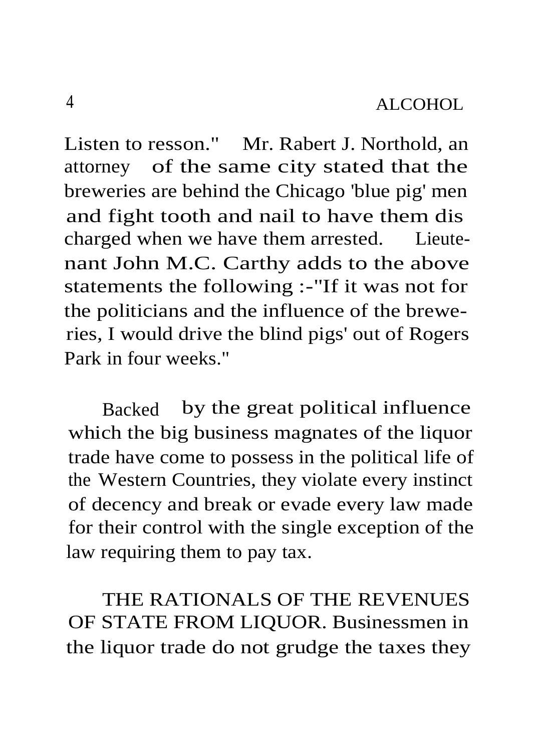Listen to resson." Mr. Rabert J. Northold, an attorney of the same city stated that the breweries are behind the Chicago 'blue pig' men and fight tooth and nail to have them dis charged when we have them arrested. Lieutenant John M.C. Carthy adds to the above statements the following :-"If it was not for the politicians and the influence of the breweries, I would drive the blind pigs' out of Rogers Park in four weeks."

Backed by the great political influence which the big business magnates of the liquor trade have come to possess in the political life of the Western Countries, they violate every instinct of decency and break or evade every law made for their control with the single exception of the law requiring them to pay tax.

THE RATIONALS OF THE REVENUES OF STATE FROM LIQUOR. Businessmen in the liquor trade do not grudge the taxes they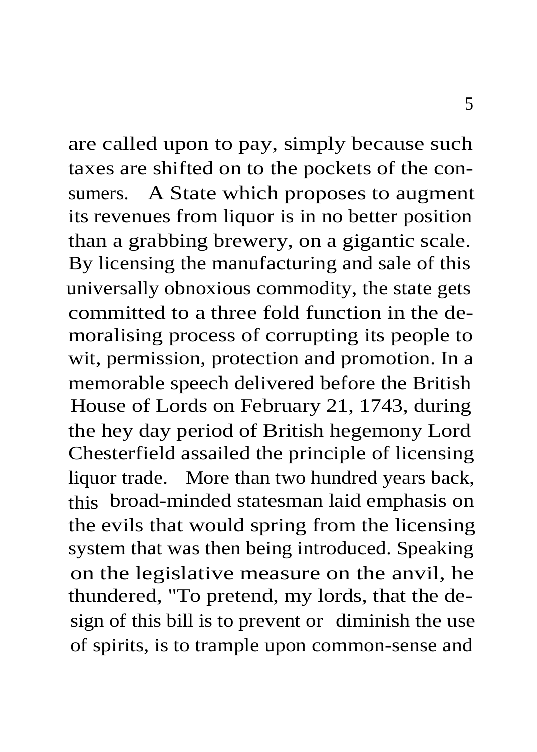are called upon to pay, simply because such taxes are shifted on to the pockets of the consumers. A State which proposes to augment its revenues from liquor is in no better position than a grabbing brewery, on a gigantic scale. By licensing the manufacturing and sale of this universally obnoxious commodity, the state gets committed to a three fold function in the demoralising process of corrupting its people to wit, permission, protection and promotion. In a memorable speech delivered before the British House of Lords on February 21, 1743, during the hey day period of British hegemony Lord Chesterfield assailed the principle of licensing liquor trade. More than two hundred years back, this broad-minded statesman laid emphasis on the evils that would spring from the licensing system that was then being introduced. Speaking on the legislative measure on the anvil, he thundered, "To pretend, my lords, that the design of this bill is to prevent or diminish the use of spirits, is to trample upon common-sense and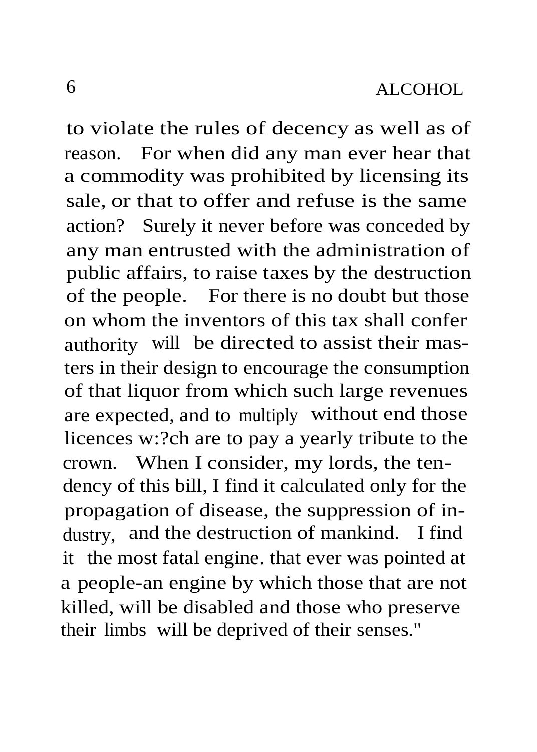to violate the rules of decency as well as of reason. For when did any man ever hear that a commodity was prohibited by licensing its sale, or that to offer and refuse is the same action? Surely it never before was conceded by any man entrusted with the administration of public affairs, to raise taxes by the destruction of the people. For there is no doubt but those on whom the inventors of this tax shall confer authority will be directed to assist their masters in their design to encourage the consumption of that liquor from which such large revenues are expected, and to multiply without end those licences w:?ch are to pay a yearly tribute to the crown. When I consider, my lords, the tendency of this bill, I find it calculated only for the propagation of disease, the suppression of industry, and the destruction of mankind. I find it the most fatal engine. that ever was pointed at a people-an engine by which those that are not killed, will be disabled and those who preserve their limbs will be deprived of their senses."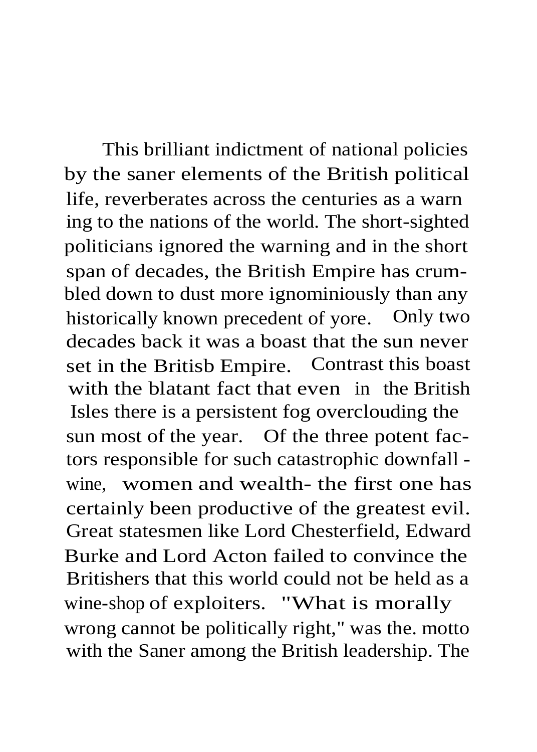This brilliant indictment of national policies by the saner elements of the British political life, reverberates across the centuries as a warn ing to the nations of the world. The short-sighted politicians ignored the warning and in the short span of decades, the British Empire has crumbled down to dust more ignominiously than any historically known precedent of yore. Only two decades back it was a boast that the sun never set in the Britisb Empire. Contrast this boast with the blatant fact that even in the British Isles there is a persistent fog overclouding the sun most of the year. Of the three potent factors responsible for such catastrophic downfall wine, women and wealth- the first one has certainly been productive of the greatest evil. Great statesmen like Lord Chesterfield, Edward Burke and Lord Acton failed to convince the Britishers that this world could not be held as a wine-shop of exploiters. "What is morally wrong cannot be politically right," was the. motto with the Saner among the British leadership. The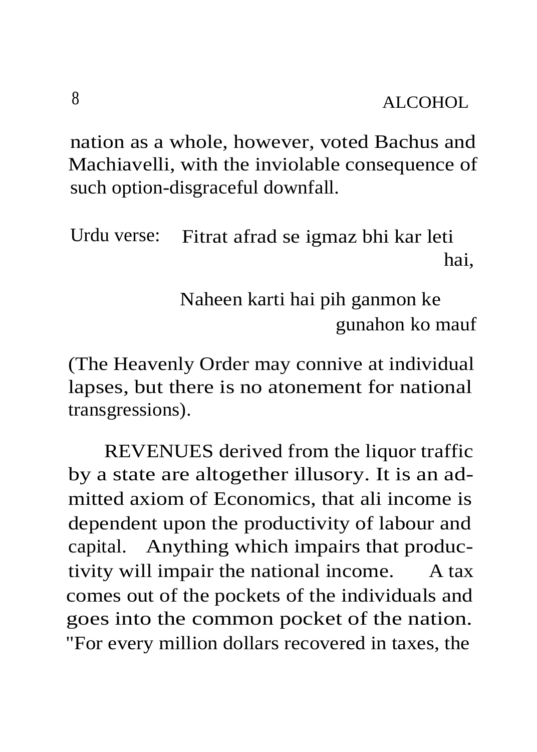nation as a whole, however, voted Bachus and Machiavelli, with the inviolable consequence of such option-disgraceful downfall.

Urdu verse: Fitrat afrad se igmaz bhi kar leti hai,

> Naheen karti hai pih ganmon ke gunahon ko mauf

(The Heavenly Order may connive at individual lapses, but there is no atonement for national transgressions).

REVENUES derived from the liquor traffic by a state are altogether illusory. It is an admitted axiom of Economics, that ali income is dependent upon the productivity of labour and capital. Anything which impairs that productivity will impair the national income. A tax comes out of the pockets of the individuals and goes into the common pocket of the nation. "For every million dollars recovered in taxes, the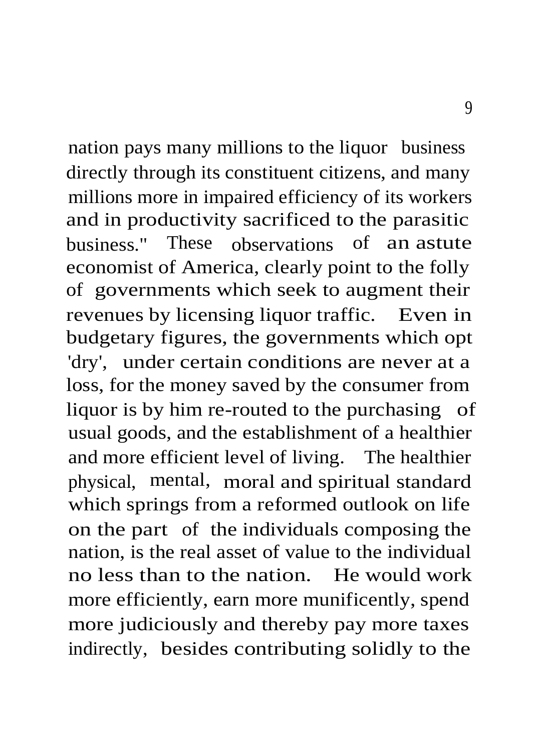nation pays many millions to the liquor business directly through its constituent citizens, and many millions more in impaired efficiency of its workers and in productivity sacrificed to the parasitic business." These observations of an astute economist of America, clearly point to the folly of governments which seek to augment their revenues by licensing liquor traffic. Even in budgetary figures, the governments which opt 'dry', under certain conditions are never at a loss, for the money saved by the consumer from liquor is by him re-routed to the purchasing of usual goods, and the establishment of a healthier and more efficient level of living. The healthier physical, mental, moral and spiritual standard which springs from a reformed outlook on life on the part of the individuals composing the nation, is the real asset of value to the individual no less than to the nation. He would work more efficiently, earn more munificently, spend more judiciously and thereby pay more taxes indirectly, besides contributing solidly to the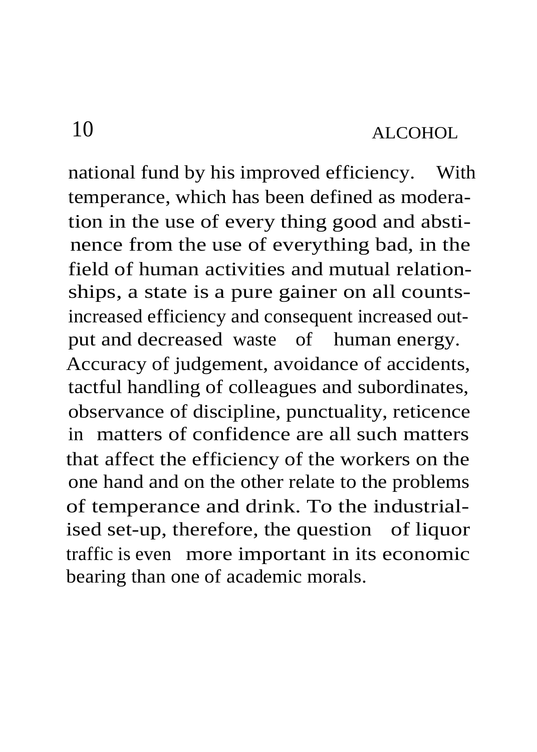national fund by his improved efficiency. With temperance, which has been defined as moderation in the use of every thing good and abstinence from the use of everything bad, in the field of human activities and mutual relationships, a state is a pure gainer on all countsincreased efficiency and consequent increased output and decreased waste of human energy. Accuracy of judgement, avoidance of accidents, tactful handling of colleagues and subordinates, observance of discipline, punctuality, reticence in matters of confidence are all such matters that affect the efficiency of the workers on the one hand and on the other relate to the problems of temperance and drink. To the industrialised set-up, therefore, the question of liquor traffic is even more important in its economic bearing than one of academic morals.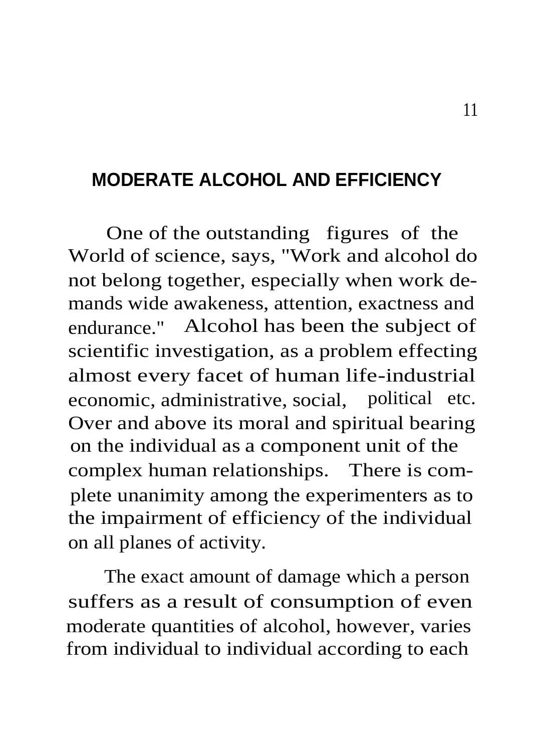#### **MODERATE ALCOHOL AND EFFICIENCY**

One of the outstanding figures of the World of science, says, "Work and alcohol do not belong together, especially when work demands wide awakeness, attention, exactness and endurance." Alcohol has been the subject of scientific investigation, as a problem effecting almost every facet of human life-industrial economic, administrative, social, political etc. Over and above its moral and spiritual bearing on the individual as a component unit of the complex human relationships. There is complete unanimity among the experimenters as to the impairment of efficiency of the individual on all planes of activity.

The exact amount of damage which a person suffers as a result of consumption of even moderate quantities of alcohol, however, varies from individual to individual according to each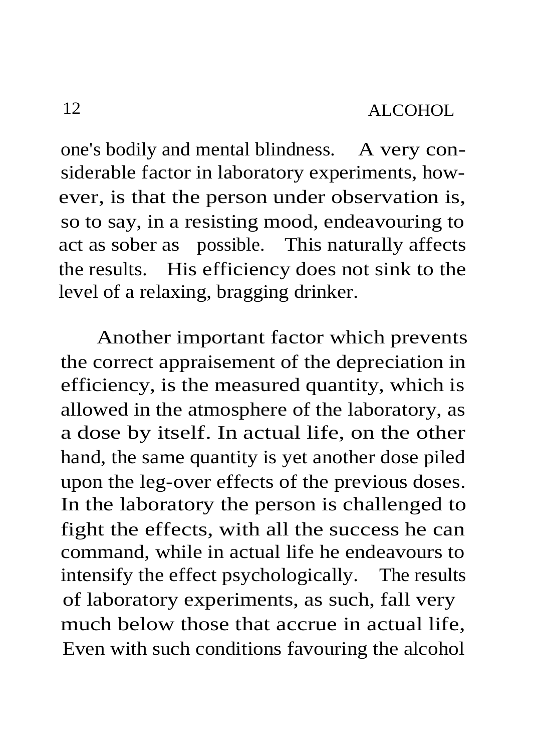one's bodily and mental blindness. A very considerable factor in laboratory experiments, however, is that the person under observation is, so to say, in a resisting mood, endeavouring to act as sober as possible. This naturally affects the results. His efficiency does not sink to the level of a relaxing, bragging drinker.

Another important factor which prevents the correct appraisement of the depreciation in efficiency, is the measured quantity, which is allowed in the atmosphere of the laboratory, as a dose by itself. In actual life, on the other hand, the same quantity is yet another dose piled upon the leg-over effects of the previous doses. In the laboratory the person is challenged to fight the effects, with all the success he can command, while in actual life he endeavours to intensify the effect psychologically. The results of laboratory experiments, as such, fall very much below those that accrue in actual life, Even with such conditions favouring the alcohol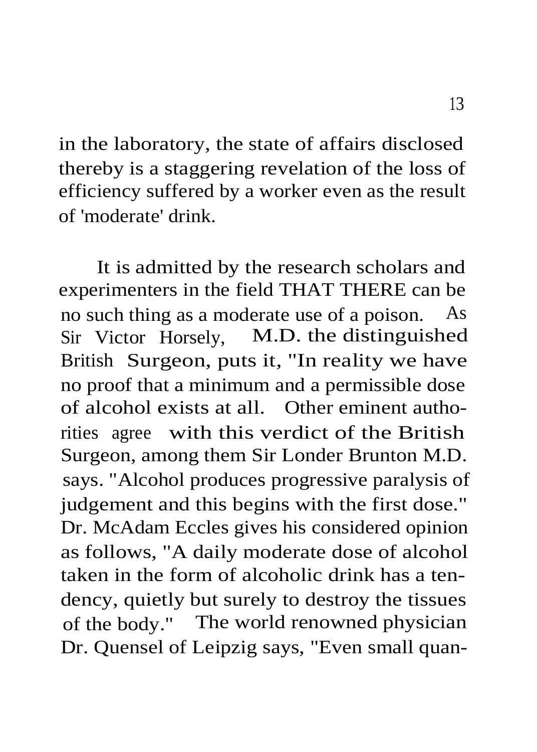in the laboratory, the state of affairs disclosed thereby is a staggering revelation of the loss of efficiency suffered by a worker even as the result of 'moderate' drink.

It is admitted by the research scholars and experimenters in the field THAT THERE can be no such thing as a moderate use of a poison. As Sir Victor Horsely, M.D. the distinguished British Surgeon, puts it, "In reality we have no proof that a minimum and a permissible dose of alcohol exists at all. Other eminent authorities agree with this verdict of the British Surgeon, among them Sir Londer Brunton M.D. says. "Alcohol produces progressive paralysis of judgement and this begins with the first dose." Dr. McAdam Eccles gives his considered opinion as follows, "A daily moderate dose of alcohol taken in the form of alcoholic drink has a tendency, quietly but surely to destroy the tissues of the body." The world renowned physician Dr. Quensel of Leipzig says, "Even small quan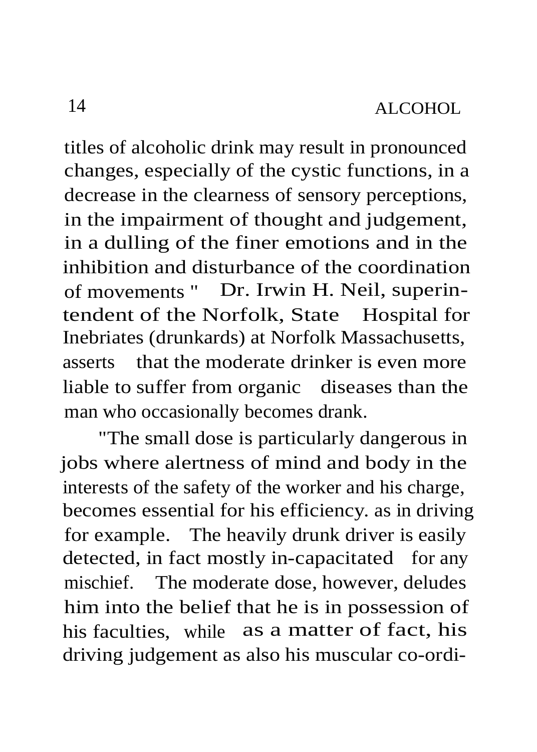titles of alcoholic drink may result in pronounced changes, especially of the cystic functions, in a decrease in the clearness of sensory perceptions, in the impairment of thought and judgement, in a dulling of the finer emotions and in the inhibition and disturbance of the coordination of movements " Dr. Irwin H. Neil, superintendent of the Norfolk, State Hospital for Inebriates (drunkards) at Norfolk Massachusetts, asserts that the moderate drinker is even more liable to suffer from organic diseases than the man who occasionally becomes drank.

"The small dose is particularly dangerous in jobs where alertness of mind and body in the interests of the safety of the worker and his charge, becomes essential for his efficiency. as in driving for example. The heavily drunk driver is easily detected, in fact mostly in-capacitated for any mischief. The moderate dose, however, deludes him into the belief that he is in possession of his faculties, while as a matter of fact, his driving judgement as also his muscular co-ordi-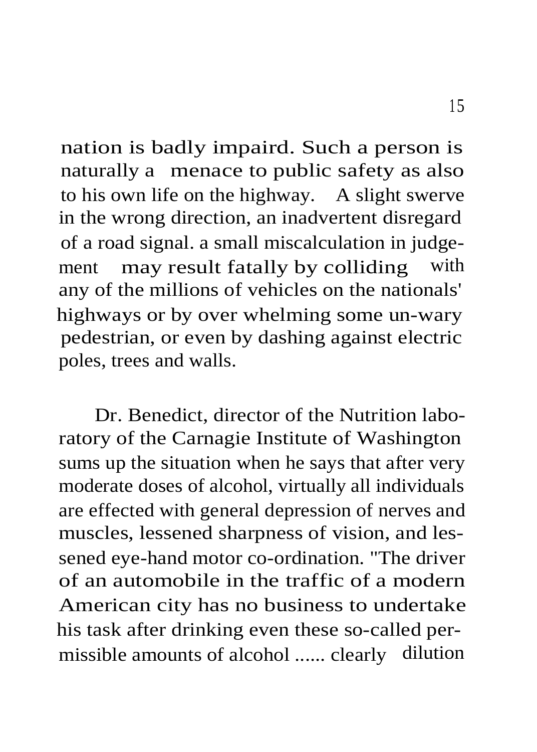nation is badly impaird. Such a person is naturally a menace to public safety as also to his own life on the highway. A slight swerve in the wrong direction, an inadvertent disregard of a road signal. a small miscalculation in judgement may result fatally by colliding with any of the millions of vehicles on the nationals' highways or by over whelming some un-wary pedestrian, or even by dashing against electric poles, trees and walls.

Dr. Benedict, director of the Nutrition laboratory of the Carnagie Institute of Washington sums up the situation when he says that after very moderate doses of alcohol, virtually all individuals are effected with general depression of nerves and muscles, lessened sharpness of vision, and lessened eye-hand motor co-ordination. "The driver of an automobile in the traffic of a modern American city has no business to undertake his task after drinking even these so-called permissible amounts of alcohol ...... clearly dilution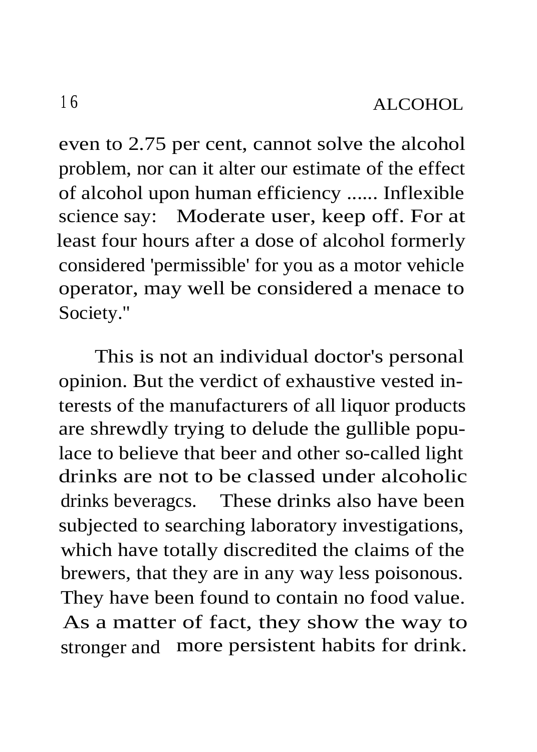even to 2.75 per cent, cannot solve the alcohol problem, nor can it alter our estimate of the effect of alcohol upon human efficiency ...... Inflexible science say: Moderate user, keep off. For at least four hours after a dose of alcohol formerly considered 'permissible' for you as a motor vehicle operator, may well be considered a menace to Society."

This is not an individual doctor's personal opinion. But the verdict of exhaustive vested interests of the manufacturers of all liquor products are shrewdly trying to delude the gullible populace to believe that beer and other so-called light drinks are not to be classed under alcoholic drinks beveragcs. These drinks also have been subjected to searching laboratory investigations, which have totally discredited the claims of the brewers, that they are in any way less poisonous. They have been found to contain no food value. As a matter of fact, they show the way to stronger and more persistent habits for drink.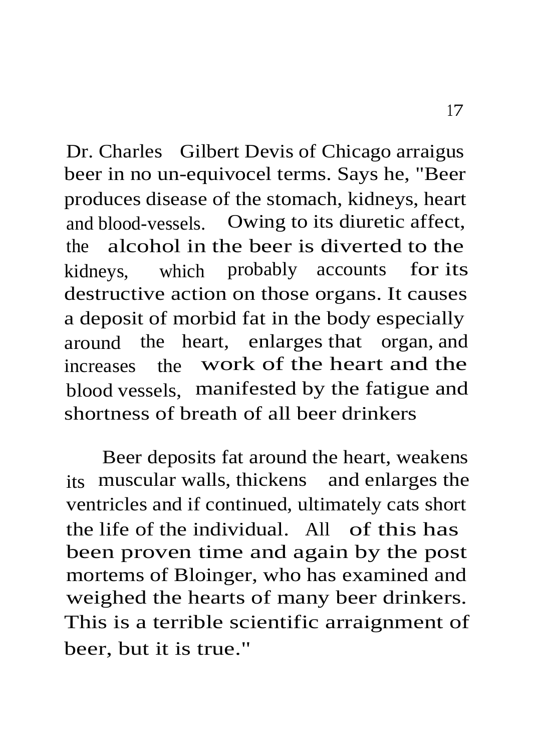Dr. Charles Gilbert Devis of Chicago arraigus beer in no un-equivocel terms. Says he, "Beer produces disease of the stomach, kidneys, heart and blood-vessels. Owing to its diuretic affect, the alcohol in the beer is diverted to the kidneys, which probably accounts for its destructive action on those organs. It causes a deposit of morbid fat in the body especially around the heart, enlarges that organ, and increases the work of the heart and the blood vessels, manifested by the fatigue and shortness of breath of all beer drinkers

Beer deposits fat around the heart, weakens its muscular walls, thickens and enlarges the ventricles and if continued, ultimately cats short the life of the individual. All of this has been proven time and again by the post mortems of Bloinger, who has examined and weighed the hearts of many beer drinkers. This is a terrible scientific arraignment of beer, but it is true."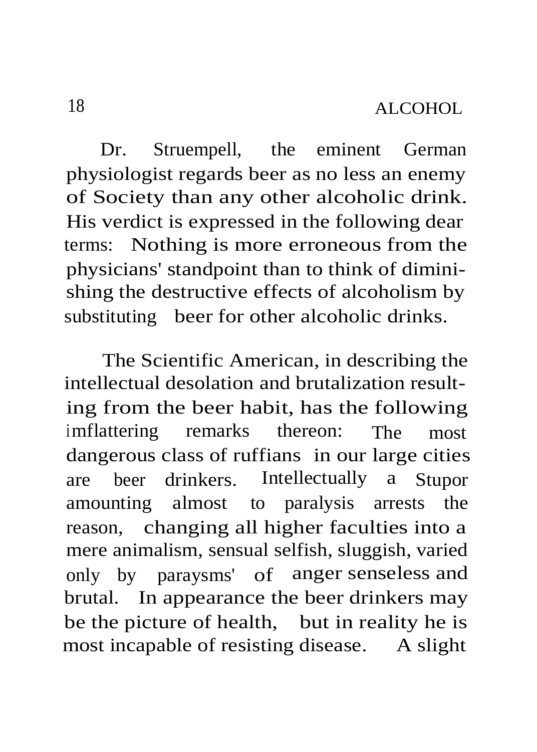Dr. Struempell, the eminent German physiologist regards beer as no less an enemy of Society than any other alcoholic drink. His verdict is expressed in the following dear terms: Nothing is more erroneous from the physicians' standpoint than to think of diminishing the destructive effects of alcoholism by substituting beer for other alcoholic drinks.

The Scientific American, in describing the intellectual desolation and brutalization resulting from the beer habit, has the following imflattering remarks thereon: The most dangerous class of ruffians in our large cities are beer drinkers. Intellectually a Stupor amounting almost to paralysis arrests the reason, changing all higher faculties into a mere animalism, sensual selfish, sluggish, varied only by paraysms' of anger senseless and brutal. In appearance the beer drinkers may be the picture of health, but in reality he is most incapable of resisting disease. A slight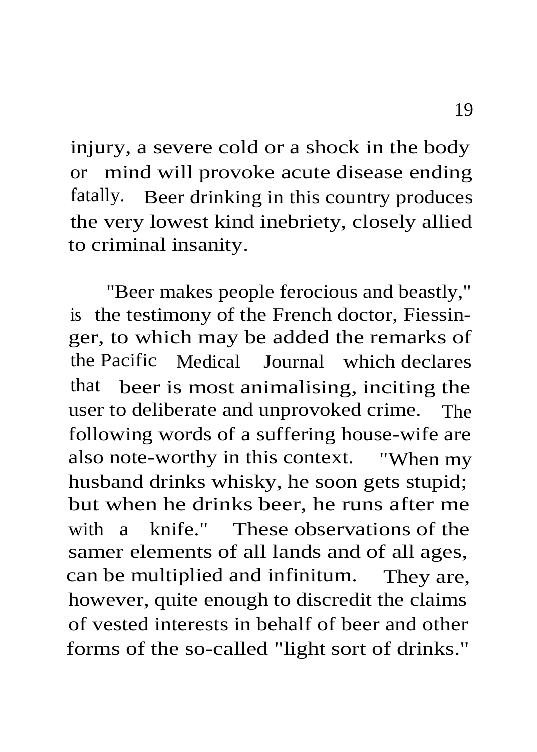injury, a severe cold or a shock in the body or mind will provoke acute disease ending fatally. Beer drinking in this country produces the very lowest kind inebriety, closely allied to criminal insanity.

"Beer makes people ferocious and beastly," is the testimony of the French doctor, Fiessinger, to which may be added the remarks of the Pacific Medical Journal which declares that beer is most animalising, inciting the user to deliberate and unprovoked crime. The following words of a suffering house-wife are also note-worthy in this context. "When my husband drinks whisky, he soon gets stupid; but when he drinks beer, he runs after me with a knife." These observations of the samer elements of all lands and of all ages, can be multiplied and infinitum. They are, however, quite enough to discredit the claims of vested interests in behalf of beer and other forms of the so-called "light sort of drinks."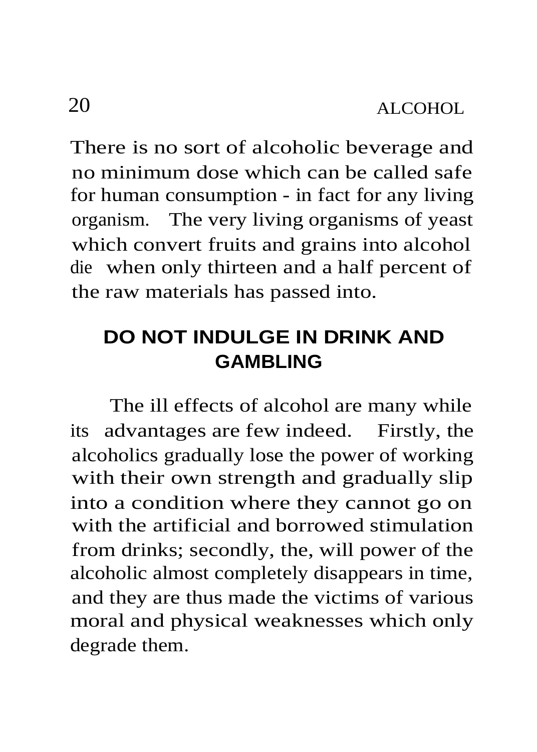There is no sort of alcoholic beverage and no minimum dose which can be called safe for human consumption - in fact for any living organism. The very living organisms of yeast which convert fruits and grains into alcohol die when only thirteen and a half percent of the raw materials has passed into.

#### **DO NOT INDULGE IN DRINK AND GAMBLING**

The ill effects of alcohol are many while its advantages are few indeed. Firstly, the alcoholics gradually lose the power of working with their own strength and gradually slip into a condition where they cannot go on with the artificial and borrowed stimulation from drinks; secondly, the, will power of the alcoholic almost completely disappears in time, and they are thus made the victims of various moral and physical weaknesses which only degrade them.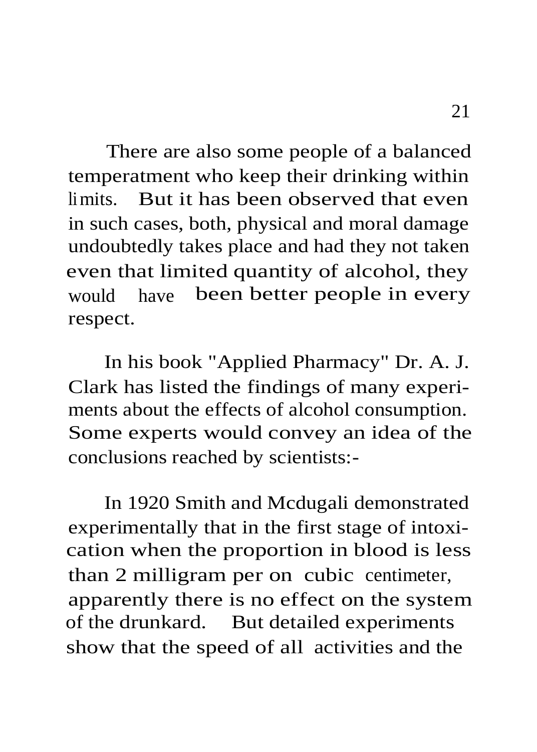There are also some people of a balanced temperatment who keep their drinking within limits. But it has been observed that even in such cases, both, physical and moral damage undoubtedly takes place and had they not taken even that limited quantity of alcohol, they would have been better people in every respect.

In his book "Applied Pharmacy" Dr. A. J. Clark has listed the findings of many experiments about the effects of alcohol consumption. Some experts would convey an idea of the conclusions reached by scientists:-

In 1920 Smith and Mcdugali demonstrated experimentally that in the first stage of intoxication when the proportion in blood is less than 2 milligram per on cubic centimeter, apparently there is no effect on the system of the drunkard. But detailed experiments show that the speed of all activities and the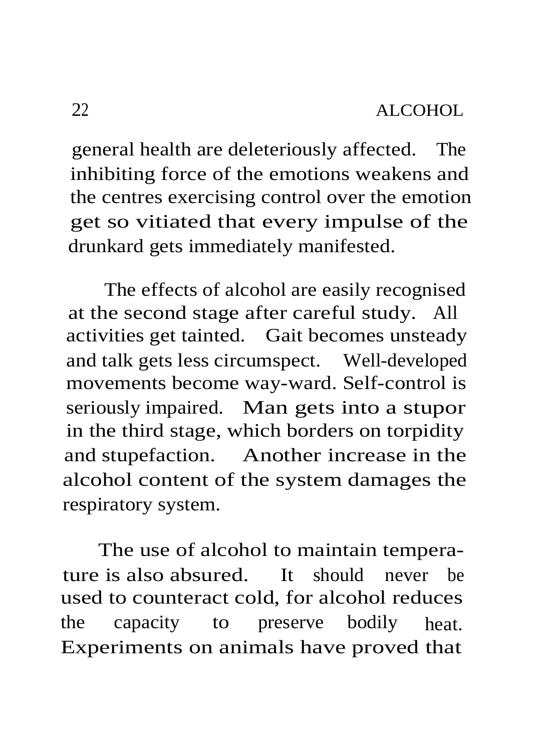general health are deleteriously affected. The inhibiting force of the emotions weakens and the centres exercising control over the emotion get so vitiated that every impulse of the drunkard gets immediately manifested.

The effects of alcohol are easily recognised at the second stage after careful study. All activities get tainted. Gait becomes unsteady and talk gets less circumspect. Well-developed movements become way-ward. Self-control is seriously impaired. Man gets into a stupor in the third stage, which borders on torpidity and stupefaction. Another increase in the alcohol content of the system damages the respiratory system.

The use of alcohol to maintain temperature is also absured. It should never be used to counteract cold, for alcohol reduces the capacity to preserve bodily heat. Experiments on animals have proved that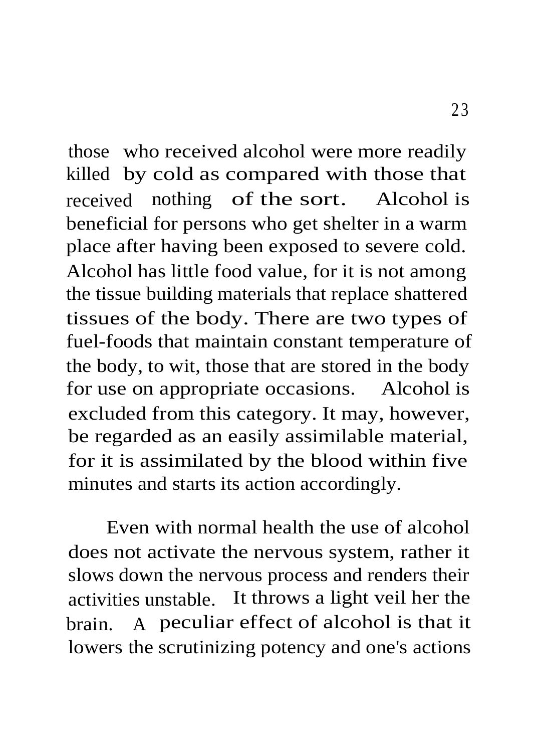those who received alcohol were more readily killed by cold as compared with those that received nothing of the sort. Alcohol is beneficial for persons who get shelter in a warm place after having been exposed to severe cold. Alcohol has little food value, for it is not among the tissue building materials that replace shattered tissues of the body. There are two types of fuel-foods that maintain constant temperature of the body, to wit, those that are stored in the body for use on appropriate occasions. Alcohol is excluded from this category. It may, however, be regarded as an easily assimilable material, for it is assimilated by the blood within five minutes and starts its action accordingly.

Even with normal health the use of alcohol does not activate the nervous system, rather it slows down the nervous process and renders their activities unstable. It throws a light veil her the brain. A peculiar effect of alcohol is that it lowers the scrutinizing potency and one's actions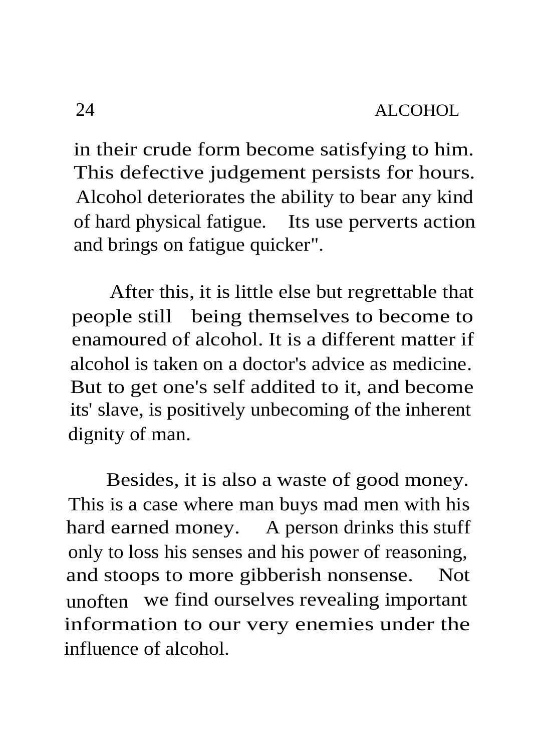in their crude form become satisfying to him. This defective judgement persists for hours. Alcohol deteriorates the ability to bear any kind of hard physical fatigue. Its use perverts action and brings on fatigue quicker".

After this, it is little else but regrettable that people still being themselves to become to enamoured of alcohol. It is a different matter if alcohol is taken on a doctor's advice as medicine. But to get one's self addited to it, and become its' slave, is positively unbecoming of the inherent dignity of man.

Besides, it is also a waste of good money. This is a case where man buys mad men with his hard earned money. A person drinks this stuff only to loss his senses and his power of reasoning, and stoops to more gibberish nonsense. Not unoften we find ourselves revealing important information to our very enemies under the influence of alcohol.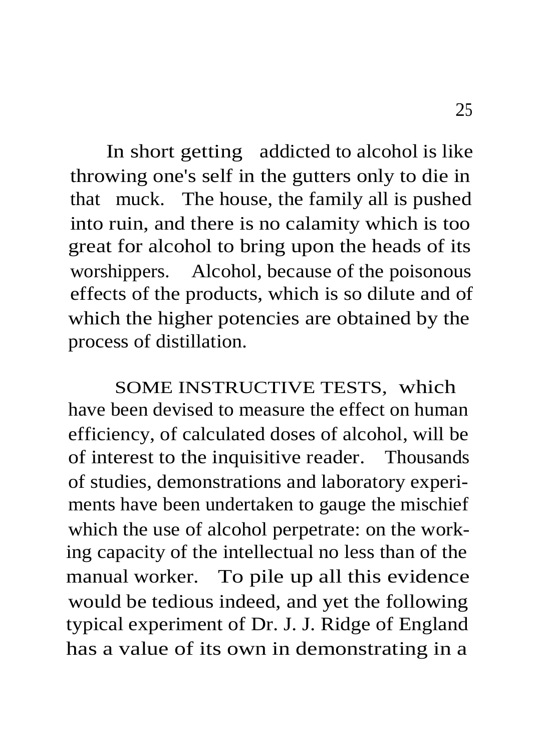In short getting addicted to alcohol is like throwing one's self in the gutters only to die in that muck. The house, the family all is pushed into ruin, and there is no calamity which is too great for alcohol to bring upon the heads of its worshippers. Alcohol, because of the poisonous effects of the products, which is so dilute and of which the higher potencies are obtained by the process of distillation.

SOME INSTRUCTIVE TESTS, which have been devised to measure the effect on human efficiency, of calculated doses of alcohol, will be of interest to the inquisitive reader. Thousands of studies, demonstrations and laboratory experiments have been undertaken to gauge the mischief which the use of alcohol perpetrate: on the working capacity of the intellectual no less than of the manual worker. To pile up all this evidence would be tedious indeed, and yet the following typical experiment of Dr. J. J. Ridge of England has a value of its own in demonstrating in a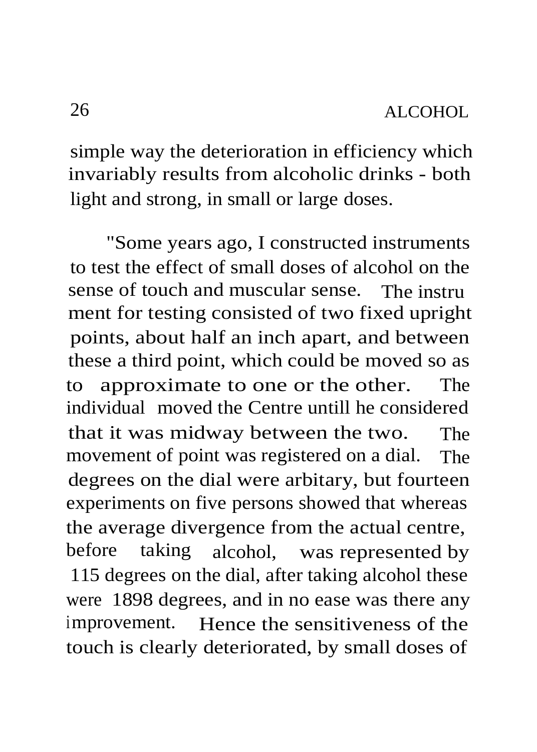simple way the deterioration in efficiency which invariably results from alcoholic drinks - both light and strong, in small or large doses.

"Some years ago, I constructed instruments to test the effect of small doses of alcohol on the sense of touch and muscular sense. The instru ment for testing consisted of two fixed upright points, about half an inch apart, and between these a third point, which could be moved so as to approximate to one or the other. The individual moved the Centre untill he considered that it was midway between the two. The movement of point was registered on a dial. The degrees on the dial were arbitary, but fourteen experiments on five persons showed that whereas the average divergence from the actual centre, before taking alcohol, was represented by 115 degrees on the dial, after taking alcohol these were 1898 degrees, and in no ease was there any improvement. Hence the sensitiveness of the touch is clearly deteriorated, by small doses of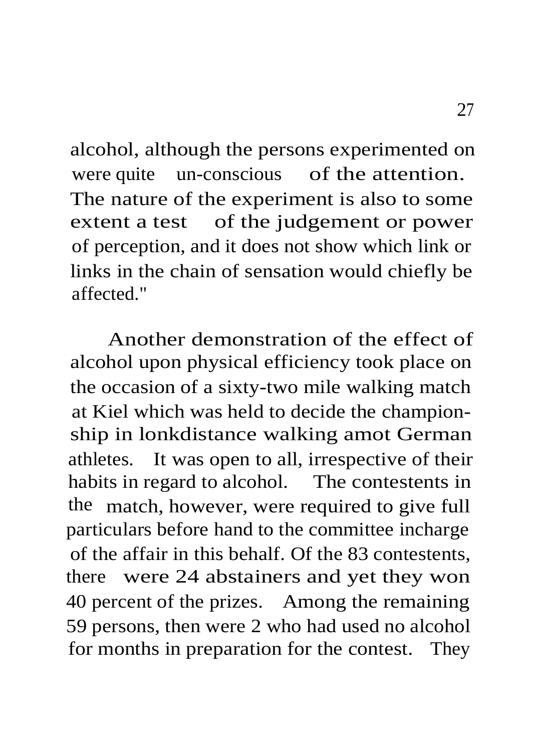alcohol, although the persons experimented on were quite un-conscious of the attention. The nature of the experiment is also to some extent a test of the judgement or power of perception, and it does not show which link or links in the chain of sensation would chiefly be affected."

Another demonstration of the effect of alcohol upon physical efficiency took place on the occasion of a sixty-two mile walking match at Kiel which was held to decide the championship in lonkdistance walking amot German athletes. It was open to all, irrespective of their habits in regard to alcohol. The contestents in the match, however, were required to give full particulars before hand to the committee incharge of the affair in this behalf. Of the 83 contestents, there were 24 abstainers and yet they won 40 percent of the prizes. Among the remaining 59 persons, then were 2 who had used no alcohol for months in preparation for the contest. They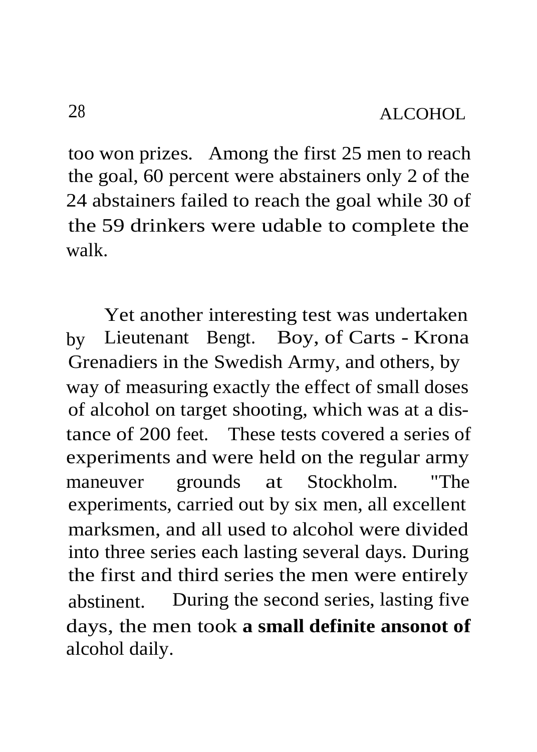too won prizes. Among the first 25 men to reach the goal, 60 percent were abstainers only 2 of the 24 abstainers failed to reach the goal while 30 of the 59 drinkers were udable to complete the walk.

Yet another interesting test was undertaken by Lieutenant Bengt. Boy, of Carts - Krona Grenadiers in the Swedish Army, and others, by way of measuring exactly the effect of small doses of alcohol on target shooting, which was at a distance of 200 feet. These tests covered a series of experiments and were held on the regular army maneuver grounds at Stockholm. "The experiments, carried out by six men, all excellent marksmen, and all used to alcohol were divided into three series each lasting several days. During the first and third series the men were entirely abstinent. During the second series, lasting five days, the men took **a small definite ansonot of** alcohol daily.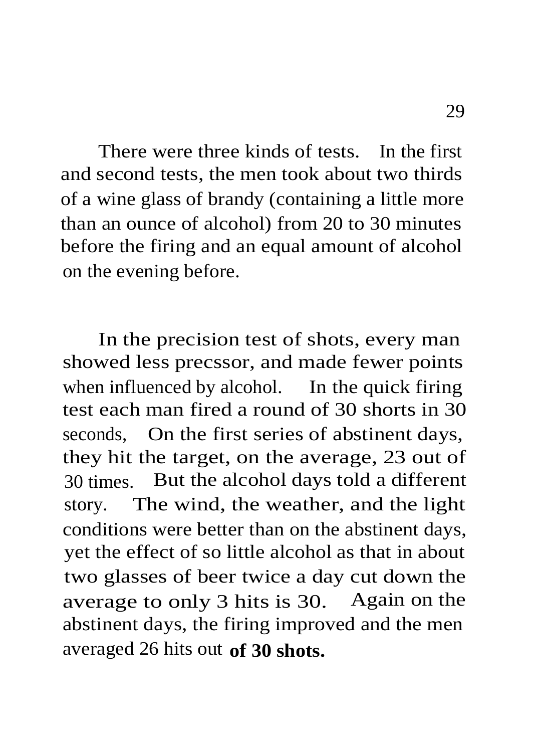There were three kinds of tests. In the first and second tests, the men took about two thirds of a wine glass of brandy (containing a little more than an ounce of alcohol) from 20 to 30 minutes before the firing and an equal amount of alcohol on the evening before.

In the precision test of shots, every man showed less precssor, and made fewer points when influenced by alcohol. In the quick firing test each man fired a round of 30 shorts in 30 seconds, On the first series of abstinent days, they hit the target, on the average, 23 out of 30 times. But the alcohol days told a different story. The wind, the weather, and the light conditions were better than on the abstinent days, yet the effect of so little alcohol as that in about two glasses of beer twice a day cut down the average to only 3 hits is 30. Again on the abstinent days, the firing improved and the men averaged 26 hits out **of 30 shots.**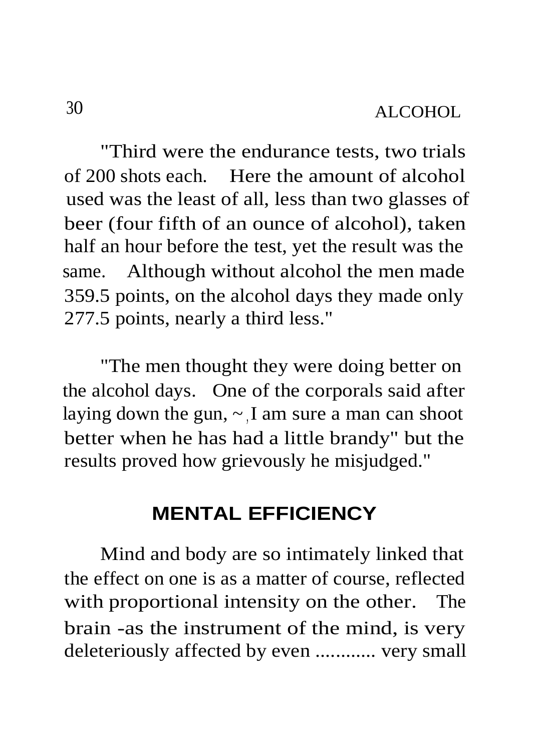"Third were the endurance tests, two trials of 200 shots each. Here the amount of alcohol used was the least of all, less than two glasses of beer (four fifth of an ounce of alcohol), taken half an hour before the test, yet the result was the same. Although without alcohol the men made 359.5 points, on the alcohol days they made only 277.5 points, nearly a third less."

"The men thought they were doing better on the alcohol days. One of the corporals said after laying down the gun,  $\sim$  I am sure a man can shoot better when he has had a little brandy" but the results proved how grievously he misjudged."

### **MENTAL EFFICIENCY**

Mind and body are so intimately linked that the effect on one is as a matter of course, reflected with proportional intensity on the other. The brain -as the instrument of the mind, is very deleteriously affected by even ............ very small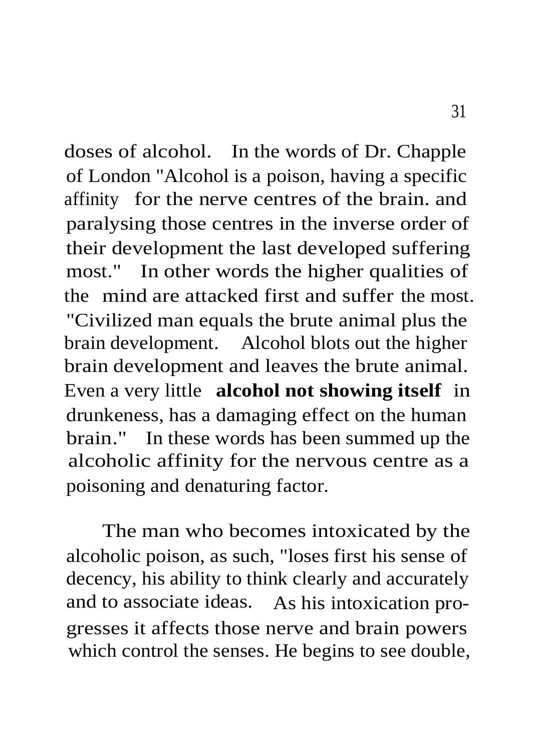doses of alcohol. In the words of Dr. Chapple of London "Alcohol is a poison, having a specific affinity for the nerve centres of the brain. and paralysing those centres in the inverse order of their development the last developed suffering most." In other words the higher qualities of the mind are attacked first and suffer the most. "Civilized man equals the brute animal plus the brain development. Alcohol blots out the higher brain development and leaves the brute animal. Even a very little **alcohol not showing itself** in drunkeness, has a damaging effect on the human brain." In these words has been summed up the alcoholic affinity for the nervous centre as a poisoning and denaturing factor.

The man who becomes intoxicated by the alcoholic poison, as such, "loses first his sense of decency, his ability to think clearly and accurately and to associate ideas. As his intoxication progresses it affects those nerve and brain powers which control the senses. He begins to see double,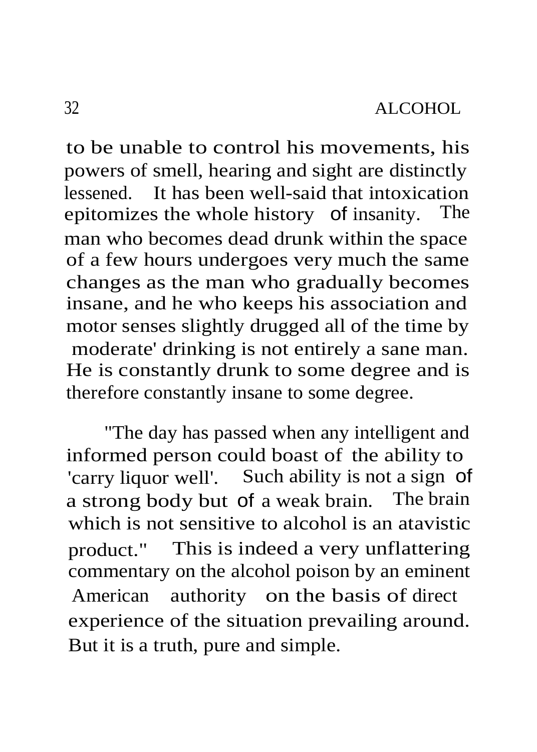to be unable to control his movements, his powers of smell, hearing and sight are distinctly lessened. It has been well-said that intoxication epitomizes the whole history of insanity. man who becomes dead drunk within the space of a few hours undergoes very much the same changes as the man who gradually becomes insane, and he who keeps his association and motor senses slightly drugged all of the time by moderate' drinking is not entirely a sane man. He is constantly drunk to some degree and is therefore constantly insane to some degree.

"The day has passed when any intelligent and informed person could boast of the ability to 'carry liquor well'. Such ability is not a sign of a strong body but of a weak brain. The brain which is not sensitive to alcohol is an atavistic product." This is indeed a very unflattering commentary on the alcohol poison by an eminent American authority on the basis of direct experience of the situation prevailing around. But it is a truth, pure and simple.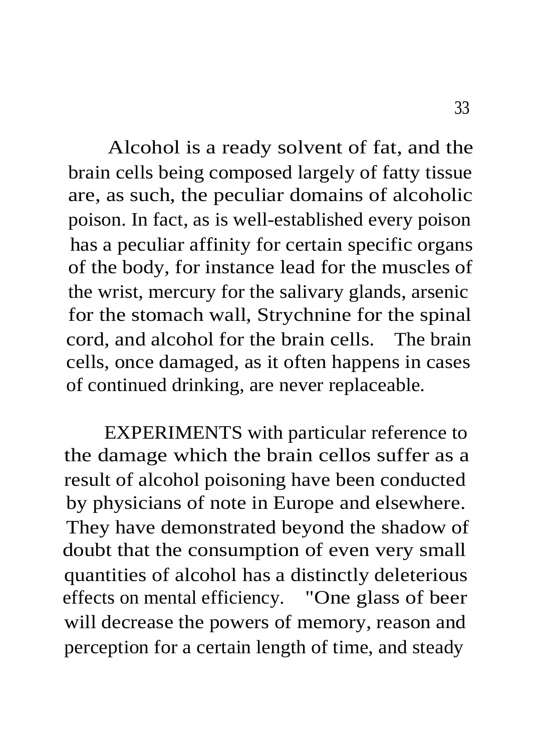Alcohol is a ready solvent of fat, and the brain cells being composed largely of fatty tissue are, as such, the peculiar domains of alcoholic poison. In fact, as is well-established every poison has a peculiar affinity for certain specific organs of the body, for instance lead for the muscles of the wrist, mercury for the salivary glands, arsenic for the stomach wall, Strychnine for the spinal cord, and alcohol for the brain cells. The brain cells, once damaged, as it often happens in cases of continued drinking, are never replaceable.

EXPERIMENTS with particular reference to the damage which the brain cellos suffer as a result of alcohol poisoning have been conducted by physicians of note in Europe and elsewhere. They have demonstrated beyond the shadow of doubt that the consumption of even very small quantities of alcohol has a distinctly deleterious effects on mental efficiency. "One glass of beer will decrease the powers of memory, reason and perception for a certain length of time, and steady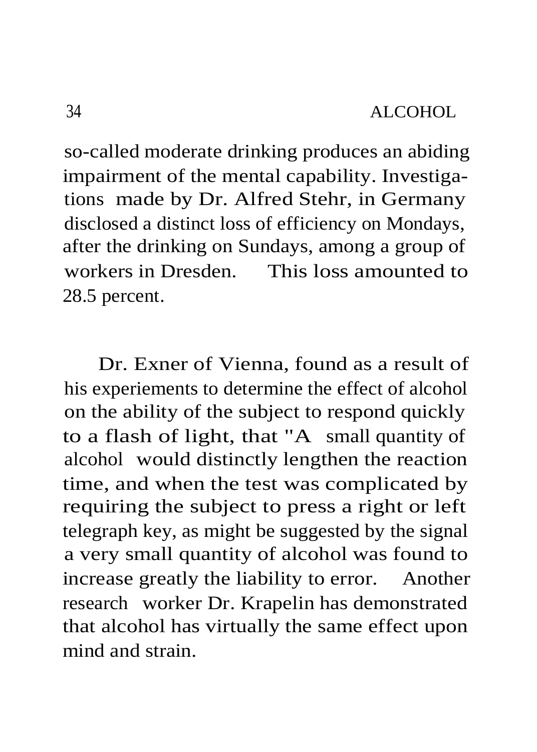so-called moderate drinking produces an abiding impairment of the mental capability. Investigations made by Dr. Alfred Stehr, in Germany disclosed a distinct loss of efficiency on Mondays, after the drinking on Sundays, among a group of workers in Dresden. This loss amounted to 28.5 percent.

Dr. Exner of Vienna, found as a result of his experiements to determine the effect of alcohol on the ability of the subject to respond quickly to a flash of light, that "A small quantity of alcohol would distinctly lengthen the reaction time, and when the test was complicated by requiring the subject to press a right or left telegraph key, as might be suggested by the signal a very small quantity of alcohol was found to increase greatly the liability to error. Another research worker Dr. Krapelin has demonstrated that alcohol has virtually the same effect upon mind and strain.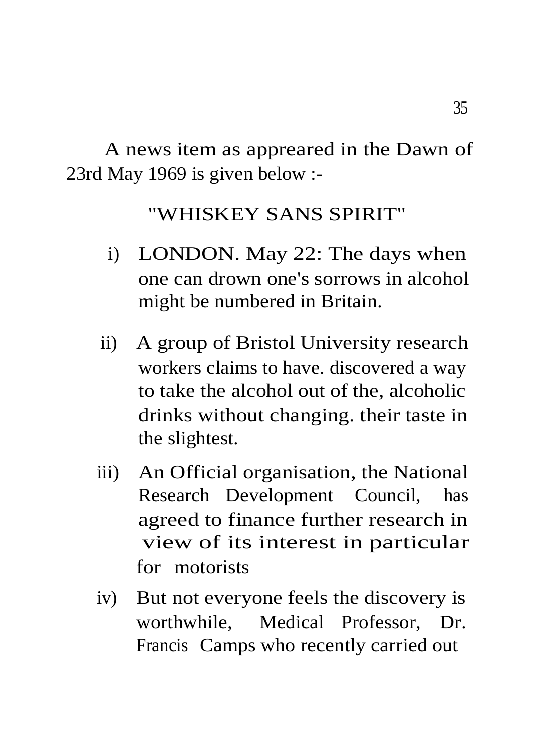A news item as appreared in the Dawn of 23rd May 1969 is given below :-

## "WHISKEY SANS SPIRIT"

- i) LONDON. May 22: The days when one can drown one's sorrows in alcohol might be numbered in Britain.
- ii) A group of Bristol University research workers claims to have. discovered a way to take the alcohol out of the, alcoholic drinks without changing. their taste in the slightest.
- iii) An Official organisation, the National Research Development Council, has agreed to finance further research in view of its interest in particular for motorists
- iv) But not everyone feels the discovery is worthwhile, Medical Professor, Dr. Francis Camps who recently carried out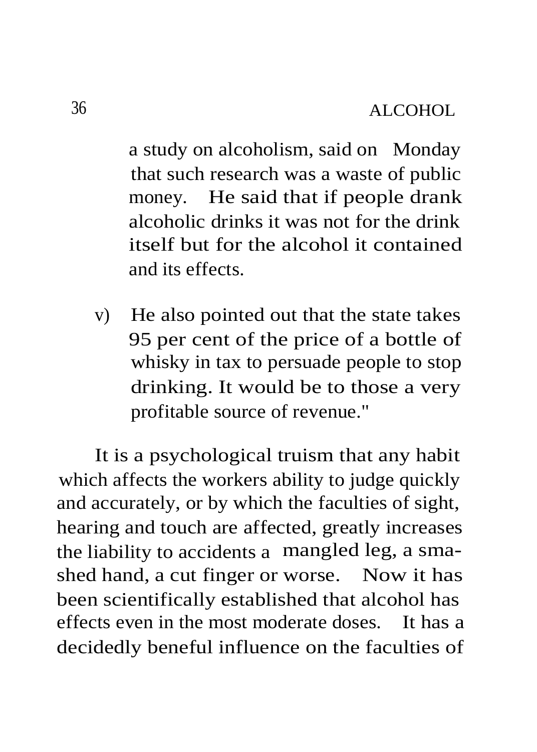a study on alcoholism, said on Monday that such research was a waste of public money. He said that if people drank alcoholic drinks it was not for the drink itself but for the alcohol it contained and its effects.

v) He also pointed out that the state takes 95 per cent of the price of a bottle of whisky in tax to persuade people to stop drinking. It would be to those a very profitable source of revenue."

It is a psychological truism that any habit which affects the workers ability to judge quickly and accurately, or by which the faculties of sight, hearing and touch are affected, greatly increases the liability to accidents a mangled leg, a smashed hand, a cut finger or worse. Now it has been scientifically established that alcohol has effects even in the most moderate doses. It has a decidedly beneful influence on the faculties of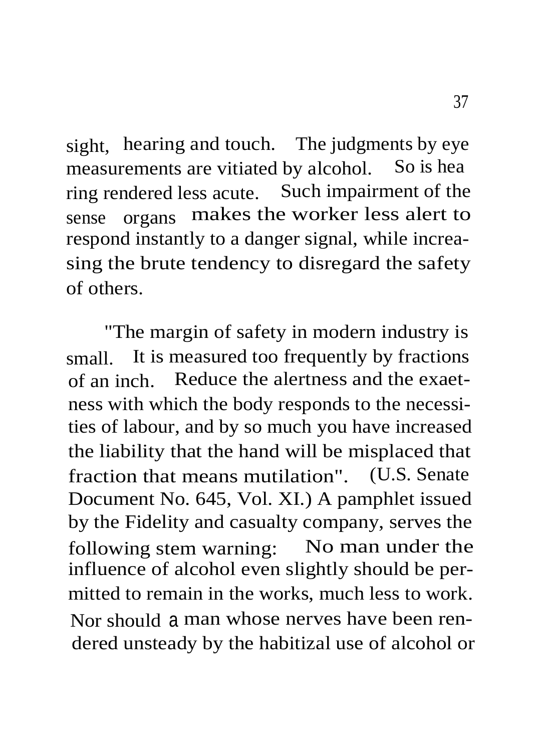sight, hearing and touch. The judgments by eye measurements are vitiated by alcohol. So is hea ring rendered less acute. Such impairment of the sense organs makes the worker less alert to respond instantly to a danger signal, while increasing the brute tendency to disregard the safety of others.

"The margin of safety in modern industry is small. It is measured too frequently by fractions of an inch. Reduce the alertness and the exaetness with which the body responds to the necessities of labour, and by so much you have increased the liability that the hand will be misplaced that fraction that means mutilation". (U.S. Senate Document No. 645, Vol. XI.) A pamphlet issued by the Fidelity and casualty company, serves the following stem warning: No man under the influence of alcohol even slightly should be permitted to remain in the works, much less to work. Nor should a man whose nerves have been rendered unsteady by the habitizal use of alcohol or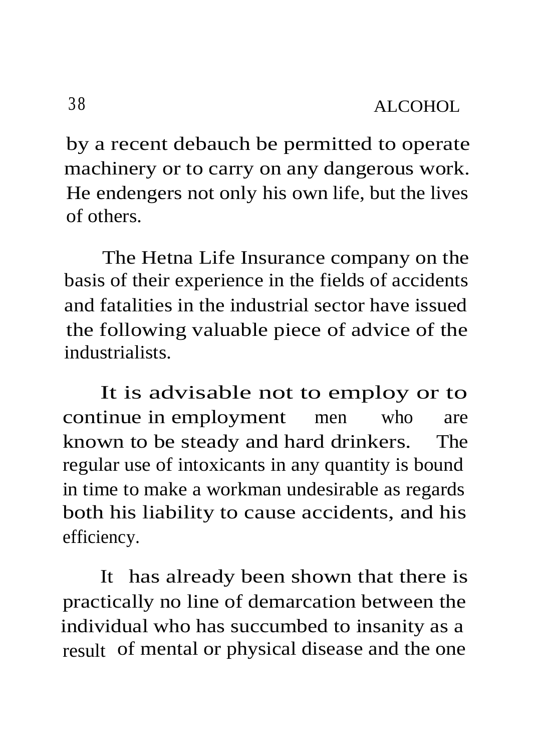by a recent debauch be permitted to operate machinery or to carry on any dangerous work. He endengers not only his own life, but the lives of others.

The Hetna Life Insurance company on the basis of their experience in the fields of accidents and fatalities in the industrial sector have issued the following valuable piece of advice of the industrialists.

It is advisable not to employ or to continue in employment men who are known to be steady and hard drinkers. The regular use of intoxicants in any quantity is bound in time to make a workman undesirable as regards both his liability to cause accidents, and his efficiency.

It has already been shown that there is practically no line of demarcation between the individual who has succumbed to insanity as a result of mental or physical disease and the one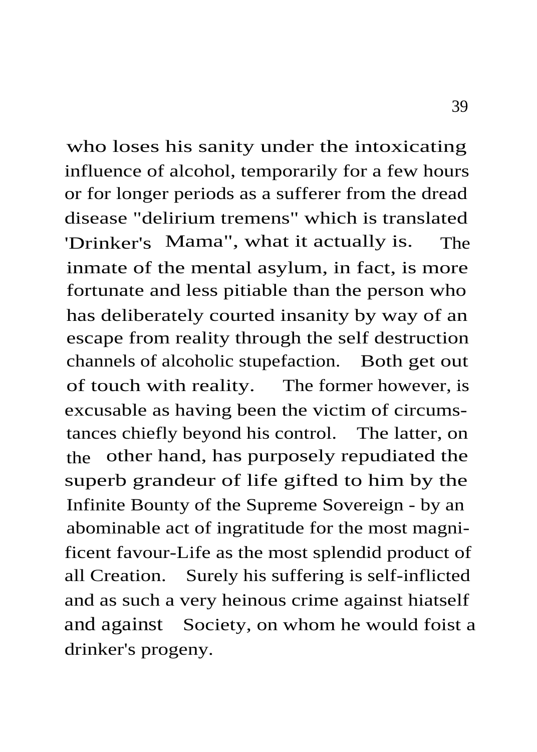who loses his sanity under the intoxicating influence of alcohol, temporarily for a few hours or for longer periods as a sufferer from the dread disease "delirium tremens" which is translated 'Drinker's Mama", what it actually is. The inmate of the mental asylum, in fact, is more fortunate and less pitiable than the person who has deliberately courted insanity by way of an escape from reality through the self destruction channels of alcoholic stupefaction. Both get out of touch with reality. The former however, is excusable as having been the victim of circumstances chiefly beyond his control. The latter, on the other hand, has purposely repudiated the superb grandeur of life gifted to him by the Infinite Bounty of the Supreme Sovereign - by an abominable act of ingratitude for the most magnificent favour-Life as the most splendid product of all Creation. Surely his suffering is self-inflicted and as such a very heinous crime against hiatself and against Society, on whom he would foist a drinker's progeny.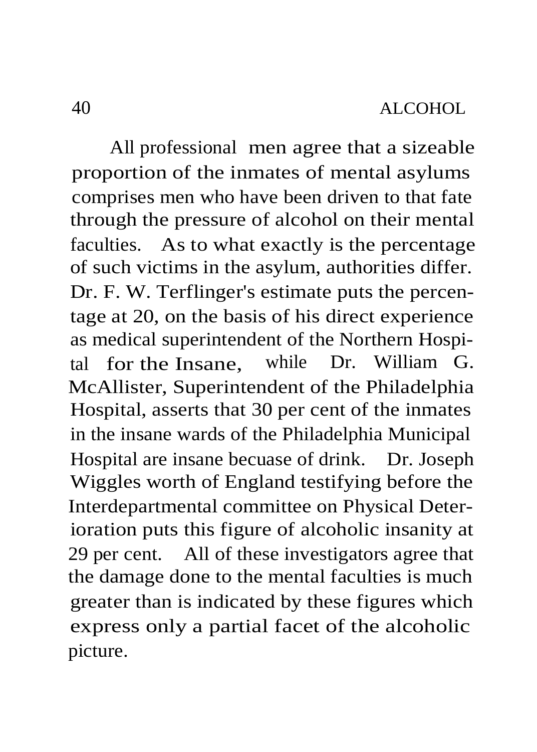All professional men agree that a sizeable proportion of the inmates of mental asylums comprises men who have been driven to that fate through the pressure of alcohol on their mental faculties. As to what exactly is the percentage of such victims in the asylum, authorities differ. Dr. F. W. Terflinger's estimate puts the percentage at 20, on the basis of his direct experience as medical superintendent of the Northern Hospital for the Insane, while Dr. William G. McAllister, Superintendent of the Philadelphia Hospital, asserts that 30 per cent of the inmates in the insane wards of the Philadelphia Municipal Hospital are insane becuase of drink. Dr. Joseph Wiggles worth of England testifying before the Interdepartmental committee on Physical Deterioration puts this figure of alcoholic insanity at 29 per cent. All of these investigators agree that the damage done to the mental faculties is much greater than is indicated by these figures which express only a partial facet of the alcoholic picture.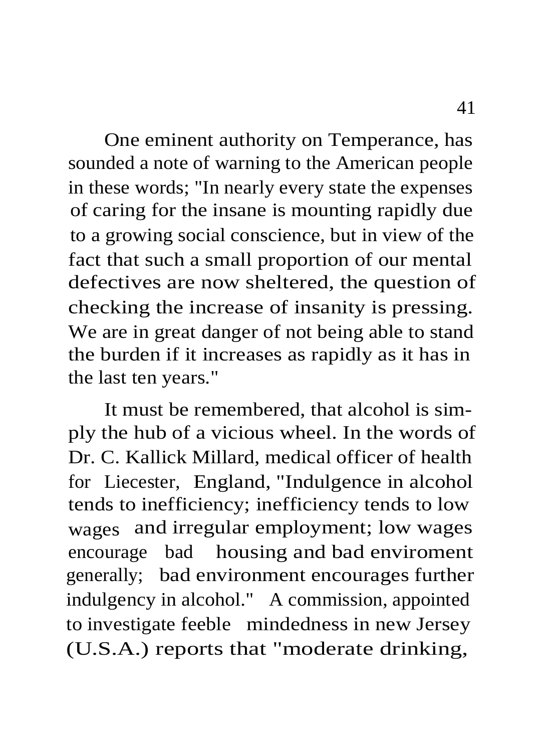One eminent authority on Temperance, has sounded a note of warning to the American people in these words; "In nearly every state the expenses of caring for the insane is mounting rapidly due to a growing social conscience, but in view of the fact that such a small proportion of our mental defectives are now sheltered, the question of checking the increase of insanity is pressing. We are in great danger of not being able to stand the burden if it increases as rapidly as it has in the last ten years."

It must be remembered, that alcohol is simply the hub of a vicious wheel. In the words of Dr. C. Kallick Millard, medical officer of health for Liecester, England, "Indulgence in alcohol tends to inefficiency; inefficiency tends to low wages and irregular employment; low wages encourage bad housing and bad enviroment generally; bad environment encourages further indulgency in alcohol." A commission, appointed to investigate feeble mindedness in new Jersey (U.S.A.) reports that "moderate drinking,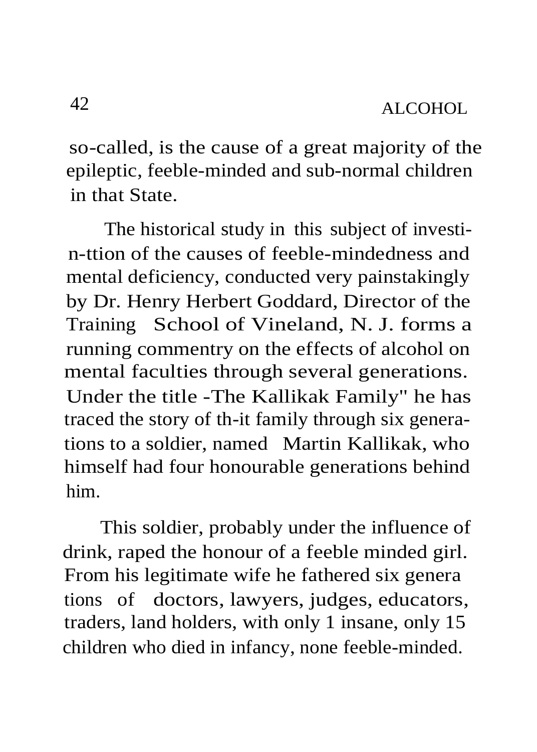so-called, is the cause of a great majority of the epileptic, feeble-minded and sub-normal children in that State.

The historical study in this subject of investin-ttion of the causes of feeble-mindedness and mental deficiency, conducted very painstakingly by Dr. Henry Herbert Goddard, Director of the Training School of Vineland, N. J. forms a running commentry on the effects of alcohol on mental faculties through several generations. Under the title -The Kallikak Family" he has traced the story of th-it family through six generations to a soldier, named Martin Kallikak, who himself had four honourable generations behind him.

This soldier, probably under the influence of drink, raped the honour of a feeble minded girl. From his legitimate wife he fathered six genera tions of doctors, lawyers, judges, educators, traders, land holders, with only 1 insane, only 15 children who died in infancy, none feeble-minded.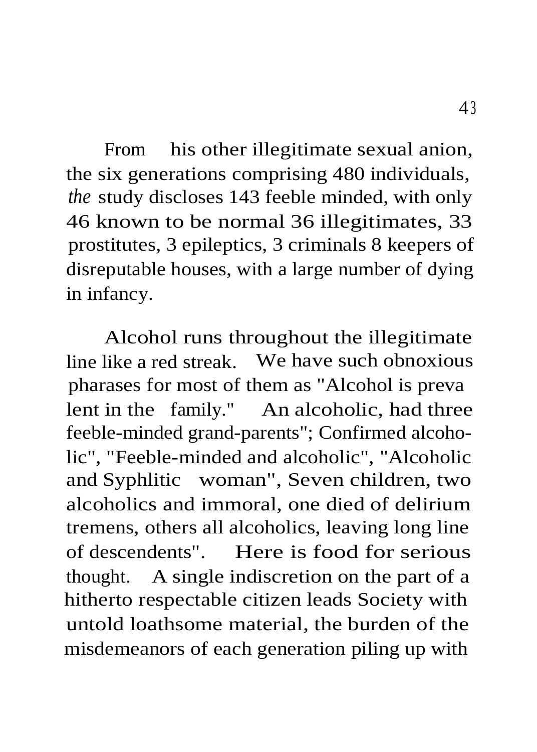From his other illegitimate sexual anion, the six generations comprising 480 individuals, *the* study discloses 143 feeble minded, with only 46 known to be normal 36 illegitimates, 33 prostitutes, 3 epileptics, 3 criminals 8 keepers of disreputable houses, with a large number of dying in infancy.

Alcohol runs throughout the illegitimate line like a red streak. We have such obnoxious pharases for most of them as "Alcohol is preva lent in the family." An alcoholic, had three feeble-minded grand-parents"; Confirmed alcoholic", "Feeble-minded and alcoholic", "Alcoholic and Syphlitic woman", Seven children, two alcoholics and immoral, one died of delirium tremens, others all alcoholics, leaving long line of descendents". Here is food for serious thought. A single indiscretion on the part of a hitherto respectable citizen leads Society with untold loathsome material, the burden of the misdemeanors of each generation piling up with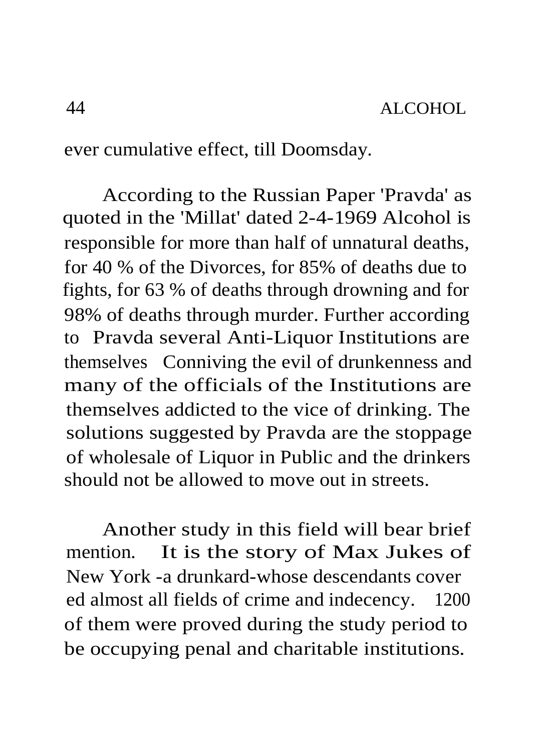ever cumulative effect, till Doomsday.

According to the Russian Paper 'Pravda' as quoted in the 'Millat' dated 2-4-1969 Alcohol is responsible for more than half of unnatural deaths, for 40 % of the Divorces, for 85% of deaths due to fights, for 63 % of deaths through drowning and for 98% of deaths through murder. Further according to Pravda several Anti-Liquor Institutions are themselves Conniving the evil of drunkenness and many of the officials of the Institutions are themselves addicted to the vice of drinking. The solutions suggested by Pravda are the stoppage of wholesale of Liquor in Public and the drinkers should not be allowed to move out in streets.

Another study in this field will bear brief mention. It is the story of Max Jukes of New York -a drunkard-whose descendants cover ed almost all fields of crime and indecency. 1200 of them were proved during the study period to be occupying penal and charitable institutions.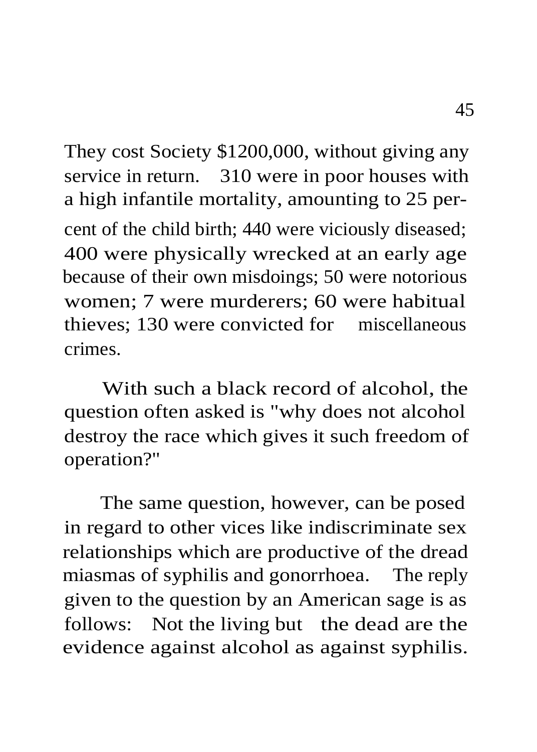They cost Society \$1200,000, without giving any service in return. 310 were in poor houses with a high infantile mortality, amounting to 25 percent of the child birth; 440 were viciously diseased; 400 were physically wrecked at an early age because of their own misdoings; 50 were notorious women; 7 were murderers; 60 were habitual thieves; 130 were convicted for miscellaneous crimes.

With such a black record of alcohol, the question often asked is "why does not alcohol destroy the race which gives it such freedom of operation?"

The same question, however, can be posed in regard to other vices like indiscriminate sex relationships which are productive of the dread miasmas of syphilis and gonorrhoea. The reply given to the question by an American sage is as follows: Not the living but the dead are the evidence against alcohol as against syphilis.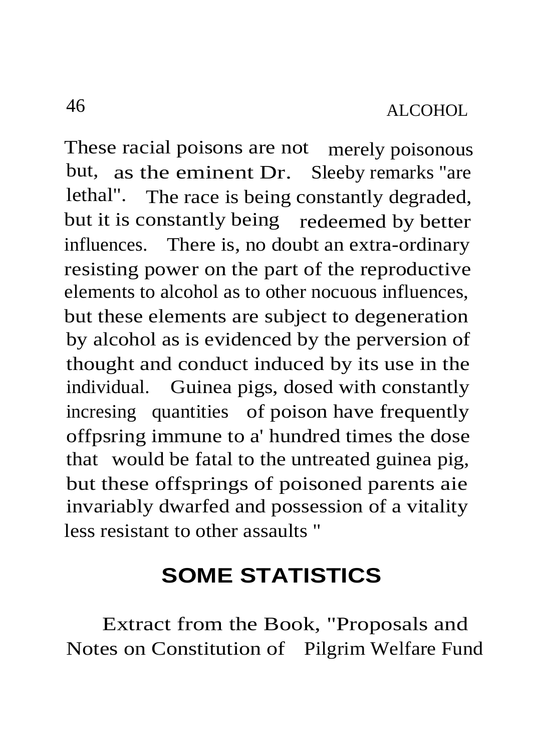These racial poisons are not merely poisonous but, as the eminent Dr. Sleeby remarks "are lethal". The race is being constantly degraded, but it is constantly being redeemed by better influences. There is, no doubt an extra-ordinary resisting power on the part of the reproductive elements to alcohol as to other nocuous influences, but these elements are subject to degeneration by alcohol as is evidenced by the perversion of thought and conduct induced by its use in the individual. Guinea pigs, dosed with constantly incresing quantities of poison have frequently offpsring immune to a' hundred times the dose that would be fatal to the untreated guinea pig, but these offsprings of poisoned parents aie invariably dwarfed and possession of a vitality less resistant to other assaults "

# **SOME STATISTICS**

Extract from the Book, "Proposals and Notes on Constitution of Pilgrim Welfare Fund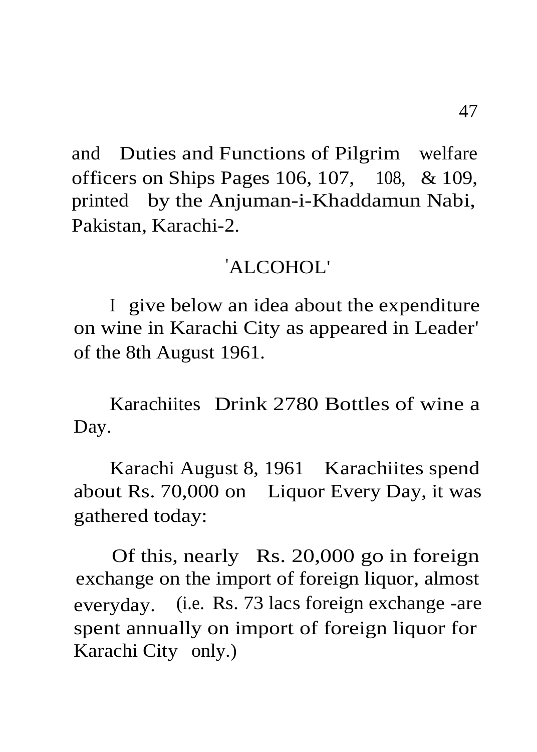and Duties and Functions of Pilgrim welfare officers on Ships Pages 106, 107, 108, & 109, printed by the Anjuman-i-Khaddamun Nabi, Pakistan, Karachi-2.

#### 'ALCOHOL'

I give below an idea about the expenditure on wine in Karachi City as appeared in Leader' of the 8th August 1961.

Karachiites Drink 2780 Bottles of wine a Day.

Karachi August 8, 1961 Karachiites spend about Rs. 70,000 on Liquor Every Day, it was gathered today:

Of this, nearly Rs. 20,000 go in foreign exchange on the import of foreign liquor, almost everyday. (i.e. Rs. 73 lacs foreign exchange -are spent annually on import of foreign liquor for Karachi City only.)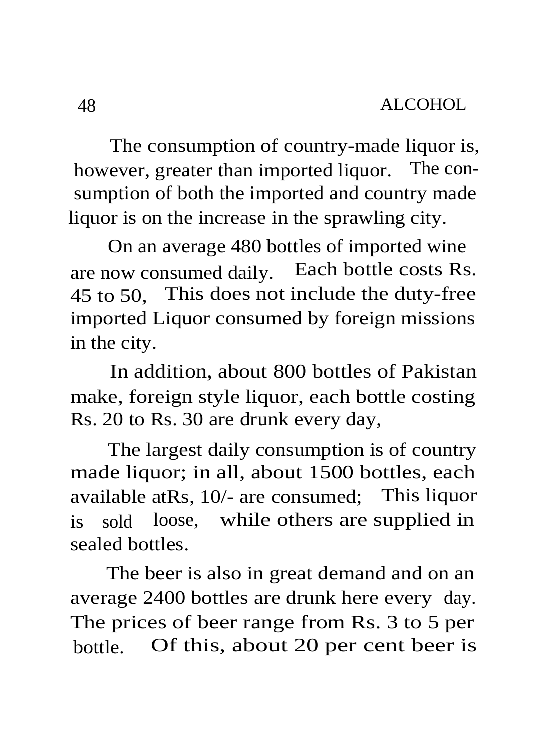The consumption of country-made liquor is, however, greater than imported liquor. The consumption of both the imported and country made liquor is on the increase in the sprawling city.

On an average 480 bottles of imported wine are now consumed daily. Each bottle costs Rs. 45 to 50, This does not include the duty-free imported Liquor consumed by foreign missions in the city.

In addition, about 800 bottles of Pakistan make, foreign style liquor, each bottle costing Rs. 20 to Rs. 30 are drunk every day,

The largest daily consumption is of country made liquor; in all, about 1500 bottles, each available atRs, 10/- are consumed; This liquor is sold loose, while others are supplied in sealed bottles.

The beer is also in great demand and on an average 2400 bottles are drunk here every day. The prices of beer range from Rs. 3 to 5 per bottle. Of this, about 20 per cent beer is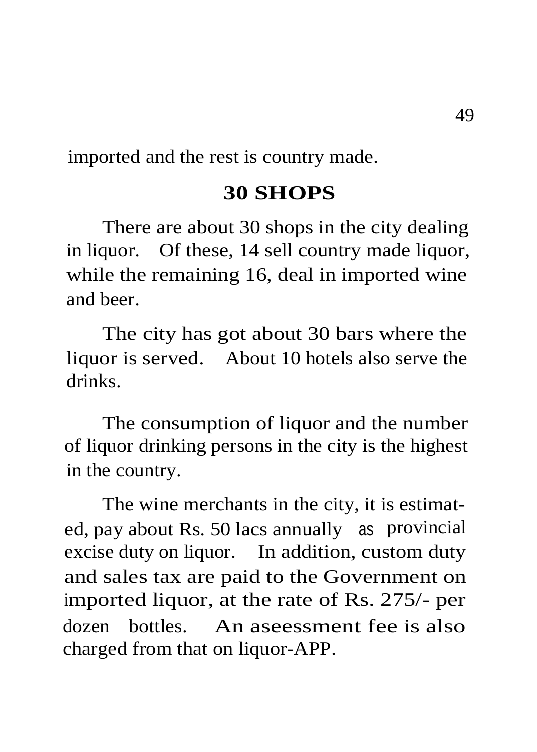imported and the rest is country made.

#### **30 SHOPS**

There are about 30 shops in the city dealing in liquor. Of these, 14 sell country made liquor, while the remaining 16, deal in imported wine and beer.

The city has got about 30 bars where the liquor is served. About 10 hotels also serve the drinks.

The consumption of liquor and the number of liquor drinking persons in the city is the highest in the country.

The wine merchants in the city, it is estimated, pay about Rs. 50 lacs annually as provincial excise duty on liquor. In addition, custom duty and sales tax are paid to the Government on imported liquor, at the rate of Rs. 275/- per dozen bottles. An aseessment fee is also charged from that on liquor-APP.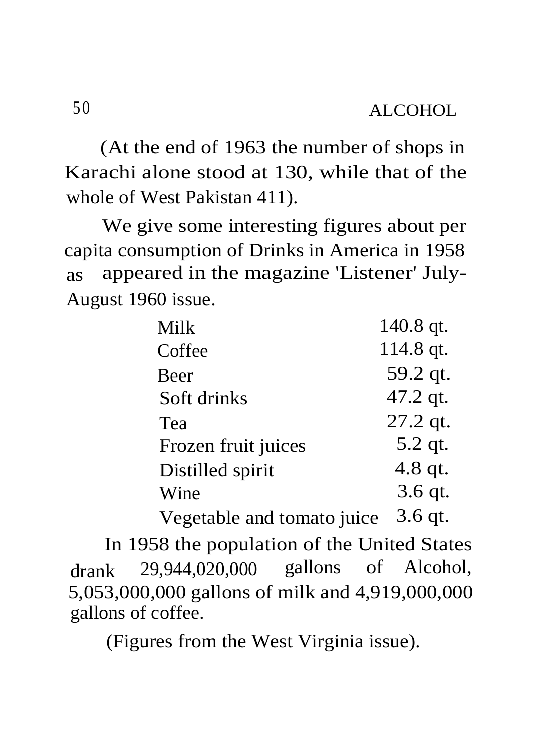(At the end of 1963 the number of shops in Karachi alone stood at 130, while that of the whole of West Pakistan 411).

We give some interesting figures about per capita consumption of Drinks in America in 1958 as appeared in the magazine 'Listener' July-August 1960 issue.

| Milk                | 140.8 qt. |
|---------------------|-----------|
| Coffee              | 114.8 qt. |
| <b>Beer</b>         | 59.2 qt.  |
| Soft drinks         | 47.2 qt.  |
| Tea                 | 27.2 qt.  |
| Frozen fruit juices | 5.2 qt.   |
| Distilled spirit    | 4.8 qt.   |
| Wine                | 3.6 qt.   |
|                     |           |

Vegetable and tomato juice 3.6 qt.

In 1958 the population of the United States drank 29,944,020,000 gallons of Alcohol, 5,053,000,000 gallons of milk and 4,919,000,000 gallons of coffee.

(Figures from the West Virginia issue).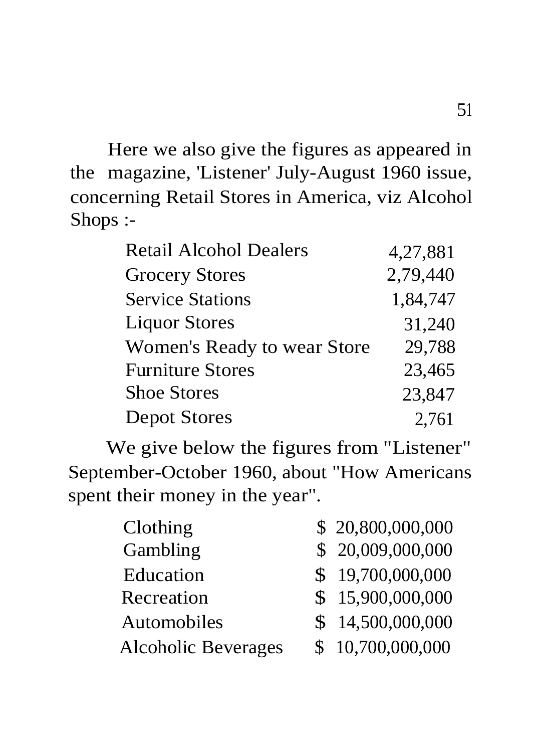Here we also give the figures as appeared in the magazine, 'Listener' July-August 1960 issue, concerning Retail Stores in America, viz Alcohol Shops :-

| Retail Alcohol Dealers      | 4,27,881 |
|-----------------------------|----------|
| <b>Grocery Stores</b>       | 2,79,440 |
| <b>Service Stations</b>     | 1.84.747 |
| <b>Liquor Stores</b>        | 31,240   |
| Women's Ready to wear Store | 29,788   |
| <b>Furniture Stores</b>     | 23,465   |
| <b>Shoe Stores</b>          | 23,847   |
| Depot Stores                | 2,761    |

We give below the figures from "Listener" September-October 1960, about "How Americans spent their money in the year".

| Clothing                   | \$20,800,000,000 |
|----------------------------|------------------|
| Gambling                   | \$20,009,000,000 |
| Education                  | \$19,700,000,000 |
| Recreation                 | \$15,900,000,000 |
| Automobiles                | \$14,500,000,000 |
| <b>Alcoholic Beverages</b> | \$10,700,000,000 |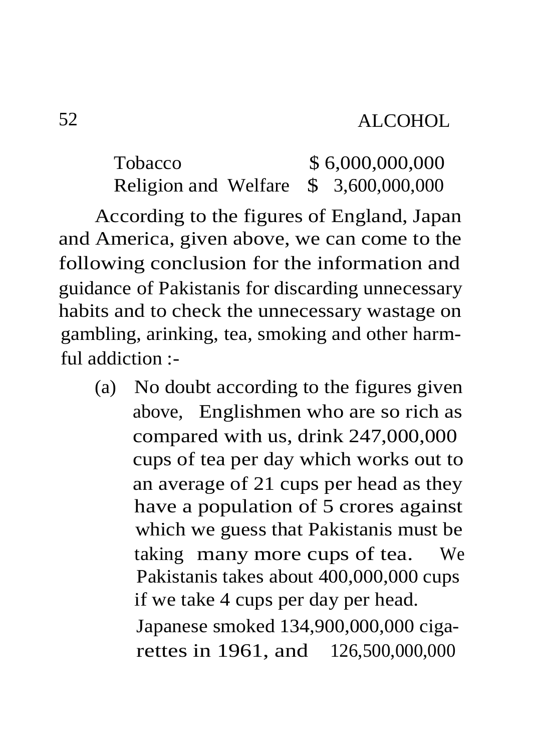Tobacco \$ 6,000,000,000 Religion and Welfare \$ 3,600,000,000

According to the figures of England, Japan and America, given above, we can come to the following conclusion for the information and guidance of Pakistanis for discarding unnecessary habits and to check the unnecessary wastage on gambling, arinking, tea, smoking and other harmful addiction :-

(a) No doubt according to the figures given above, Englishmen who are so rich as compared with us, drink 247,000,000 cups of tea per day which works out to an average of 21 cups per head as they have a population of 5 crores against which we guess that Pakistanis must be taking many more cups of tea. We Pakistanis takes about 400,000,000 cups if we take 4 cups per day per head. Japanese smoked 134,900,000,000 cigarettes in 1961, and 126,500,000,000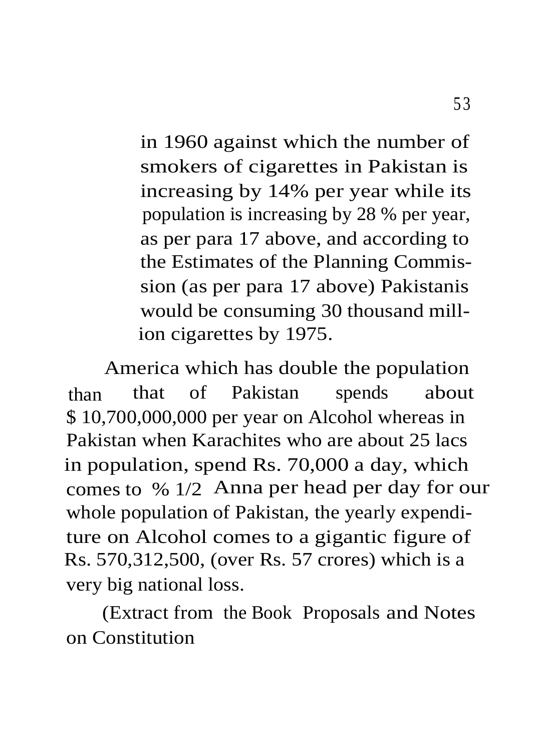in 1960 against which the number of smokers of cigarettes in Pakistan is increasing by 14% per year while its population is increasing by 28 % per year, as per para 17 above, and according to the Estimates of the Planning Commission (as per para 17 above) Pakistanis would be consuming 30 thousand million cigarettes by 1975.

America which has double the population than that of Pakistan spends about \$ 10,700,000,000 per year on Alcohol whereas in Pakistan when Karachites who are about 25 lacs in population, spend Rs. 70,000 a day, which comes to % 1/2 Anna per head per day for our whole population of Pakistan, the yearly expenditure on Alcohol comes to a gigantic figure of Rs. 570,312,500, (over Rs. 57 crores) which is a very big national loss.

(Extract from the Book Proposals and Notes on Constitution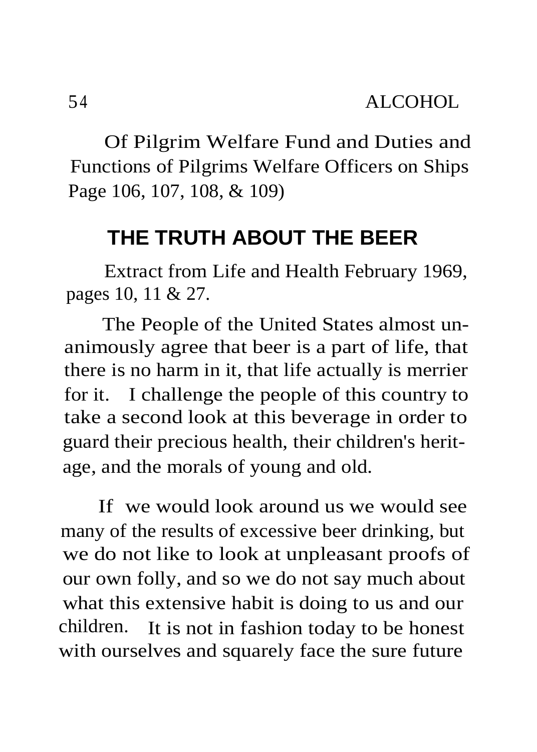Of Pilgrim Welfare Fund and Duties and Functions of Pilgrims Welfare Officers on Ships Page 106, 107, 108, & 109)

## **THE TRUTH ABOUT THE BEER**

Extract from Life and Health February 1969, pages 10, 11 & 27.

The People of the United States almost unanimously agree that beer is a part of life, that there is no harm in it, that life actually is merrier for it. I challenge the people of this country to take a second look at this beverage in order to guard their precious health, their children's heritage, and the morals of young and old.

If we would look around us we would see many of the results of excessive beer drinking, but we do not like to look at unpleasant proofs of our own folly, and so we do not say much about what this extensive habit is doing to us and our children. It is not in fashion today to be honest with ourselves and squarely face the sure future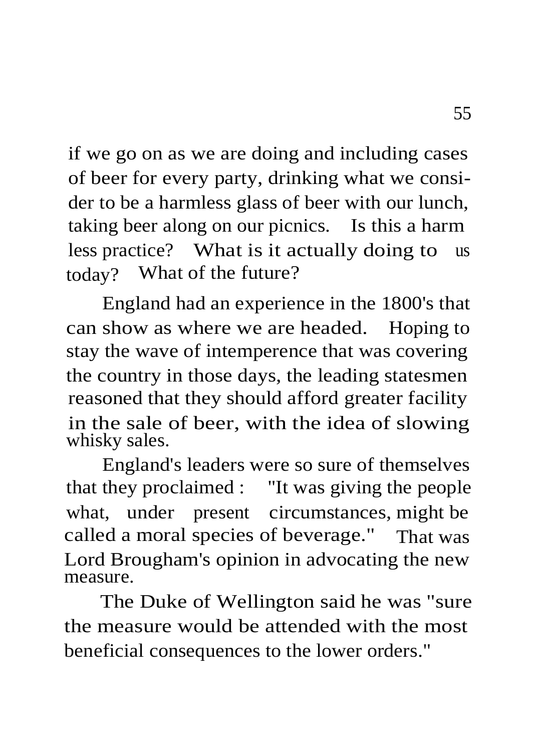if we go on as we are doing and including cases of beer for every party, drinking what we consider to be a harmless glass of beer with our lunch, taking beer along on our picnics. Is this a harm less practice? What is it actually doing to us today? What of the future?

England had an experience in the 1800's that can show as where we are headed. Hoping to stay the wave of intemperence that was covering the country in those days, the leading statesmen reasoned that they should afford greater facility in the sale of beer, with the idea of slowing whisky sales.

England's leaders were so sure of themselves that they proclaimed : "It was giving the people what, under present circumstances, might be called a moral species of beverage." That was Lord Brougham's opinion in advocating the new measure.

The Duke of Wellington said he was "sure the measure would be attended with the most beneficial consequences to the lower orders."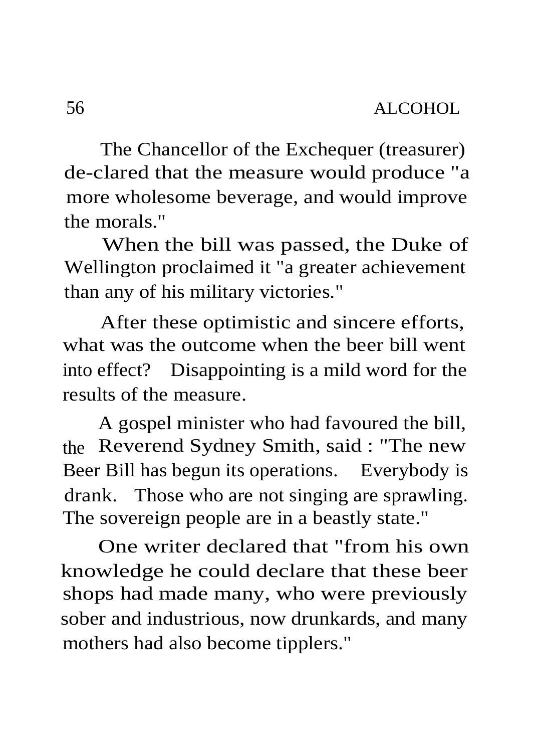The Chancellor of the Exchequer (treasurer) de-clared that the measure would produce "a more wholesome beverage, and would improve the morals."

When the bill was passed, the Duke of Wellington proclaimed it "a greater achievement than any of his military victories."

After these optimistic and sincere efforts, what was the outcome when the beer bill went into effect? Disappointing is a mild word for the results of the measure.

A gospel minister who had favoured the bill, the Reverend Sydney Smith, said : "The new Beer Bill has begun its operations. Everybody is drank. Those who are not singing are sprawling. The sovereign people are in a beastly state."

One writer declared that "from his own knowledge he could declare that these beer shops had made many, who were previously sober and industrious, now drunkards, and many mothers had also become tipplers."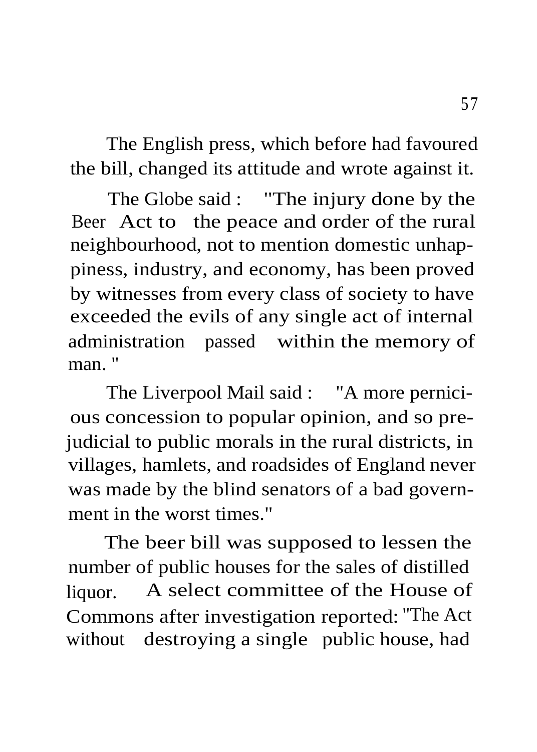The English press, which before had favoured the bill, changed its attitude and wrote against it.

The Globe said : "The injury done by the Beer Act to the peace and order of the rural neighbourhood, not to mention domestic unhappiness, industry, and economy, has been proved by witnesses from every class of society to have exceeded the evils of any single act of internal administration passed within the memory of man.'

The Liverpool Mail said : "A more pernicious concession to popular opinion, and so prejudicial to public morals in the rural districts, in villages, hamlets, and roadsides of England never was made by the blind senators of a bad government in the worst times."

The beer bill was supposed to lessen the number of public houses for the sales of distilled liquor. A select committee of the House of Commons after investigation reported: "The Act without destroying a single public house, had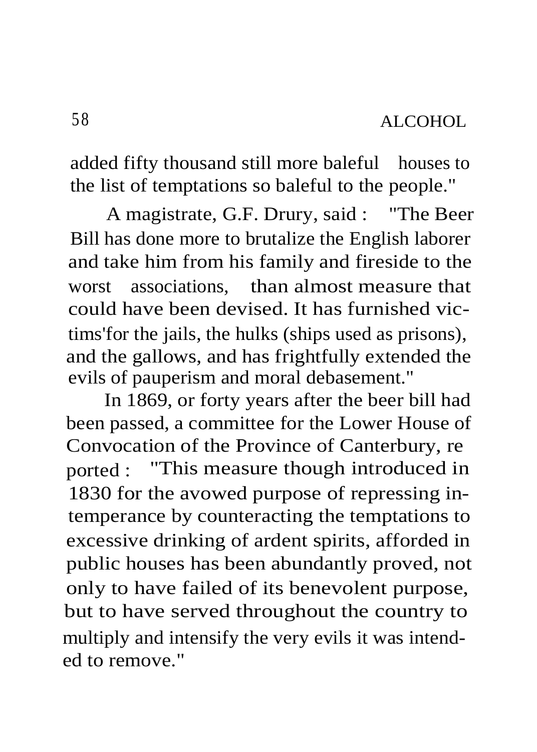added fifty thousand still more baleful houses to the list of temptations so baleful to the people."

A magistrate, G.F. Drury, said : "The Beer Bill has done more to brutalize the English laborer and take him from his family and fireside to the worst associations, than almost measure that could have been devised. It has furnished victims'for the jails, the hulks (ships used as prisons), and the gallows, and has frightfully extended the evils of pauperism and moral debasement."

In 1869, or forty years after the beer bill had been passed, a committee for the Lower House of Convocation of the Province of Canterbury, re ported : "This measure though introduced in 1830 for the avowed purpose of repressing intemperance by counteracting the temptations to excessive drinking of ardent spirits, afforded in public houses has been abundantly proved, not only to have failed of its benevolent purpose, but to have served throughout the country to multiply and intensify the very evils it was intended to remove."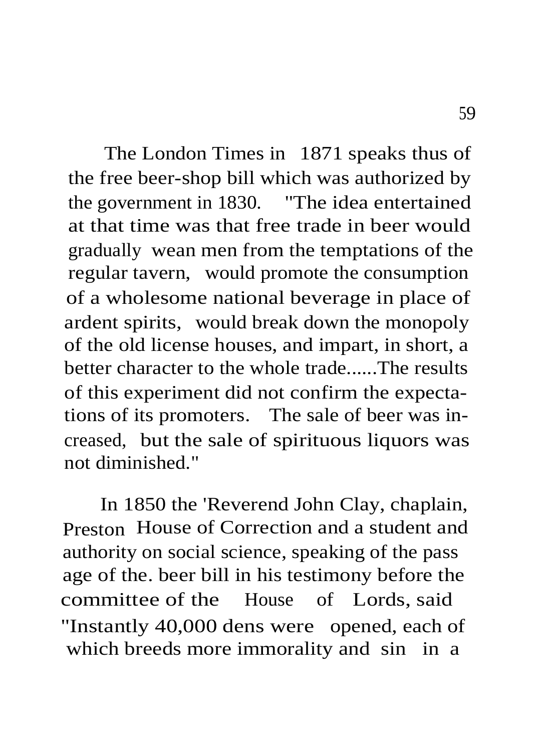The London Times in 1871 speaks thus of the free beer-shop bill which was authorized by the government in 1830. "The idea entertained at that time was that free trade in beer would gradually wean men from the temptations of the regular tavern, would promote the consumption of a wholesome national beverage in place of ardent spirits, would break down the monopoly of the old license houses, and impart, in short, a better character to the whole trade......The results of this experiment did not confirm the expectations of its promoters. The sale of beer was increased, but the sale of spirituous liquors was not diminished."

In 1850 the 'Reverend John Clay, chaplain, Preston House of Correction and a student and authority on social science, speaking of the pass age of the. beer bill in his testimony before the committee of the House of Lords, said "Instantly 40,000 dens were opened, each of which breeds more immorality and sin in a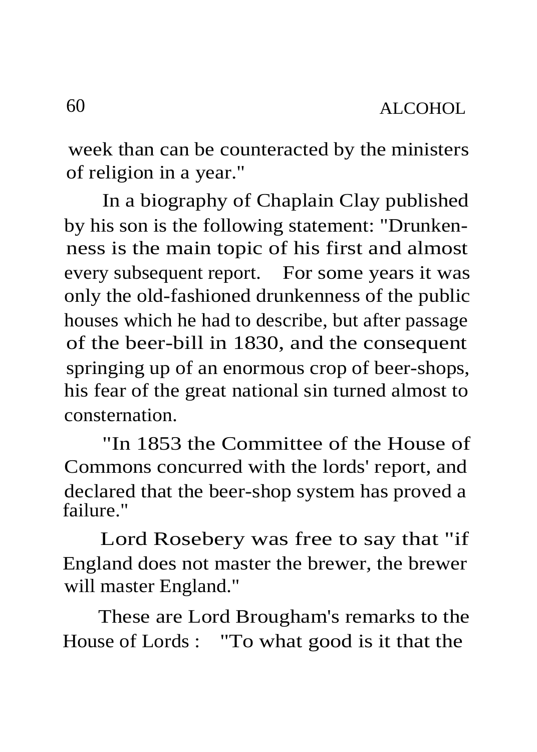week than can be counteracted by the ministers of religion in a year."

In a biography of Chaplain Clay published by his son is the following statement: "Drunkenness is the main topic of his first and almost every subsequent report. For some years it was only the old-fashioned drunkenness of the public houses which he had to describe, but after passage of the beer-bill in 1830, and the consequent springing up of an enormous crop of beer-shops, his fear of the great national sin turned almost to consternation.

"In 1853 the Committee of the House of Commons concurred with the lords' report, and declared that the beer-shop system has proved a failure."

Lord Rosebery was free to say that "if England does not master the brewer, the brewer will master England."

These are Lord Brougham's remarks to the House of Lords : "To what good is it that the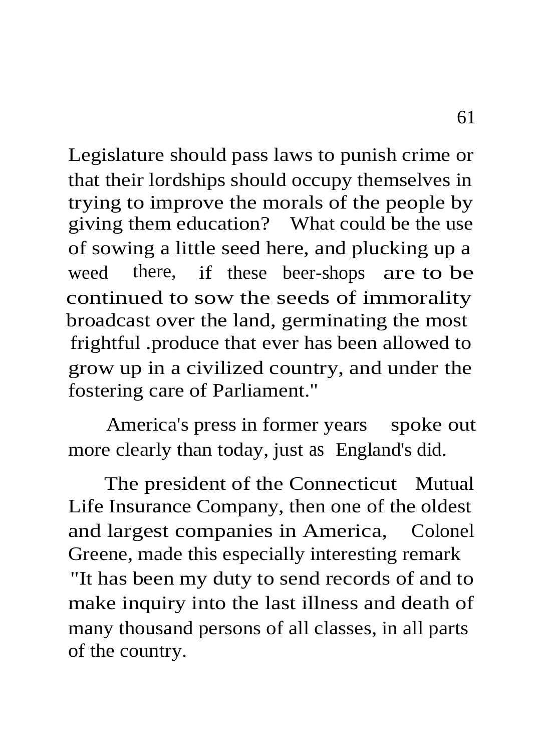Legislature should pass laws to punish crime or that their lordships should occupy themselves in trying to improve the morals of the people by giving them education? What could be the use of sowing a little seed here, and plucking up a weed there, if these beer-shops are to be continued to sow the seeds of immorality broadcast over the land, germinating the most frightful .produce that ever has been allowed to grow up in a civilized country, and under the fostering care of Parliament."

America's press in former years spoke out more clearly than today, just as England's did.

The president of the Connecticut Mutual Life Insurance Company, then one of the oldest and largest companies in America, Colonel Greene, made this especially interesting remark "It has been my duty to send records of and to make inquiry into the last illness and death of many thousand persons of all classes, in all parts of the country.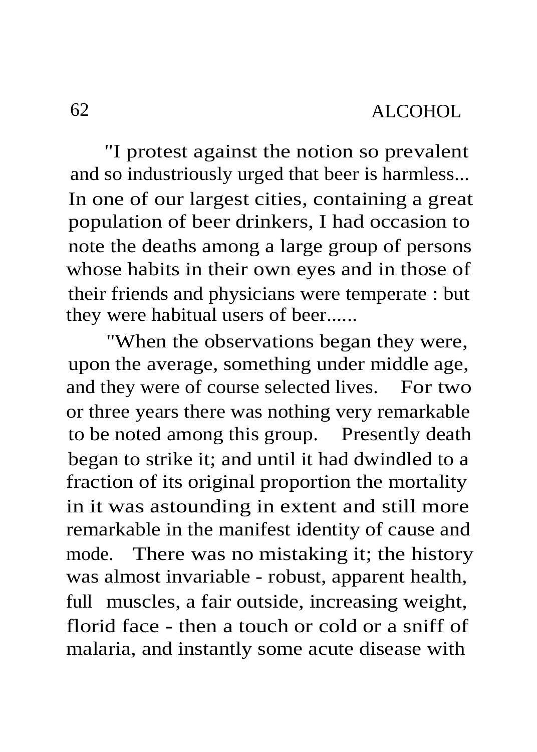"I protest against the notion so prevalent and so industriously urged that beer is harmless... In one of our largest cities, containing a great population of beer drinkers, I had occasion to note the deaths among a large group of persons whose habits in their own eyes and in those of their friends and physicians were temperate : but they were habitual users of beer......

"When the observations began they were, upon the average, something under middle age, and they were of course selected lives. For two or three years there was nothing very remarkable to be noted among this group. Presently death began to strike it; and until it had dwindled to a fraction of its original proportion the mortality in it was astounding in extent and still more remarkable in the manifest identity of cause and mode. There was no mistaking it; the history was almost invariable - robust, apparent health, full muscles, a fair outside, increasing weight, florid face - then a touch or cold or a sniff of malaria, and instantly some acute disease with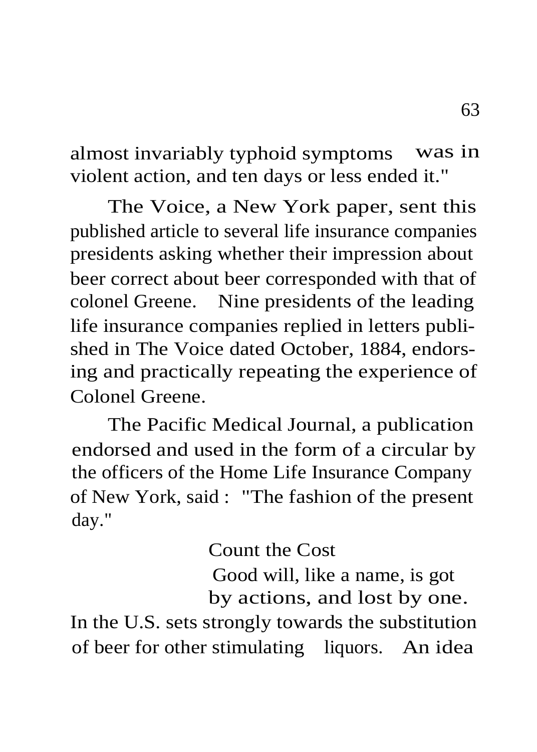almost invariably typhoid symptoms was in violent action, and ten days or less ended it."

The Voice, a New York paper, sent this published article to several life insurance companies presidents asking whether their impression about beer correct about beer corresponded with that of colonel Greene. Nine presidents of the leading life insurance companies replied in letters published in The Voice dated October, 1884, endorsing and practically repeating the experience of Colonel Greene.

The Pacific Medical Journal, a publication endorsed and used in the form of a circular by the officers of the Home Life Insurance Company of New York, said : "The fashion of the present day."

Count the Cost

Good will, like a name, is got by actions, and lost by one.

In the U.S. sets strongly towards the substitution of beer for other stimulating liquors. An idea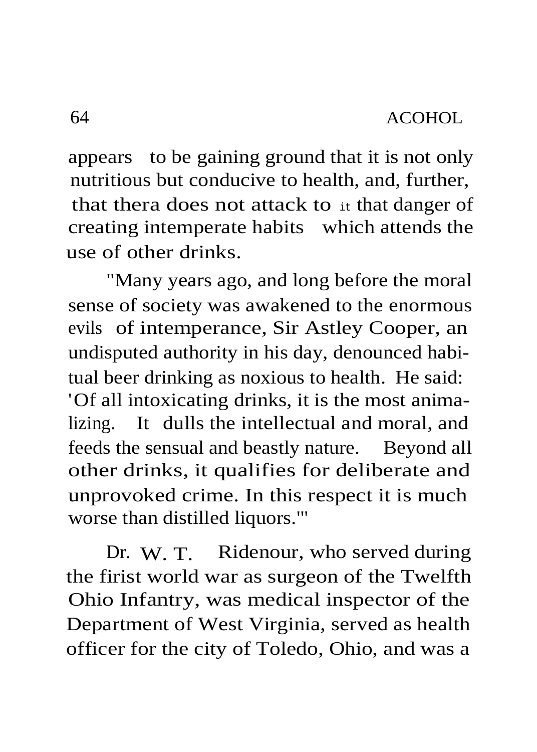appears to be gaining ground that it is not only nutritious but conducive to health, and, further, that thera does not attack to it that danger of creating intemperate habits which attends the use of other drinks.

"Many years ago, and long before the moral sense of society was awakened to the enormous evils of intemperance, Sir Astley Cooper, an undisputed authority in his day, denounced habitual beer drinking as noxious to health. He said: 'Of all intoxicating drinks, it is the most animalizing. It dulls the intellectual and moral, and feeds the sensual and beastly nature. Beyond all other drinks, it qualifies for deliberate and unprovoked crime. In this respect it is much worse than distilled liquors.'"

Dr. W. T. Ridenour, who served during the firist world war as surgeon of the Twelfth Ohio Infantry, was medical inspector of the Department of West Virginia, served as health officer for the city of Toledo, Ohio, and was a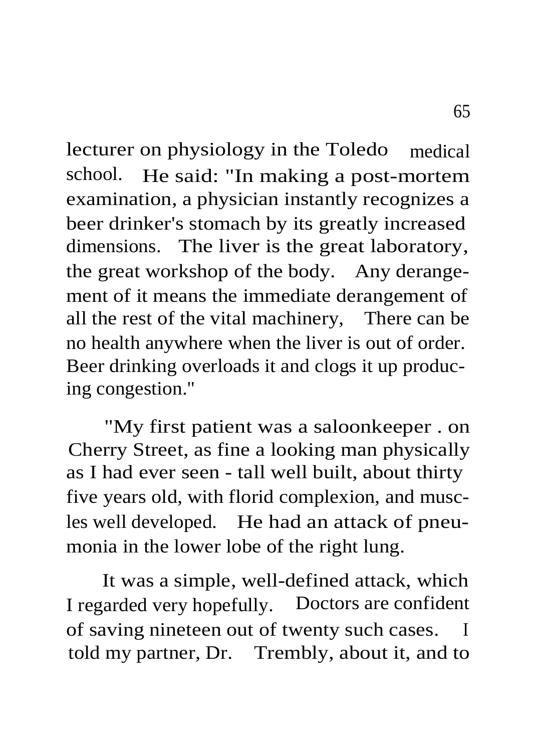lecturer on physiology in the Toledo medical school. He said: "In making a post-mortem examination, a physician instantly recognizes a beer drinker's stomach by its greatly increased dimensions. The liver is the great laboratory, the great workshop of the body. Any derangement of it means the immediate derangement of all the rest of the vital machinery, There can be no health anywhere when the liver is out of order. Beer drinking overloads it and clogs it up producing congestion."

"My first patient was a saloonkeeper . on Cherry Street, as fine a looking man physically as I had ever seen - tall well built, about thirty five years old, with florid complexion, and muscles well developed. He had an attack of pneumonia in the lower lobe of the right lung.

It was a simple, well-defined attack, which I regarded very hopefully. Doctors are confident of saving nineteen out of twenty such cases. I told my partner, Dr. Trembly, about it, and to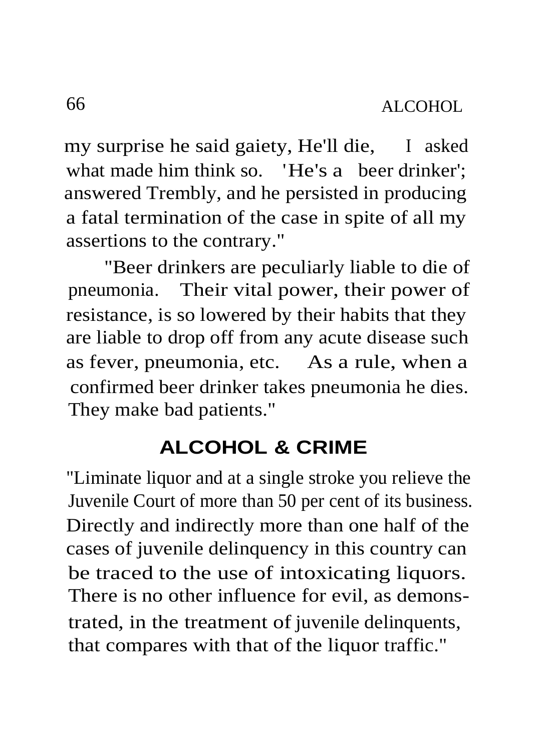my surprise he said gaiety, He'll die, I asked what made him think so. 'He's a beer drinker': answered Trembly, and he persisted in producing a fatal termination of the case in spite of all my assertions to the contrary."

"Beer drinkers are peculiarly liable to die of pneumonia. Their vital power, their power of resistance, is so lowered by their habits that they are liable to drop off from any acute disease such as fever, pneumonia, etc. As a rule, when a confirmed beer drinker takes pneumonia he dies. They make bad patients."

## **ALCOHOL & CRIME**

"Liminate liquor and at a single stroke you relieve the Juvenile Court of more than 50 per cent of its business. Directly and indirectly more than one half of the cases of juvenile delinquency in this country can be traced to the use of intoxicating liquors. There is no other influence for evil, as demonstrated, in the treatment of juvenile delinquents, that compares with that of the liquor traffic."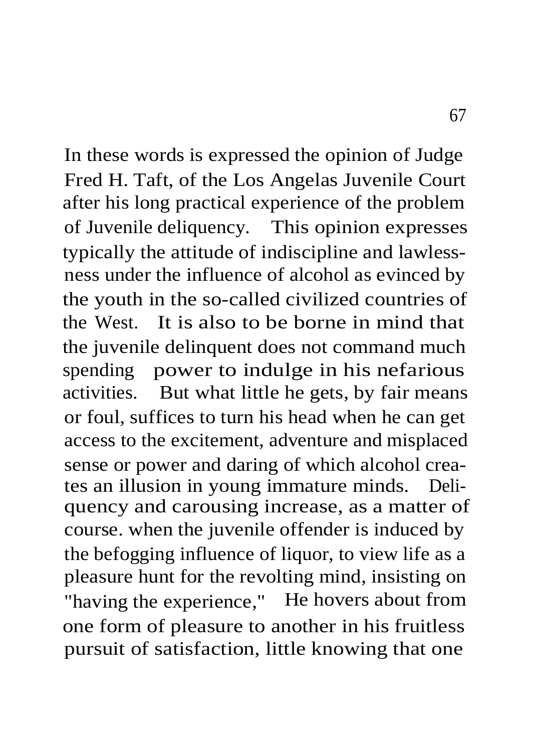In these words is expressed the opinion of Judge Fred H. Taft, of the Los Angelas Juvenile Court after his long practical experience of the problem of Juvenile deliquency. This opinion expresses typically the attitude of indiscipline and lawlessness under the influence of alcohol as evinced by the youth in the so-called civilized countries of the West. It is also to be borne in mind that the juvenile delinquent does not command much spending power to indulge in his nefarious activities. But what little he gets, by fair means or foul, suffices to turn his head when he can get access to the excitement, adventure and misplaced sense or power and daring of which alcohol creates an illusion in young immature minds. Deliquency and carousing increase, as a matter of course. when the juvenile offender is induced by the befogging influence of liquor, to view life as a pleasure hunt for the revolting mind, insisting on "having the experience," He hovers about from one form of pleasure to another in his fruitless pursuit of satisfaction, little knowing that one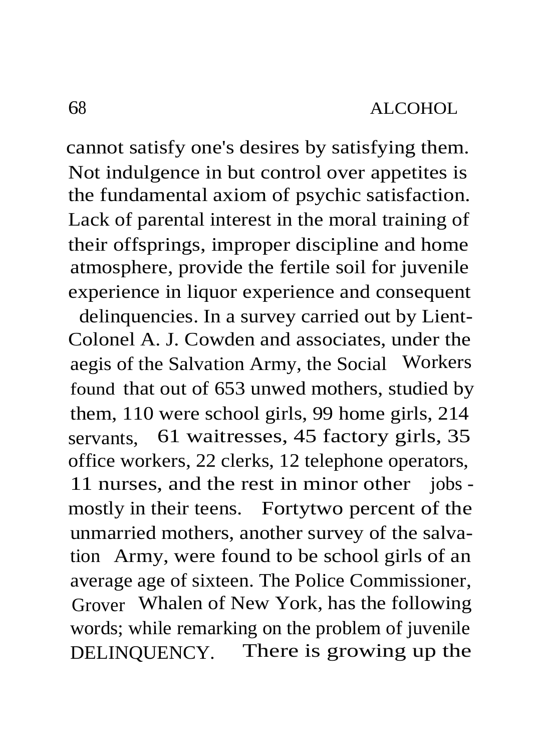cannot satisfy one's desires by satisfying them. Not indulgence in but control over appetites is the fundamental axiom of psychic satisfaction. Lack of parental interest in the moral training of their offsprings, improper discipline and home atmosphere, provide the fertile soil for juvenile experience in liquor experience and consequent

delinquencies. In a survey carried out by Lient-Colonel A. J. Cowden and associates, under the aegis of the Salvation Army, the Social Workers found that out of 653 unwed mothers, studied by them, 110 were school girls, 99 home girls, 214 servants, 61 waitresses, 45 factory girls, 35 office workers, 22 clerks, 12 telephone operators, 11 nurses, and the rest in minor other jobs mostly in their teens. Fortytwo percent of the unmarried mothers, another survey of the salvation Army, were found to be school girls of an average age of sixteen. The Police Commissioner, Grover Whalen of New York, has the following words; while remarking on the problem of juvenile DELINQUENCY. There is growing up the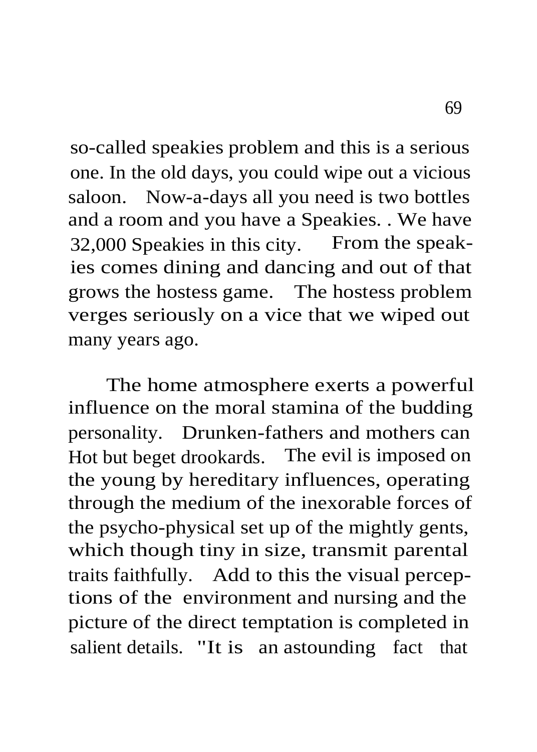so-called speakies problem and this is a serious one. In the old days, you could wipe out a vicious saloon. Now-a-days all you need is two bottles and a room and you have a Speakies. . We have 32,000 Speakies in this city. From the speakies comes dining and dancing and out of that grows the hostess game. The hostess problem verges seriously on a vice that we wiped out many years ago.

The home atmosphere exerts a powerful influence on the moral stamina of the budding personality. Drunken-fathers and mothers can Hot but beget drookards. The evil is imposed on the young by hereditary influences, operating through the medium of the inexorable forces of the psycho-physical set up of the mightly gents, which though tiny in size, transmit parental traits faithfully. Add to this the visual perceptions of the environment and nursing and the picture of the direct temptation is completed in salient details. "It is an astounding fact that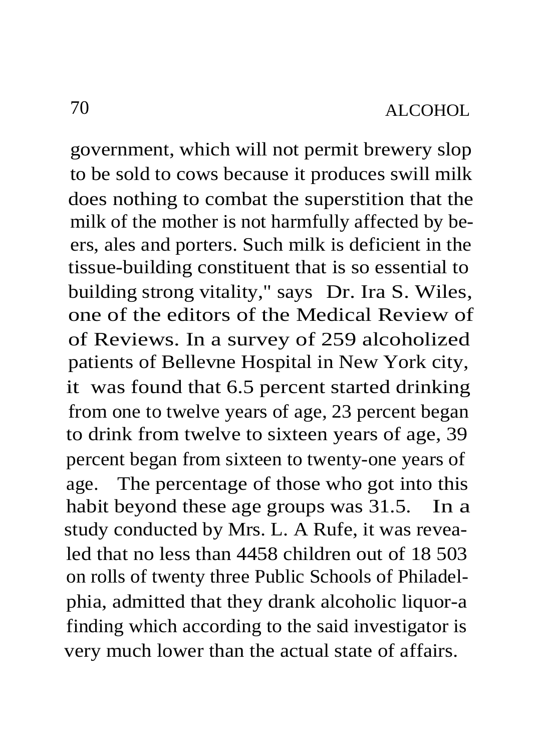government, which will not permit brewery slop to be sold to cows because it produces swill milk does nothing to combat the superstition that the milk of the mother is not harmfully affected by beers, ales and porters. Such milk is deficient in the tissue-building constituent that is so essential to building strong vitality," says Dr. Ira S. Wiles, one of the editors of the Medical Review of of Reviews. In a survey of 259 alcoholized patients of Bellevne Hospital in New York city, it was found that 6.5 percent started drinking from one to twelve years of age, 23 percent began to drink from twelve to sixteen years of age, 39 percent began from sixteen to twenty-one years of age. The percentage of those who got into this habit beyond these age groups was 31.5. In a study conducted by Mrs. L. A Rufe, it was revealed that no less than 4458 children out of 18 503 on rolls of twenty three Public Schools of Philadelphia, admitted that they drank alcoholic liquor-a finding which according to the said investigator is very much lower than the actual state of affairs.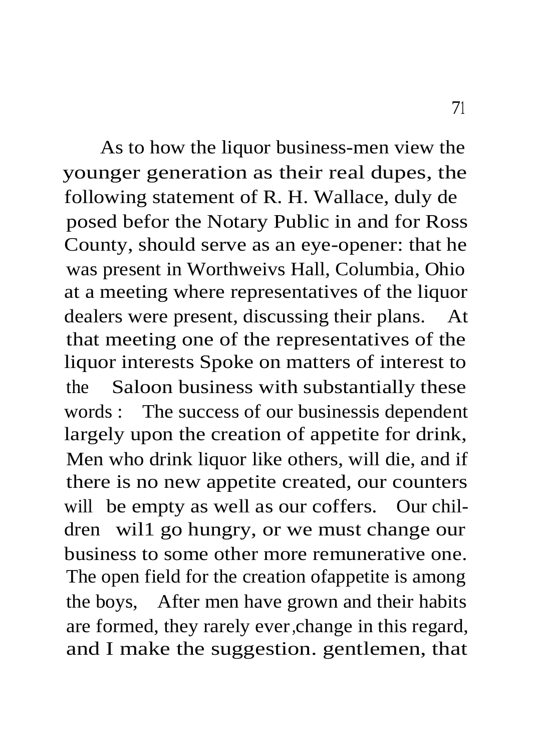As to how the liquor business-men view the younger generation as their real dupes, the following statement of R. H. Wallace, duly de posed befor the Notary Public in and for Ross County, should serve as an eye-opener: that he was present in Worthweivs Hall, Columbia, Ohio at a meeting where representatives of the liquor dealers were present, discussing their plans. At that meeting one of the representatives of the liquor interests Spoke on matters of interest to the Saloon business with substantially these words : The success of our businessis dependent largely upon the creation of appetite for drink, Men who drink liquor like others, will die, and if there is no new appetite created, our counters will be empty as well as our coffers. Our children wil1 go hungry, or we must change our business to some other more remunerative one. The open field for the creation ofappetite is among the boys, After men have grown and their habits are formed, they rarely ever,change in this regard, and I make the suggestion. gentlemen, that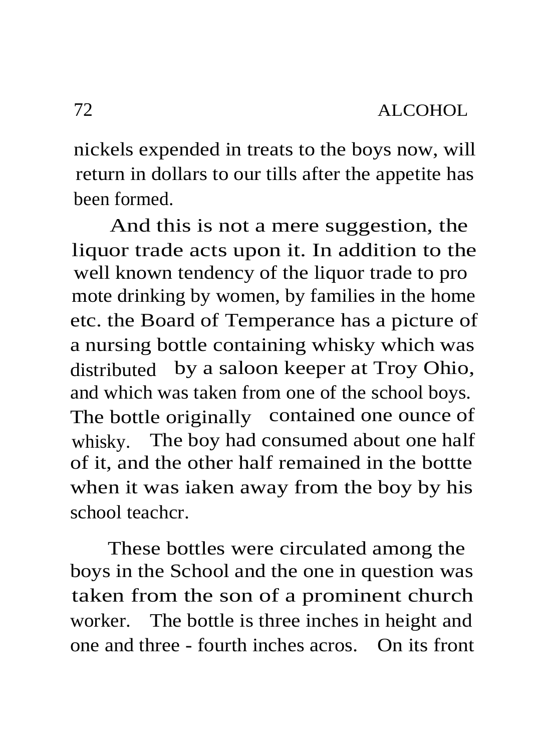nickels expended in treats to the boys now, will return in dollars to our tills after the appetite has been formed.

And this is not a mere suggestion, the liquor trade acts upon it. In addition to the well known tendency of the liquor trade to pro mote drinking by women, by families in the home etc. the Board of Temperance has a picture of a nursing bottle containing whisky which was distributed by a saloon keeper at Troy Ohio, and which was taken from one of the school boys. The bottle originally contained one ounce of whisky. The boy had consumed about one half of it, and the other half remained in the bottte when it was iaken away from the boy by his school teachcr.

These bottles were circulated among the boys in the School and the one in question was taken from the son of a prominent church worker. The bottle is three inches in height and one and three - fourth inches acros. On its front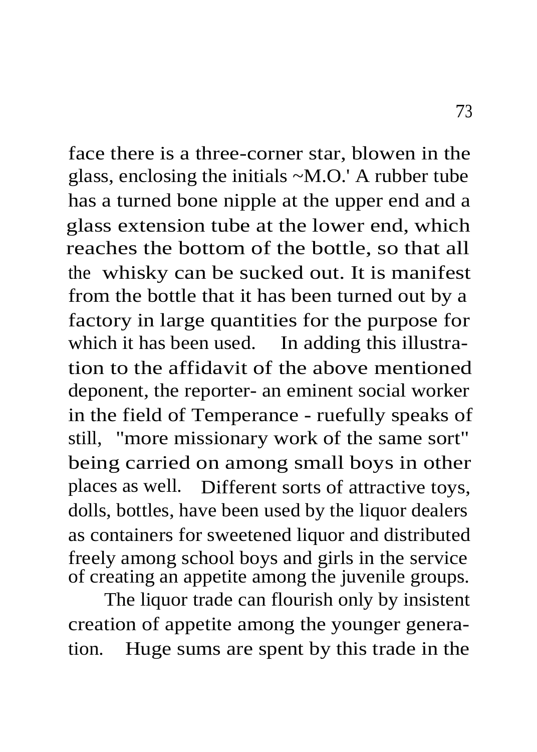face there is a three-corner star, blowen in the glass, enclosing the initials ~M.O.' A rubber tube has a turned bone nipple at the upper end and a glass extension tube at the lower end, which reaches the bottom of the bottle, so that all the whisky can be sucked out. It is manifest from the bottle that it has been turned out by a factory in large quantities for the purpose for which it has been used. In adding this illustration to the affidavit of the above mentioned deponent, the reporter- an eminent social worker in the field of Temperance - ruefully speaks of still, "more missionary work of the same sort" being carried on among small boys in other places as well. Different sorts of attractive toys, dolls, bottles, have been used by the liquor dealers as containers for sweetened liquor and distributed freely among school boys and girls in the service of creating an appetite among the juvenile groups.

The liquor trade can flourish only by insistent creation of appetite among the younger generation. Huge sums are spent by this trade in the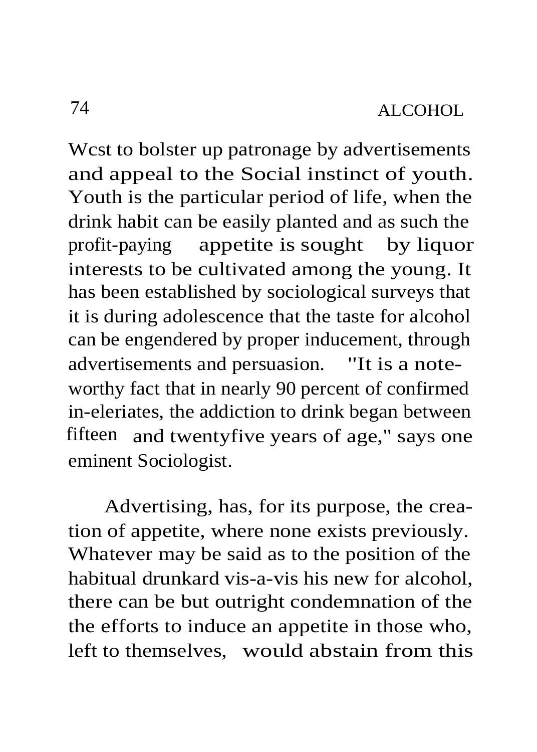Wcst to bolster up patronage by advertisements and appeal to the Social instinct of youth. Youth is the particular period of life, when the drink habit can be easily planted and as such the profit-paying appetite is sought by liquor interests to be cultivated among the young. It has been established by sociological surveys that it is during adolescence that the taste for alcohol can be engendered by proper inducement, through advertisements and persuasion. "It is a noteworthy fact that in nearly 90 percent of confirmed in-eleriates, the addiction to drink began between fifteen and twentyfive years of age," says one eminent Sociologist.

Advertising, has, for its purpose, the creation of appetite, where none exists previously. Whatever may be said as to the position of the habitual drunkard vis-a-vis his new for alcohol, there can be but outright condemnation of the the efforts to induce an appetite in those who, left to themselves, would abstain from this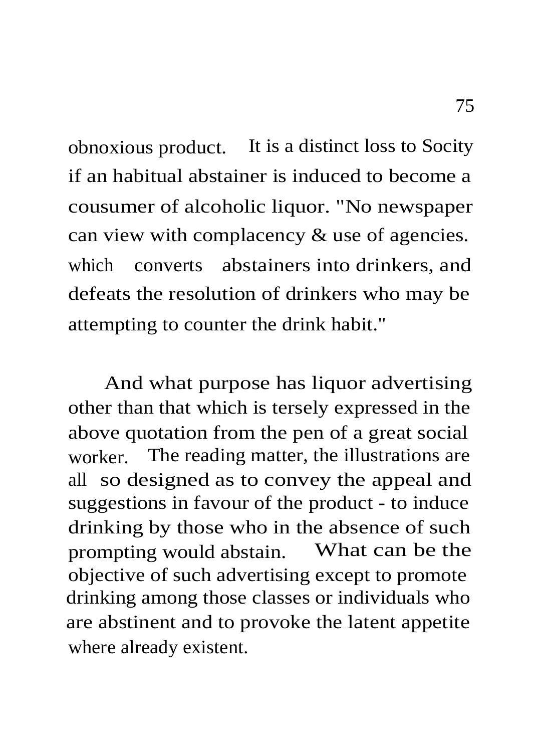obnoxious product. It is a distinct loss to Socity if an habitual abstainer is induced to become a cousumer of alcoholic liquor. "No newspaper can view with complacency & use of agencies. which converts abstainers into drinkers, and defeats the resolution of drinkers who may be attempting to counter the drink habit."

And what purpose has liquor advertising other than that which is tersely expressed in the above quotation from the pen of a great social worker. The reading matter, the illustrations are all so designed as to convey the appeal and suggestions in favour of the product - to induce drinking by those who in the absence of such prompting would abstain. What can be the objective of such advertising except to promote drinking among those classes or individuals who are abstinent and to provoke the latent appetite where already existent.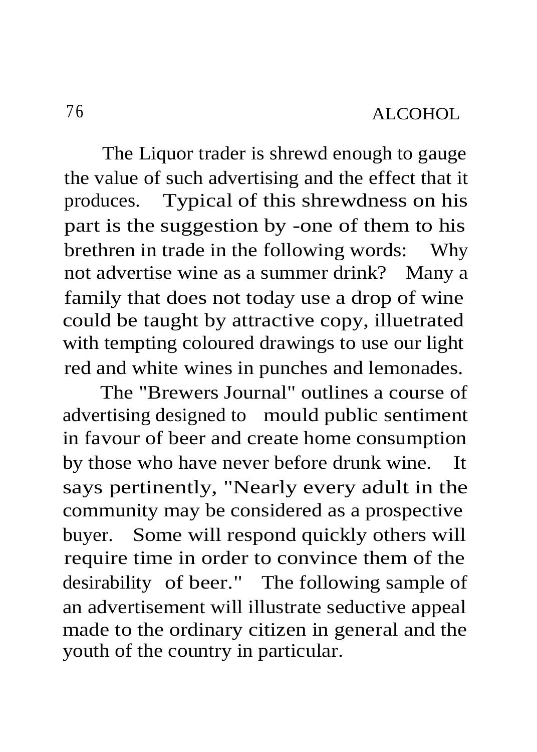The Liquor trader is shrewd enough to gauge the value of such advertising and the effect that it produces. Typical of this shrewdness on his part is the suggestion by -one of them to his brethren in trade in the following words: Why not advertise wine as a summer drink? Many a family that does not today use a drop of wine could be taught by attractive copy, illuetrated with tempting coloured drawings to use our light red and white wines in punches and lemonades.

The "Brewers Journal" outlines a course of advertising designed to mould public sentiment in favour of beer and create home consumption by those who have never before drunk wine. It says pertinently, "Nearly every adult in the community may be considered as a prospective buyer. Some will respond quickly others will require time in order to convince them of the desirability of beer." The following sample of an advertisement will illustrate seductive appeal made to the ordinary citizen in general and the youth of the country in particular.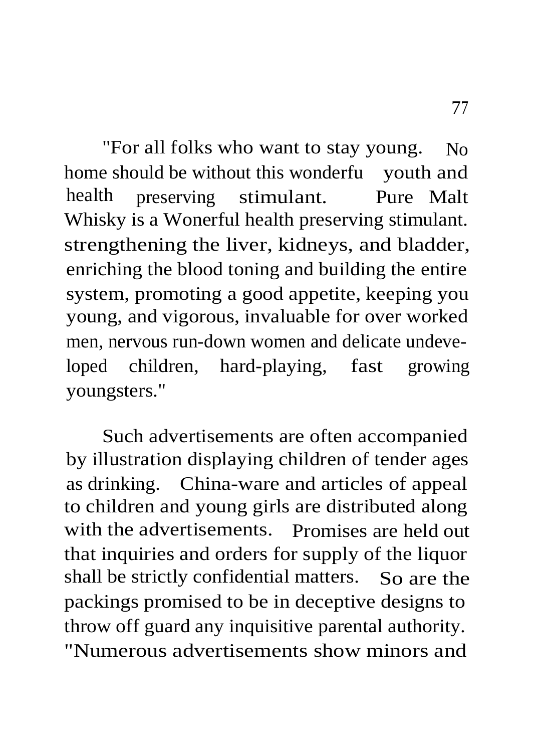"For all folks who want to stay young. No home should be without this wonderfu vouth and health preserving stimulant. Pure Malt Whisky is a Wonerful health preserving stimulant. strengthening the liver, kidneys, and bladder, enriching the blood toning and building the entire system, promoting a good appetite, keeping you young, and vigorous, invaluable for over worked men, nervous run-down women and delicate undeveloped children, hard-playing, fast growing youngsters."

Such advertisements are often accompanied by illustration displaying children of tender ages as drinking. China-ware and articles of appeal to children and young girls are distributed along with the advertisements. Promises are held out that inquiries and orders for supply of the liquor shall be strictly confidential matters. So are the packings promised to be in deceptive designs to throw off guard any inquisitive parental authority. "Numerous advertisements show minors and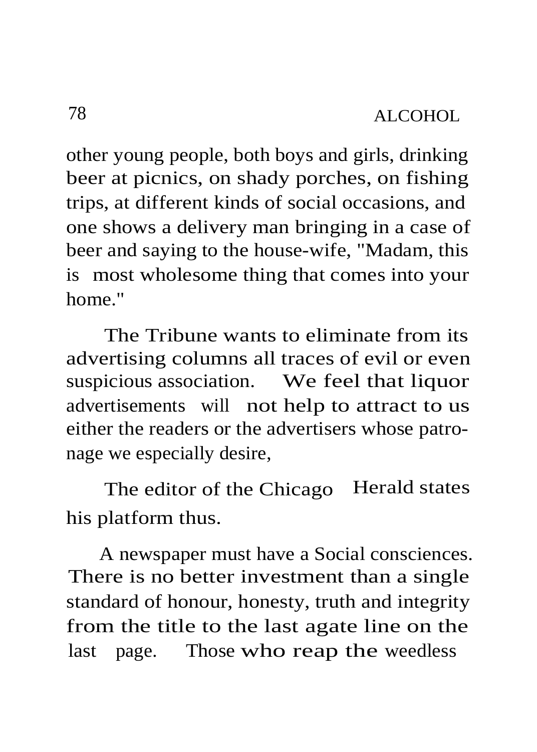other young people, both boys and girls, drinking beer at picnics, on shady porches, on fishing trips, at different kinds of social occasions, and one shows a delivery man bringing in a case of beer and saying to the house-wife, "Madam, this is most wholesome thing that comes into your home."

The Tribune wants to eliminate from its advertising columns all traces of evil or even suspicious association. We feel that liquor advertisements will not help to attract to us either the readers or the advertisers whose patronage we especially desire,

The editor of the Chicago Herald states his platform thus.

A newspaper must have a Social consciences. There is no better investment than a single standard of honour, honesty, truth and integrity from the title to the last agate line on the last page. Those who reap the weedless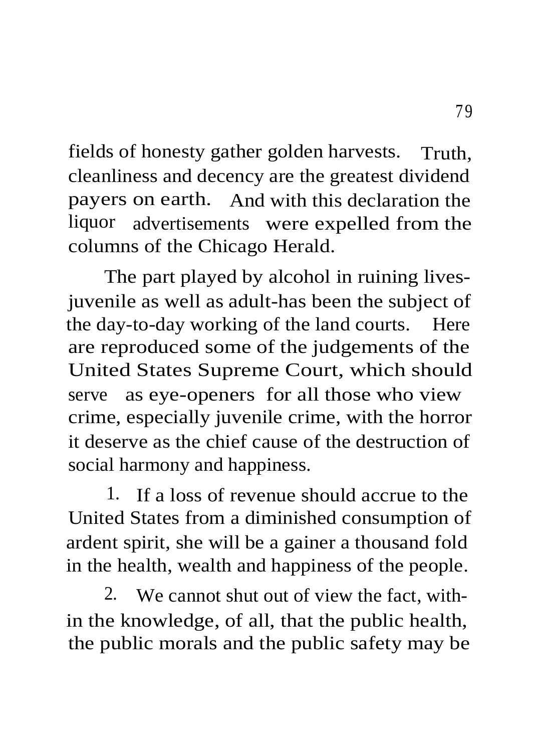fields of honesty gather golden harvests. Truth, cleanliness and decency are the greatest dividend payers on earth. And with this declaration the liquor advertisements were expelled from the columns of the Chicago Herald.

The part played by alcohol in ruining livesjuvenile as well as adult-has been the subject of the day-to-day working of the land courts. Here are reproduced some of the judgements of the United States Supreme Court, which should serve as eye-openers for all those who view crime, especially juvenile crime, with the horror it deserve as the chief cause of the destruction of social harmony and happiness.

1. If a loss of revenue should accrue to the United States from a diminished consumption of ardent spirit, she will be a gainer a thousand fold in the health, wealth and happiness of the people.

2. We cannot shut out of view the fact, within the knowledge, of all, that the public health, the public morals and the public safety may be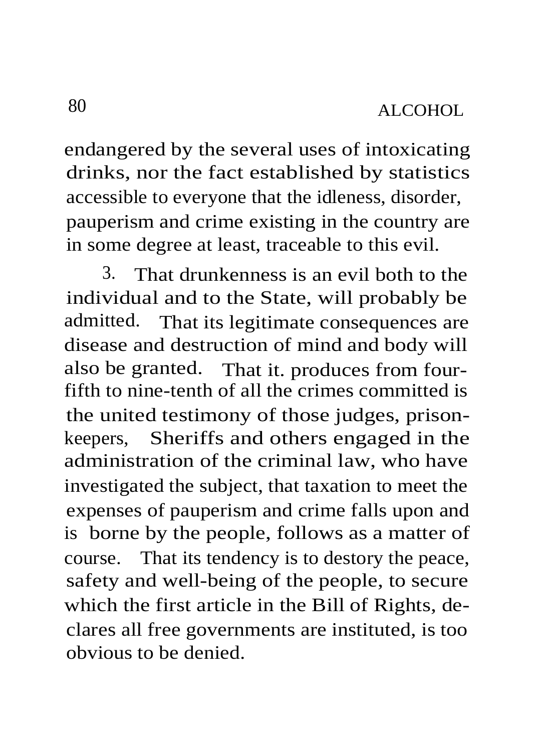endangered by the several uses of intoxicating drinks, nor the fact established by statistics accessible to everyone that the idleness, disorder, pauperism and crime existing in the country are in some degree at least, traceable to this evil.

3. That drunkenness is an evil both to the individual and to the State, will probably be admitted. That its legitimate consequences are disease and destruction of mind and body will also be granted. That it. produces from fourfifth to nine-tenth of all the crimes committed is the united testimony of those judges, prisonkeepers, Sheriffs and others engaged in the administration of the criminal law, who have investigated the subject, that taxation to meet the expenses of pauperism and crime falls upon and is borne by the people, follows as a matter of course. That its tendency is to destory the peace, safety and well-being of the people, to secure which the first article in the Bill of Rights, declares all free governments are instituted, is too obvious to be denied.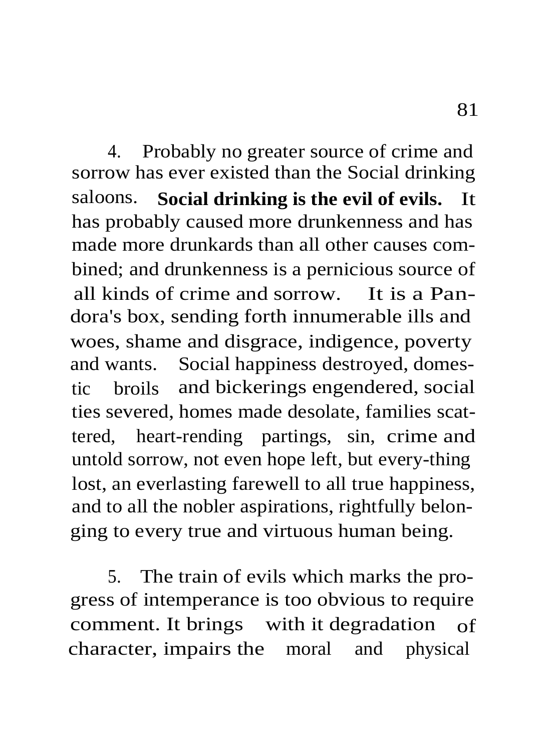4. Probably no greater source of crime and sorrow has ever existed than the Social drinking saloons. **Social drinking is the evil of evils.** It has probably caused more drunkenness and has made more drunkards than all other causes combined; and drunkenness is a pernicious source of all kinds of crime and sorrow. It is a Pandora's box, sending forth innumerable ills and woes, shame and disgrace, indigence, poverty and wants. Social happiness destroyed, domestic broils and bickerings engendered, social ties severed, homes made desolate, families scattered, heart-rending partings, sin, crime and untold sorrow, not even hope left, but every-thing lost, an everlasting farewell to all true happiness, and to all the nobler aspirations, rightfully belonging to every true and virtuous human being.

5. The train of evils which marks the progress of intemperance is too obvious to require comment. It brings with it degradation of character, impairs the moral and physical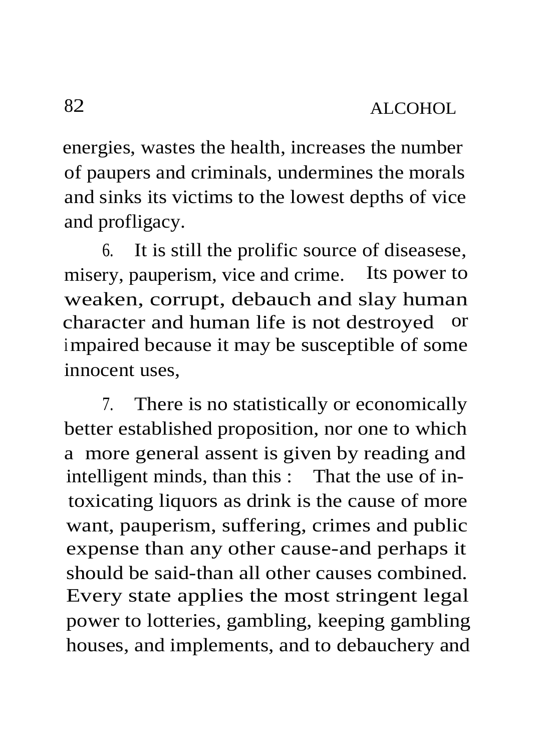energies, wastes the health, increases the number of paupers and criminals, undermines the morals and sinks its victims to the lowest depths of vice and profligacy.

6. It is still the prolific source of diseasese, misery, pauperism, vice and crime. Its power to weaken, corrupt, debauch and slay human character and human life is not destroyed or impaired because it may be susceptible of some innocent uses,

7. There is no statistically or economically better established proposition, nor one to which a more general assent is given by reading and intelligent minds, than this : That the use of intoxicating liquors as drink is the cause of more want, pauperism, suffering, crimes and public expense than any other cause-and perhaps it should be said-than all other causes combined. Every state applies the most stringent legal power to lotteries, gambling, keeping gambling houses, and implements, and to debauchery and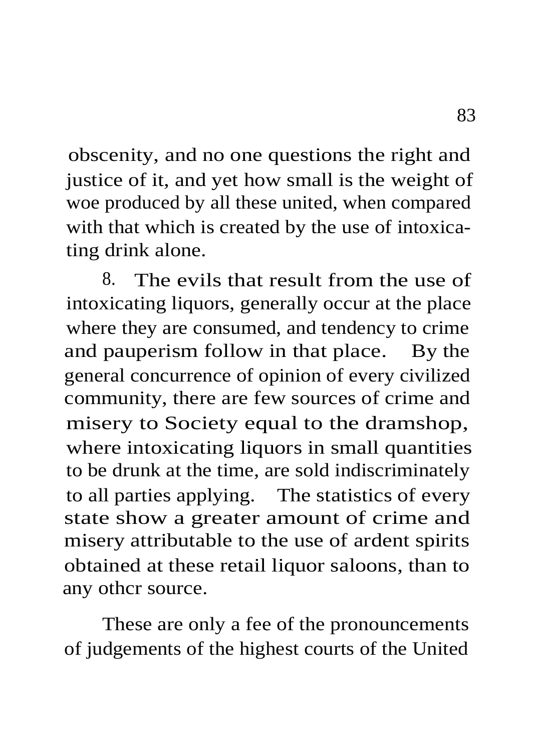obscenity, and no one questions the right and justice of it, and yet how small is the weight of woe produced by all these united, when compared with that which is created by the use of intoxicating drink alone.

8. The evils that result from the use of intoxicating liquors, generally occur at the place where they are consumed, and tendency to crime and pauperism follow in that place. By the general concurrence of opinion of every civilized community, there are few sources of crime and misery to Society equal to the dramshop, where intoxicating liquors in small quantities to be drunk at the time, are sold indiscriminately to all parties applying. The statistics of every state show a greater amount of crime and misery attributable to the use of ardent spirits obtained at these retail liquor saloons, than to any othcr source.

These are only a fee of the pronouncements of judgements of the highest courts of the United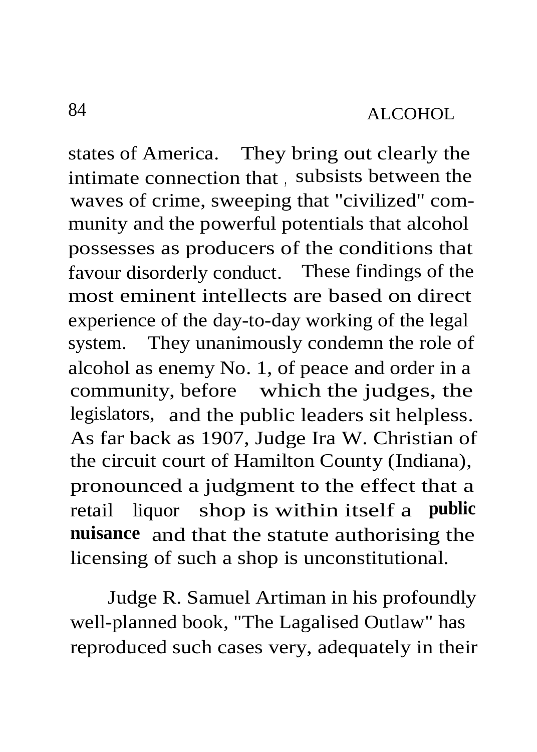states of America. They bring out clearly the intimate connection that , subsists between the waves of crime, sweeping that "civilized" community and the powerful potentials that alcohol possesses as producers of the conditions that favour disorderly conduct. These findings of the most eminent intellects are based on direct experience of the day-to-day working of the legal system. They unanimously condemn the role of alcohol as enemy No. 1, of peace and order in a community, before which the judges, the legislators, and the public leaders sit helpless. As far back as 1907, Judge Ira W. Christian of the circuit court of Hamilton County (Indiana), pronounced a judgment to the effect that a retail liquor shop is within itself a **public nuisance** and that the statute authorising the licensing of such a shop is unconstitutional.

Judge R. Samuel Artiman in his profoundly well-planned book, "The Lagalised Outlaw" has reproduced such cases very, adequately in their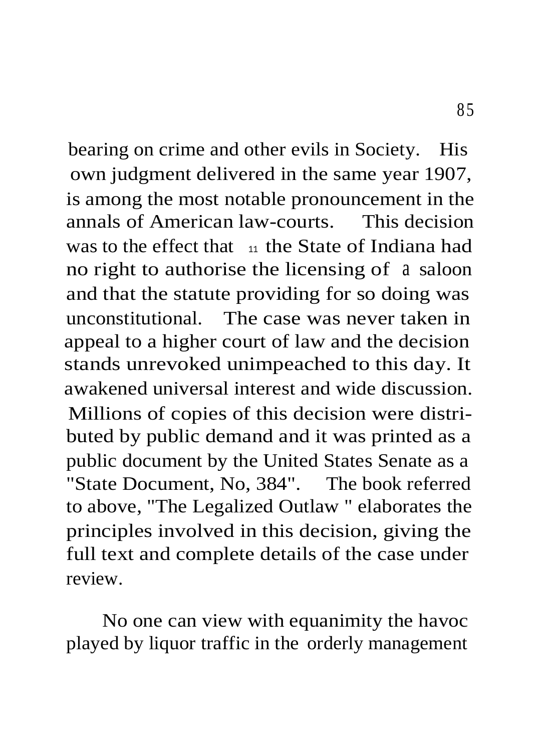bearing on crime and other evils in Society. His own judgment delivered in the same year 1907, is among the most notable pronouncement in the annals of American law-courts. This decision was to the effect that  $\frac{11}{11}$  the State of Indiana had no right to authorise the licensing of a saloon and that the statute providing for so doing was unconstitutional. The case was never taken in appeal to a higher court of law and the decision stands unrevoked unimpeached to this day. It awakened universal interest and wide discussion. Millions of copies of this decision were distributed by public demand and it was printed as a public document by the United States Senate as a "State Document, No, 384". The book referred to above, "The Legalized Outlaw " elaborates the principles involved in this decision, giving the full text and complete details of the case under review.

No one can view with equanimity the havoc played by liquor traffic in the orderly management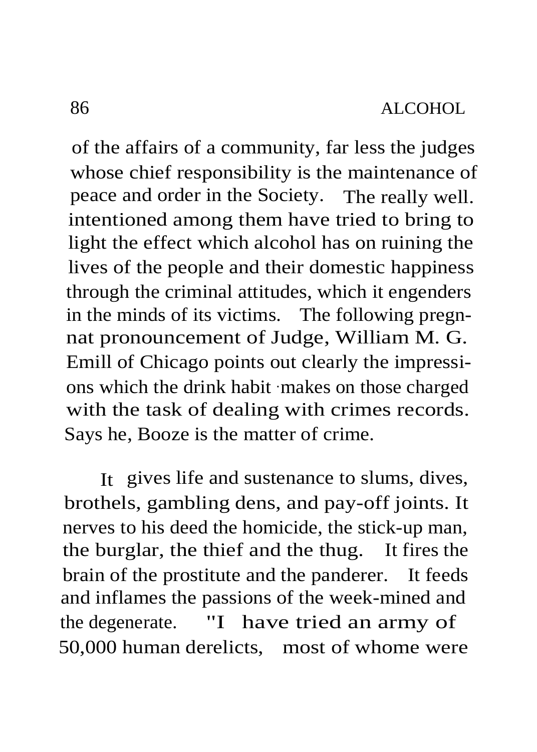of the affairs of a community, far less the judges whose chief responsibility is the maintenance of peace and order in the Society. The really well. intentioned among them have tried to bring to light the effect which alcohol has on ruining the lives of the people and their domestic happiness through the criminal attitudes, which it engenders in the minds of its victims. The following pregnnat pronouncement of Judge, William M. G. Emill of Chicago points out clearly the impressions which the drink habit -makes on those charged with the task of dealing with crimes records. Says he, Booze is the matter of crime.

It gives life and sustenance to slums, dives, brothels, gambling dens, and pay-off joints. It nerves to his deed the homicide, the stick-up man, the burglar, the thief and the thug. It fires the brain of the prostitute and the panderer. It feeds and inflames the passions of the week-mined and the degenerate. "I have tried an army of 50,000 human derelicts, most of whome were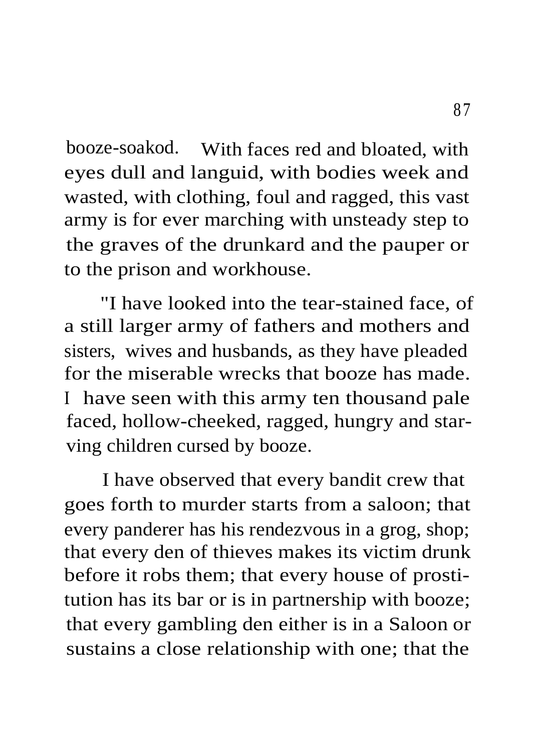booze-soakod. With faces red and bloated, with eyes dull and languid, with bodies week and wasted, with clothing, foul and ragged, this vast army is for ever marching with unsteady step to the graves of the drunkard and the pauper or to the prison and workhouse.

"I have looked into the tear-stained face, of a still larger army of fathers and mothers and sisters, wives and husbands, as they have pleaded for the miserable wrecks that booze has made. I have seen with this army ten thousand pale faced, hollow-cheeked, ragged, hungry and starving children cursed by booze.

I have observed that every bandit crew that goes forth to murder starts from a saloon; that every panderer has his rendezvous in a grog, shop; that every den of thieves makes its victim drunk before it robs them; that every house of prostitution has its bar or is in partnership with booze; that every gambling den either is in a Saloon or sustains a close relationship with one; that the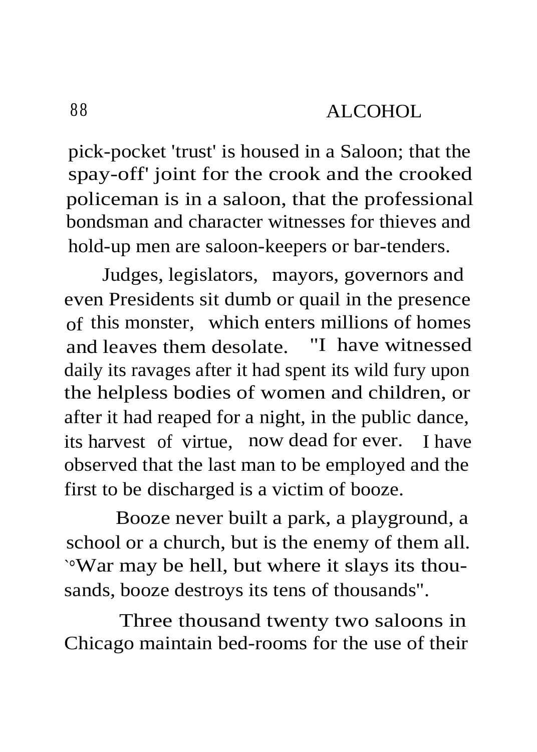pick-pocket 'trust' is housed in a Saloon; that the spay-off' joint for the crook and the crooked policeman is in a saloon, that the professional bondsman and character witnesses for thieves and hold-up men are saloon-keepers or bar-tenders.

Judges, legislators, mayors, governors and even Presidents sit dumb or quail in the presence of this monster, which enters millions of homes and leaves them desolate. "I have witnessed daily its ravages after it had spent its wild fury upon the helpless bodies of women and children, or after it had reaped for a night, in the public dance, its harvest of virtue, now dead for ever. I have observed that the last man to be employed and the first to be discharged is a victim of booze.

Booze never built a park, a playground, a school or a church, but is the enemy of them all. `°War may be hell, but where it slays its thousands, booze destroys its tens of thousands".

Three thousand twenty two saloons in Chicago maintain bed-rooms for the use of their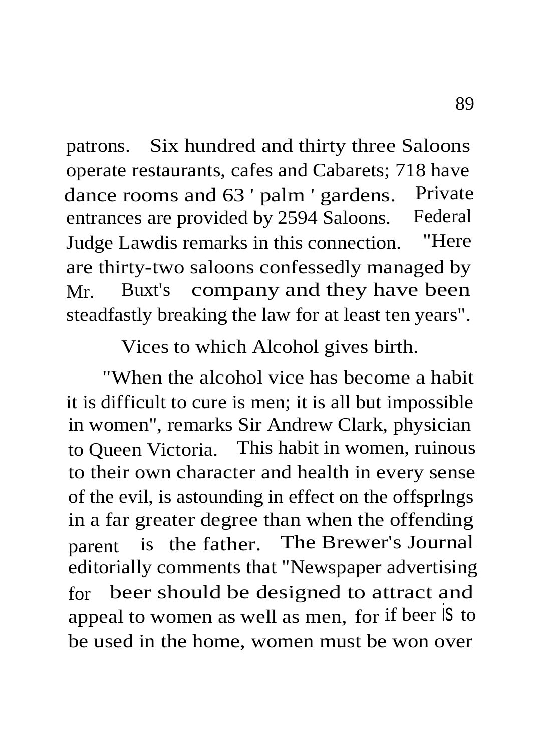patrons. Six hundred and thirty three Saloons operate restaurants, cafes and Cabarets; 718 have dance rooms and 63 ' palm ' gardens. Private entrances are provided by 2594 Saloons. Federal Judge Lawdis remarks in this connection. "Here are thirty-two saloons confessedly managed by Mr. Buxt's company and they have been steadfastly breaking the law for at least ten years".

Vices to which Alcohol gives birth.

"When the alcohol vice has become a habit it is difficult to cure is men; it is all but impossible in women", remarks Sir Andrew Clark, physician to Queen Victoria. This habit in women, ruinous to their own character and health in every sense of the evil, is astounding in effect on the offsprlngs in a far greater degree than when the offending parent is the father. The Brewer's Journal editorially comments that "Newspaper advertising for beer should be designed to attract and appeal to women as well as men, for if beer is to be used in the home, women must be won over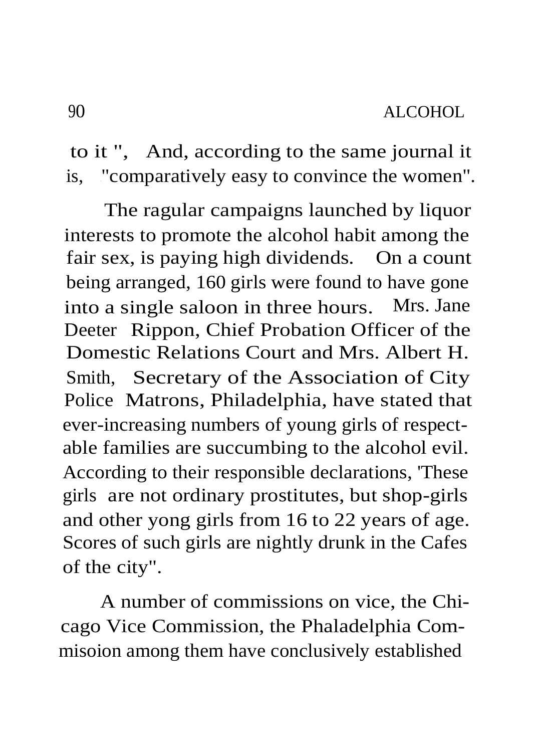to it ", And, according to the same journal it is, "comparatively easy to convince the women".

The ragular campaigns launched by liquor interests to promote the alcohol habit among the fair sex, is paying high dividends. On a count being arranged, 160 girls were found to have gone into a single saloon in three hours. Mrs. Jane Deeter Rippon, Chief Probation Officer of the Domestic Relations Court and Mrs. Albert H. Smith, Secretary of the Association of City Police Matrons, Philadelphia, have stated that ever-increasing numbers of young girls of respectable families are succumbing to the alcohol evil. According to their responsible declarations, 'These girls are not ordinary prostitutes, but shop-girls and other yong girls from 16 to 22 years of age. Scores of such girls are nightly drunk in the Cafes of the city".

A number of commissions on vice, the Chicago Vice Commission, the Phaladelphia Commisoion among them have conclusively established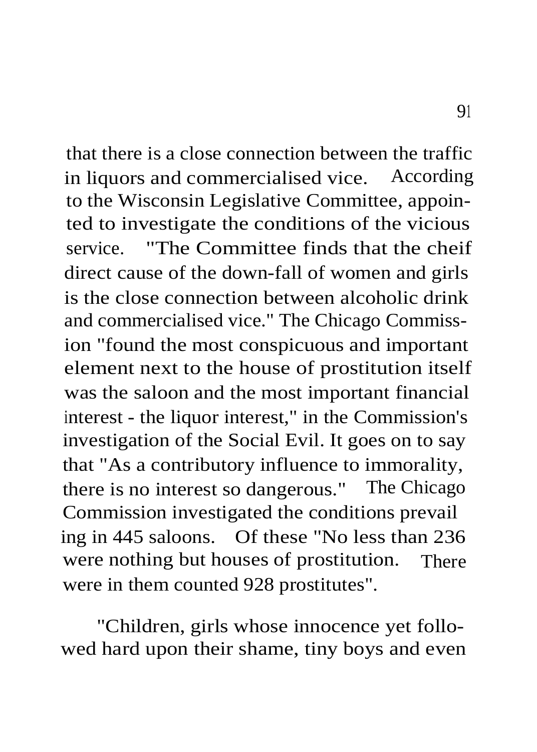that there is a close connection between the traffic in liquors and commercialised vice. According to the Wisconsin Legislative Committee, appointed to investigate the conditions of the vicious service. "The Committee finds that the cheif direct cause of the down-fall of women and girls is the close connection between alcoholic drink and commercialised vice." The Chicago Commission "found the most conspicuous and important element next to the house of prostitution itself was the saloon and the most important financial interest - the liquor interest," in the Commission's investigation of the Social Evil. It goes on to say that "As a contributory influence to immorality, there is no interest so dangerous." The Chicago Commission investigated the conditions prevail ing in 445 saloons. Of these "No less than 236 were nothing but houses of prostitution. There were in them counted 928 prostitutes".

"Children, girls whose innocence yet followed hard upon their shame, tiny boys and even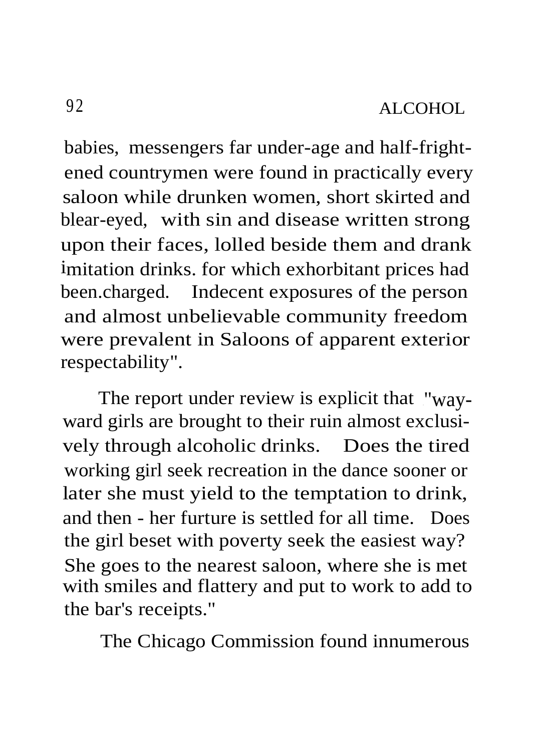babies, messengers far under-age and half-frightened countrymen were found in practically every saloon while drunken women, short skirted and blear-eyed, with sin and disease written strong upon their faces, lolled beside them and drank imitation drinks. for which exhorbitant prices had been.charged. Indecent exposures of the person and almost unbelievable community freedom were prevalent in Saloons of apparent exterior respectability".

The report under review is explicit that "wayward girls are brought to their ruin almost exclusively through alcoholic drinks. Does the tired working girl seek recreation in the dance sooner or later she must yield to the temptation to drink, and then - her furture is settled for all time. Does the girl beset with poverty seek the easiest way? She goes to the nearest saloon, where she is met with smiles and flattery and put to work to add to the bar's receipts."

The Chicago Commission found innumerous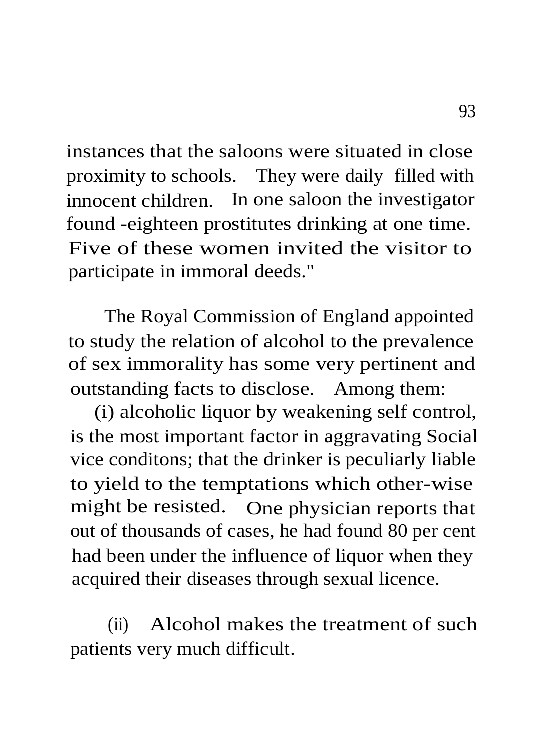instances that the saloons were situated in close proximity to schools. They were daily filled with innocent children. In one saloon the investigator found -eighteen prostitutes drinking at one time. Five of these women invited the visitor to participate in immoral deeds."

The Royal Commission of England appointed to study the relation of alcohol to the prevalence of sex immorality has some very pertinent and outstanding facts to disclose. Among them:

(i) alcoholic liquor by weakening self control, is the most important factor in aggravating Social vice conditons; that the drinker is peculiarly liable to yield to the temptations which other-wise might be resisted. One physician reports that out of thousands of cases, he had found 80 per cent had been under the influence of liquor when they acquired their diseases through sexual licence.

(ii) Alcohol makes the treatment of such patients very much difficult.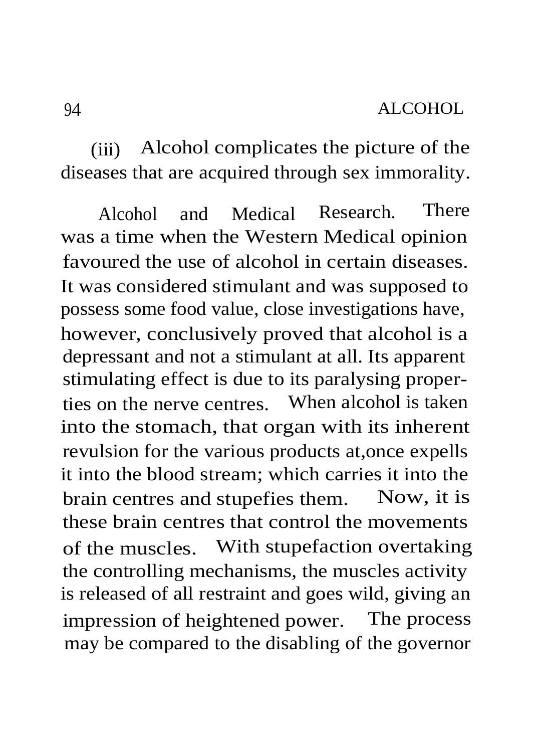(iii) Alcohol complicates the picture of the diseases that are acquired through sex immorality.

Alcohol and Medical Research. There was a time when the Western Medical opinion favoured the use of alcohol in certain diseases. It was considered stimulant and was supposed to possess some food value, close investigations have, however, conclusively proved that alcohol is a depressant and not a stimulant at all. Its apparent stimulating effect is due to its paralysing properties on the nerve centres. When alcohol is taken into the stomach, that organ with its inherent revulsion for the various products at,once expells it into the blood stream; which carries it into the brain centres and stupefies them. Now, it is these brain centres that control the movements of the muscles. With stupefaction overtaking the controlling mechanisms, the muscles activity is released of all restraint and goes wild, giving an impression of heightened power. The process may be compared to the disabling of the governor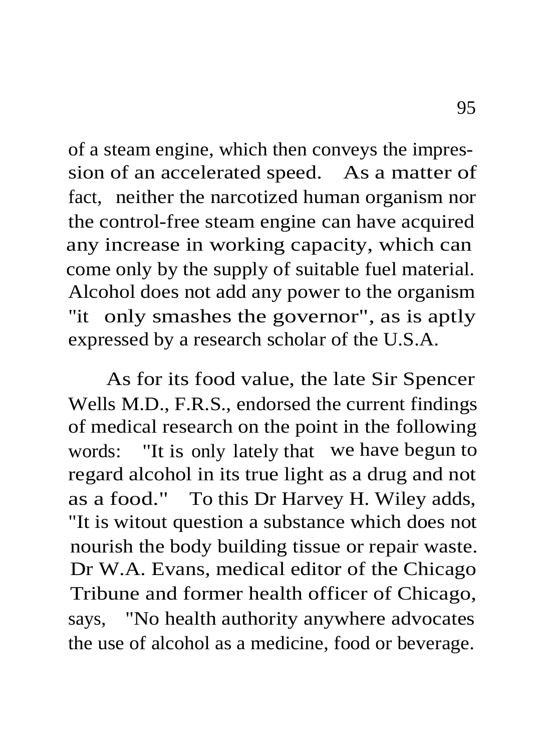of a steam engine, which then conveys the impression of an accelerated speed. As a matter of fact, neither the narcotized human organism nor the control-free steam engine can have acquired any increase in working capacity, which can come only by the supply of suitable fuel material. Alcohol does not add any power to the organism "it only smashes the governor", as is aptly expressed by a research scholar of the U.S.A.

As for its food value, the late Sir Spencer Wells M.D., F.R.S., endorsed the current findings of medical research on the point in the following words: "It is only lately that we have begun to regard alcohol in its true light as a drug and not as a food." To this Dr Harvey H. Wiley adds, "It is witout question a substance which does not nourish the body building tissue or repair waste. Dr W.A. Evans, medical editor of the Chicago Tribune and former health officer of Chicago, says, "No health authority anywhere advocates the use of alcohol as a medicine, food or beverage.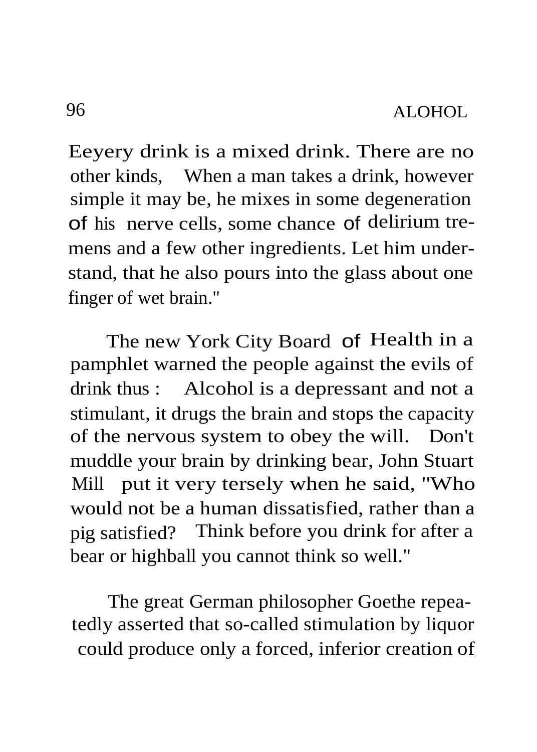Eeyery drink is a mixed drink. There are no other kinds, When a man takes a drink, however simple it may be, he mixes in some degeneration of his nerve cells, some chance of delirium tremens and a few other ingredients. Let him understand, that he also pours into the glass about one finger of wet brain."

The new York City Board of Health in a pamphlet warned the people against the evils of drink thus : Alcohol is a depressant and not a stimulant, it drugs the brain and stops the capacity of the nervous system to obey the will. Don't muddle your brain by drinking bear, John Stuart Mill put it very tersely when he said, "Who would not be a human dissatisfied, rather than a pig satisfied? Think before you drink for after a bear or highball you cannot think so well."

The great German philosopher Goethe repeatedly asserted that so-called stimulation by liquor could produce only a forced, inferior creation of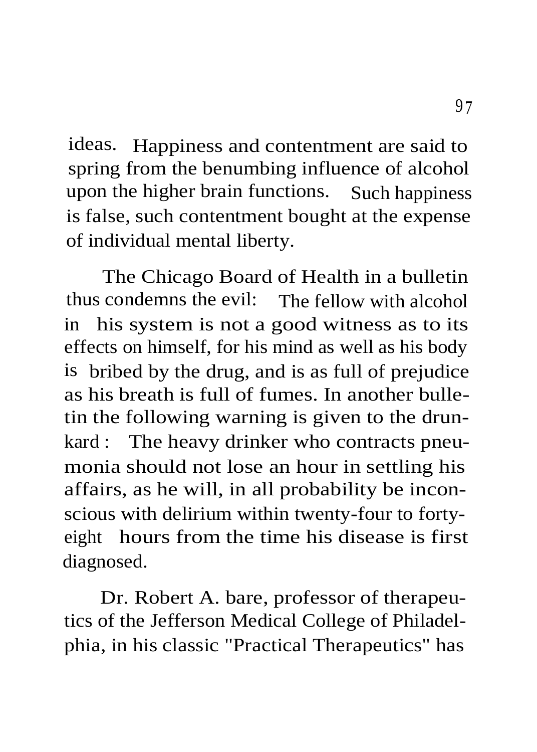ideas. Happiness and contentment are said to spring from the benumbing influence of alcohol upon the higher brain functions. Such happiness is false, such contentment bought at the expense of individual mental liberty.

The Chicago Board of Health in a bulletin thus condemns the evil: The fellow with alcohol in his system is not a good witness as to its effects on himself, for his mind as well as his body is bribed by the drug, and is as full of prejudice as his breath is full of fumes. In another bulletin the following warning is given to the drunkard : The heavy drinker who contracts pneumonia should not lose an hour in settling his affairs, as he will, in all probability be inconscious with delirium within twenty-four to fortyeight hours from the time his disease is first diagnosed.

Dr. Robert A. bare, professor of therapeutics of the Jefferson Medical College of Philadelphia, in his classic "Practical Therapeutics" has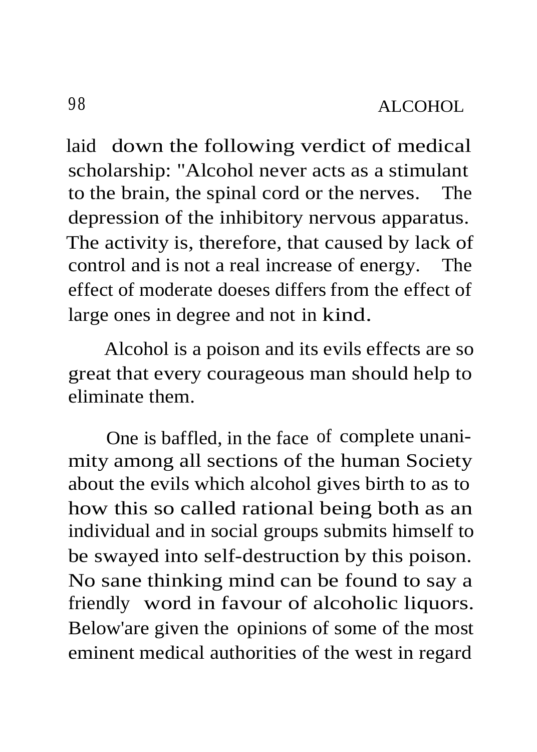laid down the following verdict of medical scholarship: "Alcohol never acts as a stimulant to the brain, the spinal cord or the nerves. The depression of the inhibitory nervous apparatus. The activity is, therefore, that caused by lack of control and is not a real increase of energy. The effect of moderate doeses differs from the effect of large ones in degree and not in kind.

Alcohol is a poison and its evils effects are so great that every courageous man should help to eliminate them.

One is baffled, in the face of complete unanimity among all sections of the human Society about the evils which alcohol gives birth to as to how this so called rational being both as an individual and in social groups submits himself to be swayed into self-destruction by this poison. No sane thinking mind can be found to say a friendly word in favour of alcoholic liquors. Below'are given the opinions of some of the most eminent medical authorities of the west in regard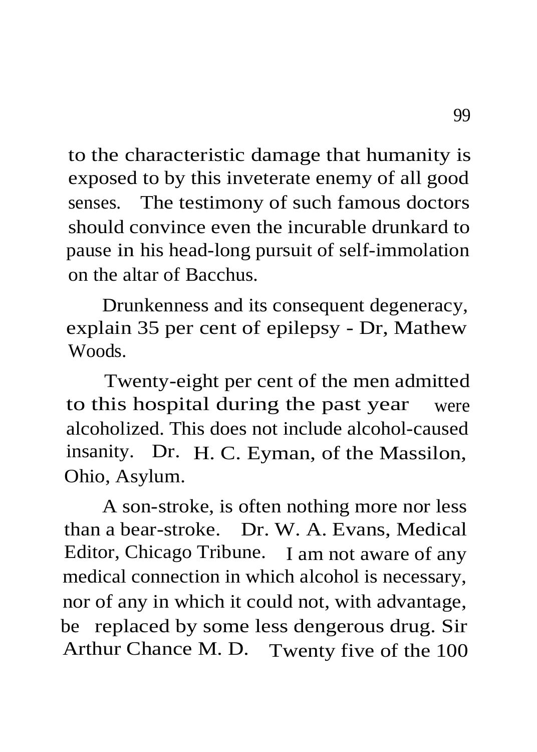to the characteristic damage that humanity is exposed to by this inveterate enemy of all good senses. The testimony of such famous doctors should convince even the incurable drunkard to pause in his head-long pursuit of self-immolation on the altar of Bacchus.

Drunkenness and its consequent degeneracy, explain 35 per cent of epilepsy - Dr, Mathew Woods.

Twenty-eight per cent of the men admitted to this hospital during the past year were alcoholized. This does not include alcohol-caused insanity. Dr. H. C. Eyman, of the Massilon, Ohio, Asylum.

A son-stroke, is often nothing more nor less than a bear-stroke. Dr. W. A. Evans, Medical Editor, Chicago Tribune. I am not aware of any medical connection in which alcohol is necessary, nor of any in which it could not, with advantage, be replaced by some less dengerous drug. Sir Arthur Chance M. D. Twenty five of the 100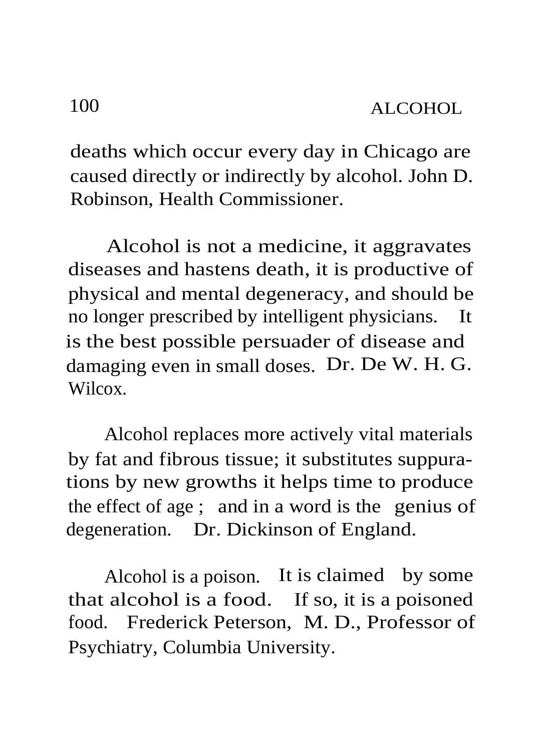deaths which occur every day in Chicago are caused directly or indirectly by alcohol. John D. Robinson, Health Commissioner.

Alcohol is not a medicine, it aggravates diseases and hastens death, it is productive of physical and mental degeneracy, and should be no longer prescribed by intelligent physicians. It is the best possible persuader of disease and damaging even in small doses. Dr. De W. H. G. Wilcox.

Alcohol replaces more actively vital materials by fat and fibrous tissue; it substitutes suppurations by new growths it helps time to produce the effect of age ; and in a word is the genius of degeneration. Dr. Dickinson of England.

Alcohol is a poison. It is claimed by some that alcohol is a food. If so, it is a poisoned food. Frederick Peterson, M. D., Professor of Psychiatry, Columbia University.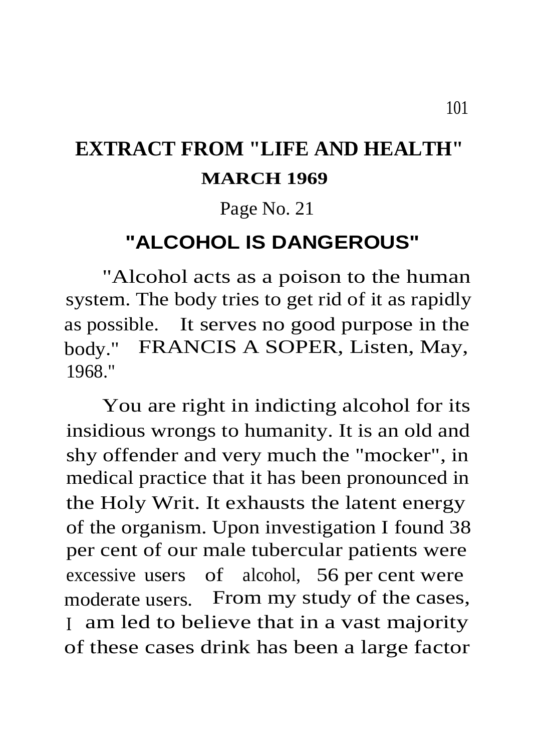## **EXTRACT FROM "LIFE AND HEALTH" MARCH 1969**

## Page No. 21

## **"ALCOHOL IS DANGEROUS"**

"Alcohol acts as a poison to the human system. The body tries to get rid of it as rapidly as possible. It serves no good purpose in the body." FRANCIS A SOPER, Listen, May, 1968."

You are right in indicting alcohol for its insidious wrongs to humanity. It is an old and shy offender and very much the "mocker", in medical practice that it has been pronounced in the Holy Writ. It exhausts the latent energy of the organism. Upon investigation I found 38 per cent of our male tubercular patients were excessive users of alcohol, 56 per cent were moderate users. From my study of the cases, <sup>I</sup> am led to believe that in a vast majority of these cases drink has been a large factor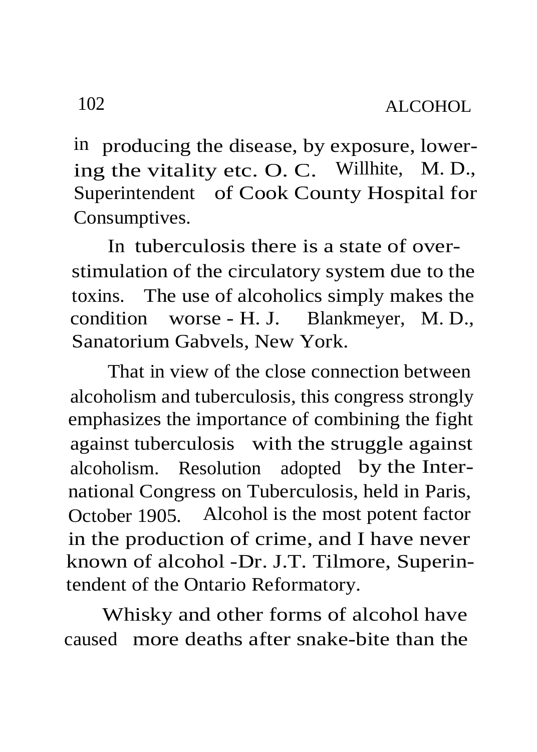in producing the disease, by exposure, lowering the vitality etc. O. C. Willhite, M. D., Superintendent of Cook County Hospital for Consumptives.

In tuberculosis there is a state of overstimulation of the circulatory system due to the toxins. The use of alcoholics simply makes the condition worse - H. J. Blankmeyer, M. D., Sanatorium Gabvels, New York.

That in view of the close connection between alcoholism and tuberculosis, this congress strongly emphasizes the importance of combining the fight against tuberculosis with the struggle against alcoholism. Resolution adopted by the International Congress on Tuberculosis, held in Paris, October 1905. Alcohol is the most potent factor in the production of crime, and I have never known of alcohol -Dr. J.T. Tilmore, Superintendent of the Ontario Reformatory.

Whisky and other forms of alcohol have caused more deaths after snake-bite than the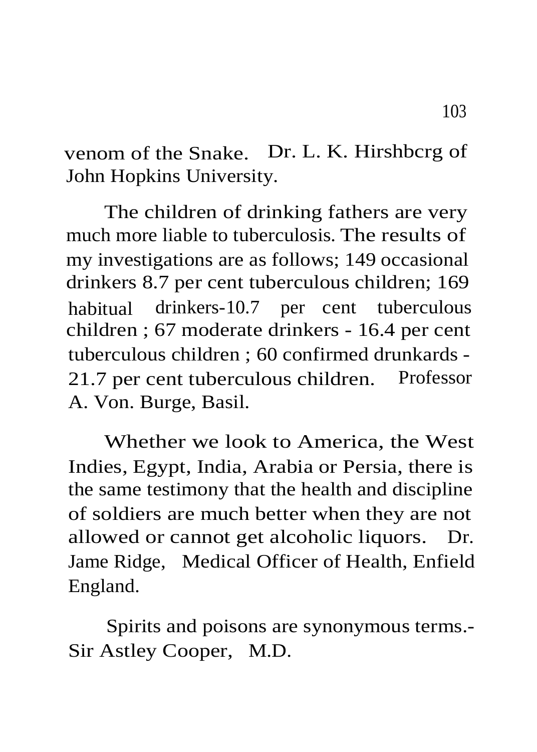venom of the Snake. Dr. L. K. Hirshbcrg of John Hopkins University.

The children of drinking fathers are very much more liable to tuberculosis. The results of my investigations are as follows; 149 occasional drinkers 8.7 per cent tuberculous children; 169 habitual drinkers-10.7 per cent tuberculous children ; 67 moderate drinkers - 16.4 per cent tuberculous children ; 60 confirmed drunkards - 21.7 per cent tuberculous children. Professor A. Von. Burge, Basil.

Whether we look to America, the West Indies, Egypt, India, Arabia or Persia, there is the same testimony that the health and discipline of soldiers are much better when they are not allowed or cannot get alcoholic liquors. Dr. Jame Ridge, Medical Officer of Health, Enfield England.

Spirits and poisons are synonymous terms.- Sir Astley Cooper, M.D.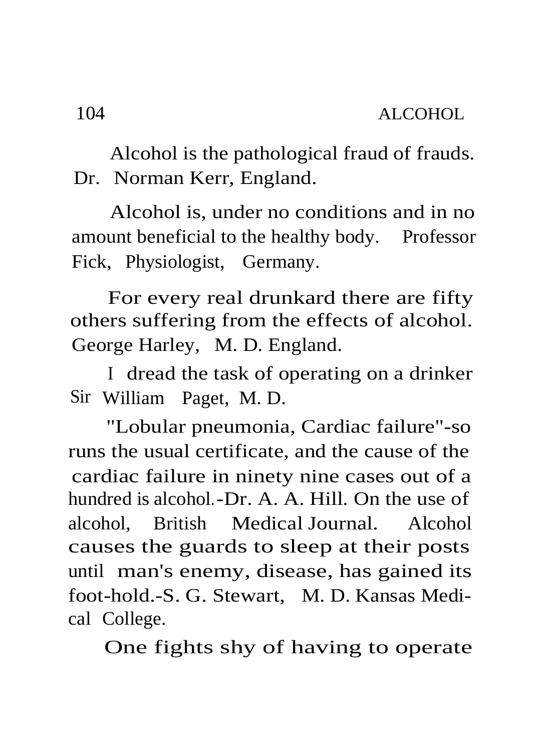Alcohol is the pathological fraud of frauds. Dr. Norman Kerr, England.

Alcohol is, under no conditions and in no amount beneficial to the healthy body. Professor Fick, Physiologist, Germany.

For every real drunkard there are fifty others suffering from the effects of alcohol. George Harley, M. D. England.

I dread the task of operating on a drinker Sir William Paget, M. D.

"Lobular pneumonia, Cardiac failure"-so runs the usual certificate, and the cause of the cardiac failure in ninety nine cases out of a hundred is alcohol.-Dr. A. A. Hill. On the use of alcohol, British Medical Journal. Alcohol causes the guards to sleep at their posts until man's enemy, disease, has gained its foot-hold.-S. G. Stewart, M. D. Kansas Medical College.

One fights shy of having to operate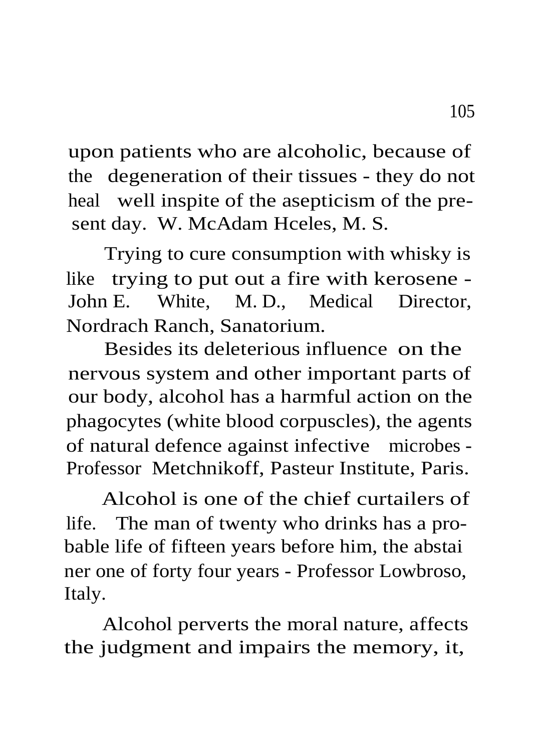upon patients who are alcoholic, because of the degeneration of their tissues - they do not heal well inspite of the asepticism of the present day. W. McAdam Hceles, M. S.

Trying to cure consumption with whisky is like trying to put out a fire with kerosene - John E. White, M. D., Medical Director, Nordrach Ranch, Sanatorium.

Besides its deleterious influence on the nervous system and other important parts of our body, alcohol has a harmful action on the phagocytes (white blood corpuscles), the agents of natural defence against infective microbes - Professor Metchnikoff, Pasteur Institute, Paris.

Alcohol is one of the chief curtailers of life. The man of twenty who drinks has a probable life of fifteen years before him, the abstai ner one of forty four years - Professor Lowbroso, Italy.

Alcohol perverts the moral nature, affects the judgment and impairs the memory, it,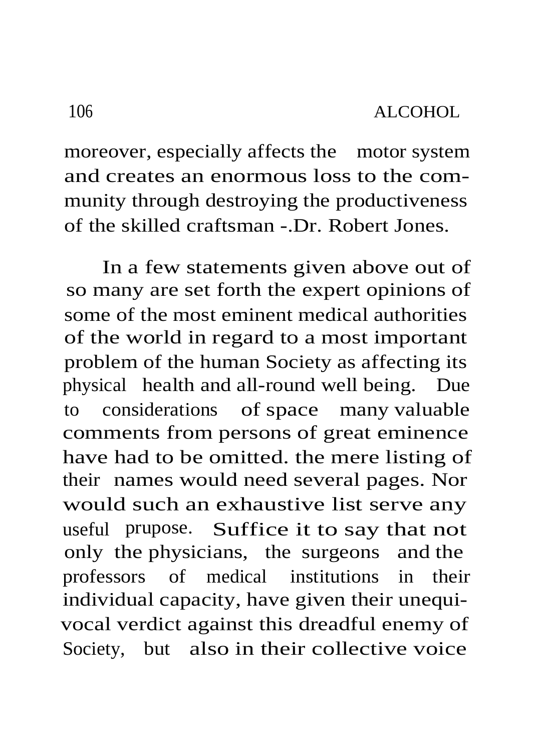moreover, especially affects the motor system and creates an enormous loss to the community through destroying the productiveness of the skilled craftsman -.Dr. Robert Jones.

In a few statements given above out of so many are set forth the expert opinions of some of the most eminent medical authorities of the world in regard to a most important problem of the human Society as affecting its physical health and all-round well being. Due to considerations of space many valuable comments from persons of great eminence have had to be omitted. the mere listing of their names would need several pages. Nor would such an exhaustive list serve any useful prupose. Suffice it to say that not only the physicians, the surgeons and the professors of medical institutions in their individual capacity, have given their unequivocal verdict against this dreadful enemy of Society, but also in their collective voice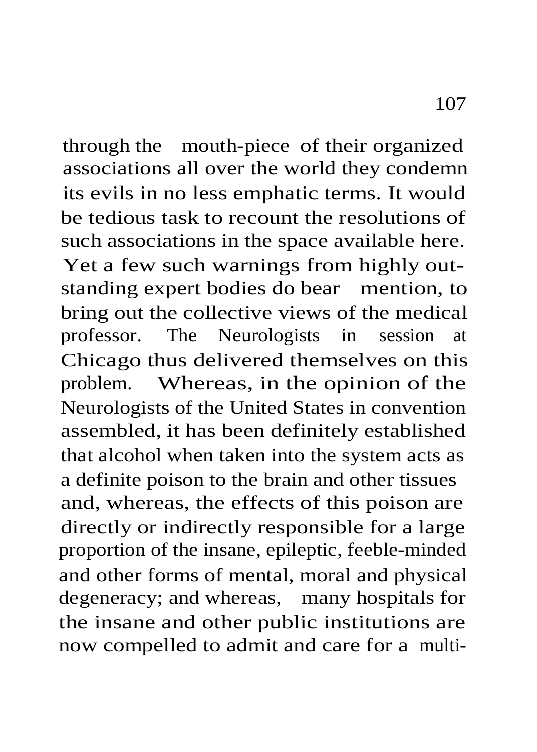through the mouth-piece of their organized associations all over the world they condemn its evils in no less emphatic terms. It would be tedious task to recount the resolutions of such associations in the space available here. Yet a few such warnings from highly outstanding expert bodies do bear mention, to bring out the collective views of the medical professor. The Neurologists in session at Chicago thus delivered themselves on this problem. Whereas, in the opinion of the Neurologists of the United States in convention assembled, it has been definitely established that alcohol when taken into the system acts as a definite poison to the brain and other tissues and, whereas, the effects of this poison are directly or indirectly responsible for a large proportion of the insane, epileptic, feeble-minded and other forms of mental, moral and physical degeneracy; and whereas, many hospitals for the insane and other public institutions are now compelled to admit and care for a multi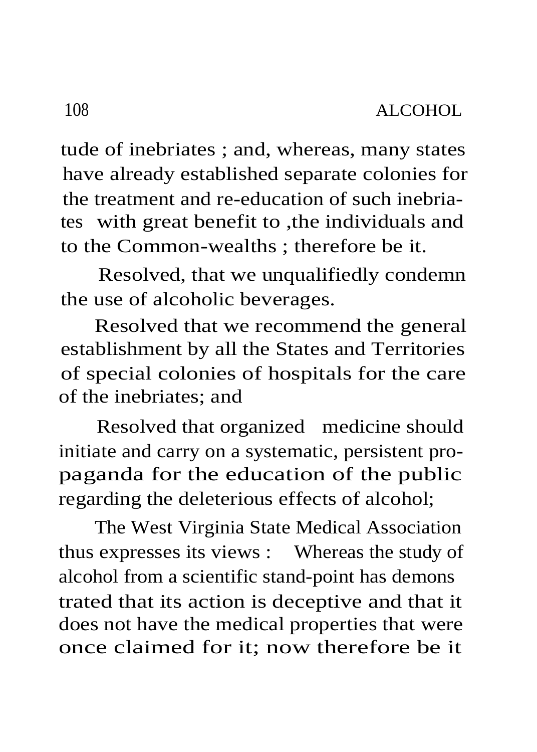tude of inebriates ; and, whereas, many states have already established separate colonies for the treatment and re-education of such inebriates with great benefit to ,the individuals and to the Common-wealths ; therefore be it.

Resolved, that we unqualifiedly condemn the use of alcoholic beverages.

Resolved that we recommend the general establishment by all the States and Territories of special colonies of hospitals for the care of the inebriates; and

Resolved that organized medicine should initiate and carry on a systematic, persistent propaganda for the education of the public regarding the deleterious effects of alcohol;

The West Virginia State Medical Association thus expresses its views : Whereas the study of alcohol from a scientific stand-point has demons trated that its action is deceptive and that it does not have the medical properties that were once claimed for it; now therefore be it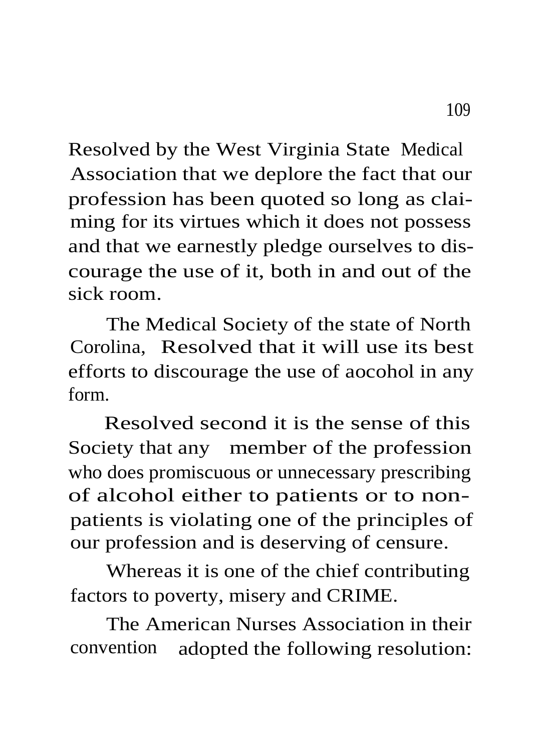Resolved by the West Virginia State Medical Association that we deplore the fact that our profession has been quoted so long as claiming for its virtues which it does not possess and that we earnestly pledge ourselves to discourage the use of it, both in and out of the sick room.

The Medical Society of the state of North Corolina, Resolved that it will use its best efforts to discourage the use of aocohol in any form.

Resolved second it is the sense of this Society that any member of the profession who does promiscuous or unnecessary prescribing of alcohol either to patients or to nonpatients is violating one of the principles of our profession and is deserving of censure.

Whereas it is one of the chief contributing factors to poverty, misery and CRIME.

The American Nurses Association in their convention adopted the following resolution: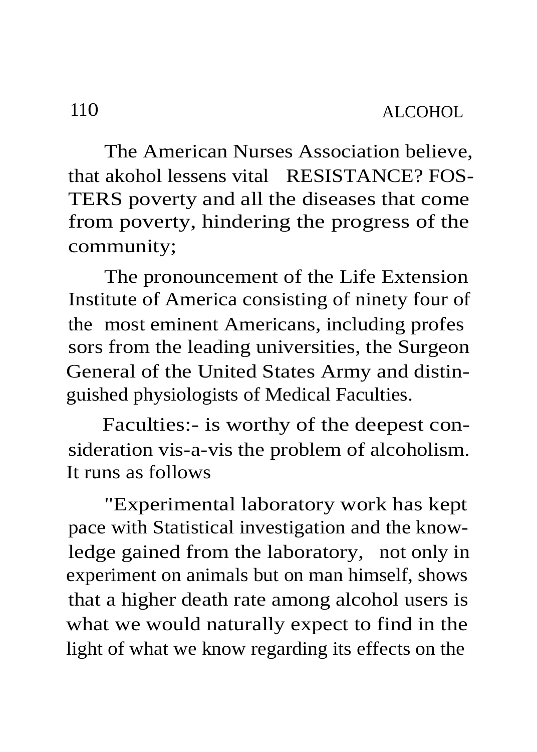The American Nurses Association believe, that akohol lessens vital RESISTANCE? FOS-TERS poverty and all the diseases that come from poverty, hindering the progress of the community;

The pronouncement of the Life Extension Institute of America consisting of ninety four of the most eminent Americans, including profes sors from the leading universities, the Surgeon General of the United States Army and distinguished physiologists of Medical Faculties.

Faculties:- is worthy of the deepest consideration vis-a-vis the problem of alcoholism. It runs as follows

"Experimental laboratory work has kept pace with Statistical investigation and the knowledge gained from the laboratory, not only in experiment on animals but on man himself, shows that a higher death rate among alcohol users is what we would naturally expect to find in the light of what we know regarding its effects on the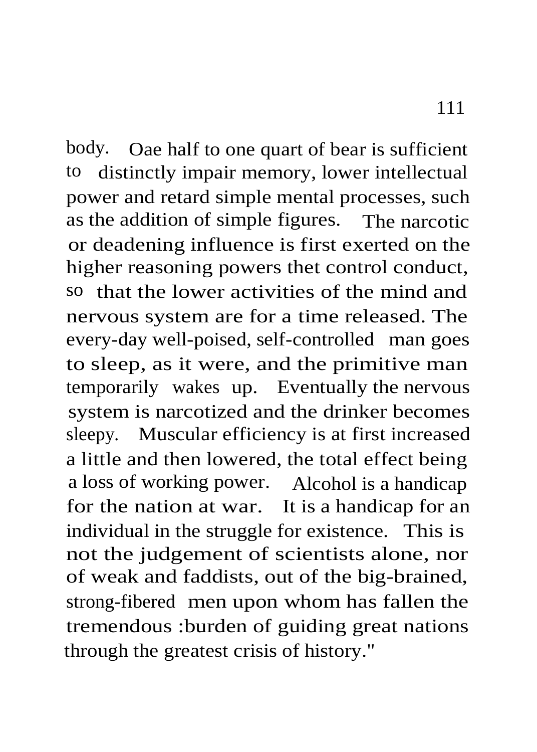body. Oae half to one quart of bear is sufficient to distinctly impair memory, lower intellectual power and retard simple mental processes, such as the addition of simple figures. The narcotic or deadening influence is first exerted on the higher reasoning powers thet control conduct, so that the lower activities of the mind and nervous system are for a time released. The every-day well-poised, self-controlled man goes to sleep, as it were, and the primitive man temporarily wakes up. Eventually the nervous system is narcotized and the drinker becomes sleepy. Muscular efficiency is at first increased a little and then lowered, the total effect being a loss of working power. Alcohol is a handicap for the nation at war. It is a handicap for an individual in the struggle for existence. This is not the judgement of scientists alone, nor of weak and faddists, out of the big-brained,

strong-fibered men upon whom has fallen the tremendous :burden of guiding great nations through the greatest crisis of history."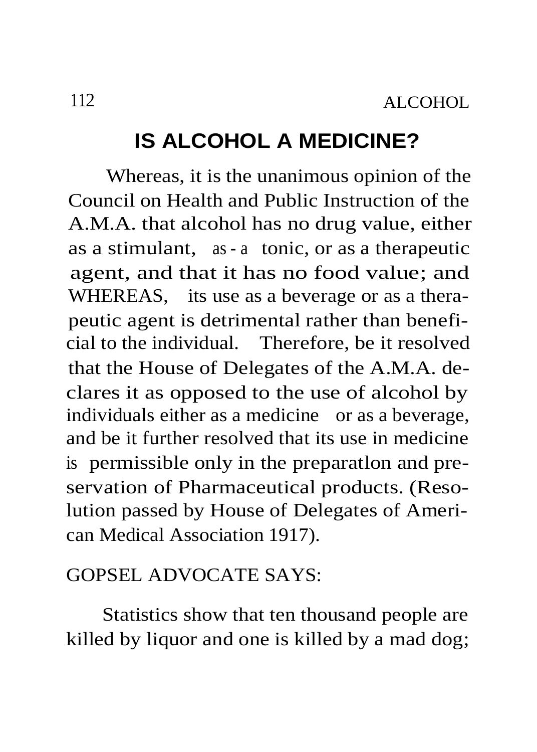## **IS ALCOHOL A MEDICINE?**

Whereas, it is the unanimous opinion of the Council on Health and Public Instruction of the A.M.A. that alcohol has no drug value, either as a stimulant, as - a tonic, or as a therapeutic agent, and that it has no food value; and WHEREAS, its use as a beverage or as a therapeutic agent is detrimental rather than beneficial to the individual. Therefore, be it resolved that the House of Delegates of the A.M.A. declares it as opposed to the use of alcohol by individuals either as a medicine or as a beverage, and be it further resolved that its use in medicine is permissible only in the preparatlon and preservation of Pharmaceutical products. (Resolution passed by House of Delegates of American Medical Association 1917).

### GOPSEL ADVOCATE SAYS:

Statistics show that ten thousand people are killed by liquor and one is killed by a mad dog;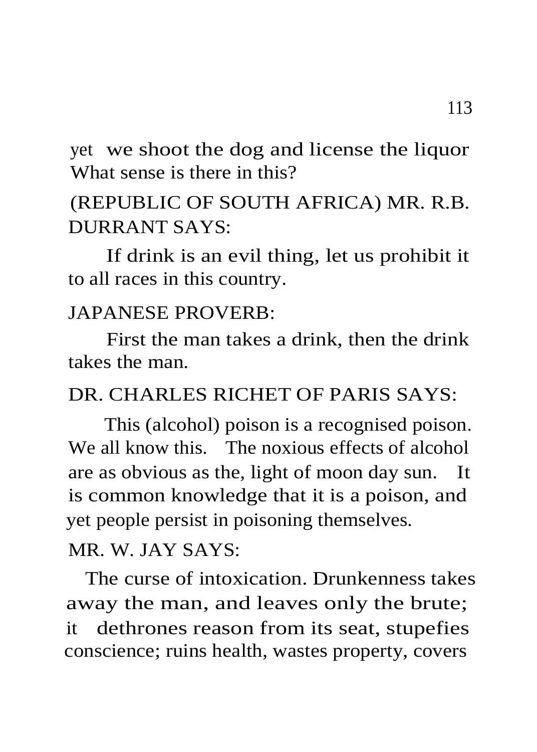yet we shoot the dog and license the liquor What sense is there in this?

# (REPUBLIC OF SOUTH AFRICA) MR. R.B. DURRANT SAYS:

If drink is an evil thing, let us prohibit it to all races in this country.

### JAPANESE PROVERB:

First the man takes a drink, then the drink takes the man.

#### DR. CHARLES RICHET OF PARIS SAYS.

This (alcohol) poison is a recognised poison. We all know this. The noxious effects of alcohol are as obvious as the, light of moon day sun. It is common knowledge that it is a poison, and yet people persist in poisoning themselves.

#### MR. W. JAY SAYS:

The curse of intoxication. Drunkenness takes away the man, and leaves only the brute; it dethrones reason from its seat, stupefies conscience; ruins health, wastes property, covers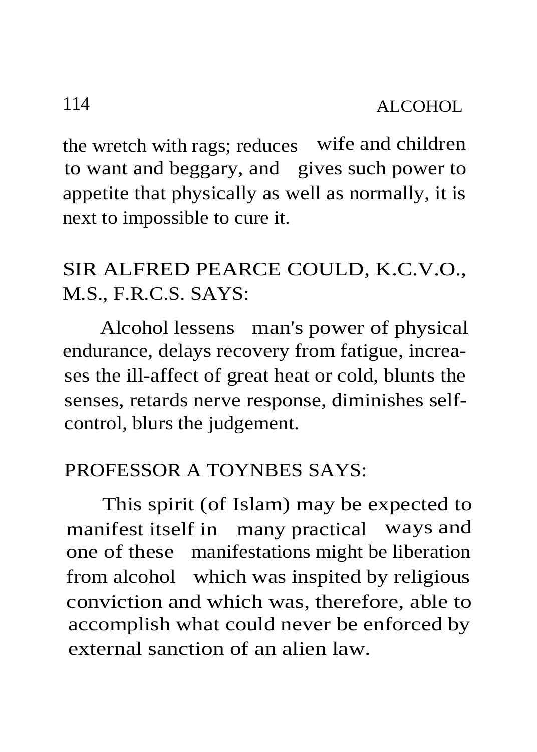the wretch with rags; reduces wife and children to want and beggary, and gives such power to appetite that physically as well as normally, it is next to impossible to cure it.

# SIR ALFRED PEARCE COULD, K.C.V.O., M.S., F.R.C.S. SAYS:

Alcohol lessens man's power of physical endurance, delays recovery from fatigue, increases the ill-affect of great heat or cold, blunts the senses, retards nerve response, diminishes selfcontrol, blurs the judgement.

#### PROFESSOR A TOYNBES SAYS:

This spirit (of Islam) may be expected to manifest itself in many practical ways and one of these manifestations might be liberation from alcohol which was inspited by religious conviction and which was, therefore, able to accomplish what could never be enforced by external sanction of an alien law.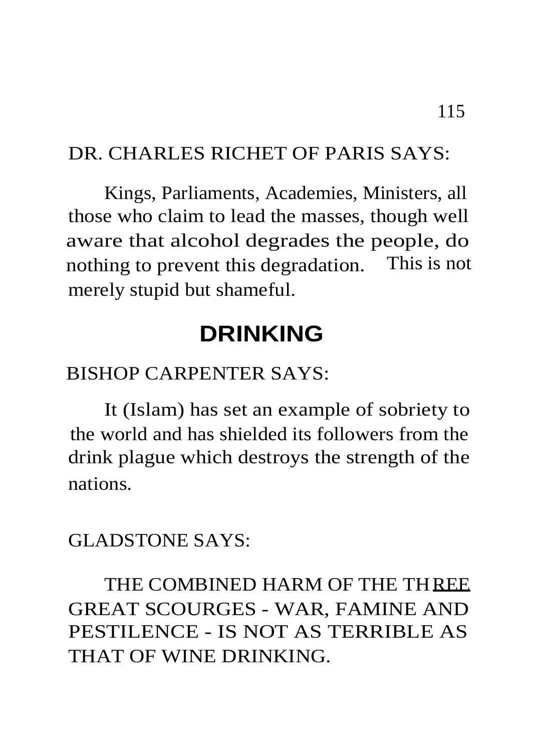### DR. CHARLES RICHET OF PARIS SAYS:

Kings, Parliaments, Academies, Ministers, all those who claim to lead the masses, though well aware that alcohol degrades the people, do nothing to prevent this degradation. This is not merely stupid but shameful.

# **DRINKING**

### BISHOP CARPENTER SAYS:

It (Islam) has set an example of sobriety to the world and has shielded its followers from the drink plague which destroys the strength of the nations.

#### GLADSTONE SAYS:

# THE COMBINED HARM OF THE THREE GREAT SCOURGES - WAR, FAMINE AND PESTILENCE - IS NOT AS TERRIBLE AS THAT OF WINE DRINKING.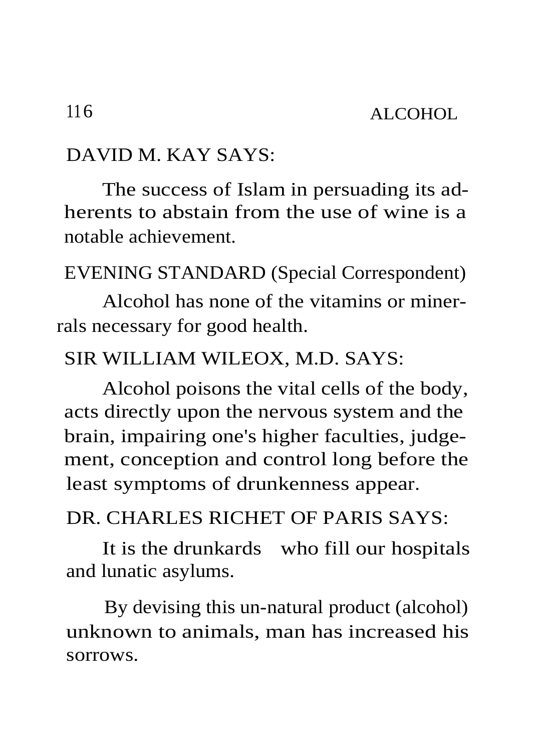### DAVID M. KAY SAYS:

The success of Islam in persuading its adherents to abstain from the use of wine is a notable achievement.

EVENING STANDARD (Special Correspondent)

Alcohol has none of the vitamins or minerrals necessary for good health.

#### SIR WILLIAM WILEOX, M.D. SAYS:

Alcohol poisons the vital cells of the body, acts directly upon the nervous system and the brain, impairing one's higher faculties, judgement, conception and control long before the least symptoms of drunkenness appear.

### DR. CHARLES RICHET OF PARIS SAYS:

It is the drunkards who fill our hospitals and lunatic asylums.

By devising this un-natural product (alcohol) unknown to animals, man has increased his sorrows.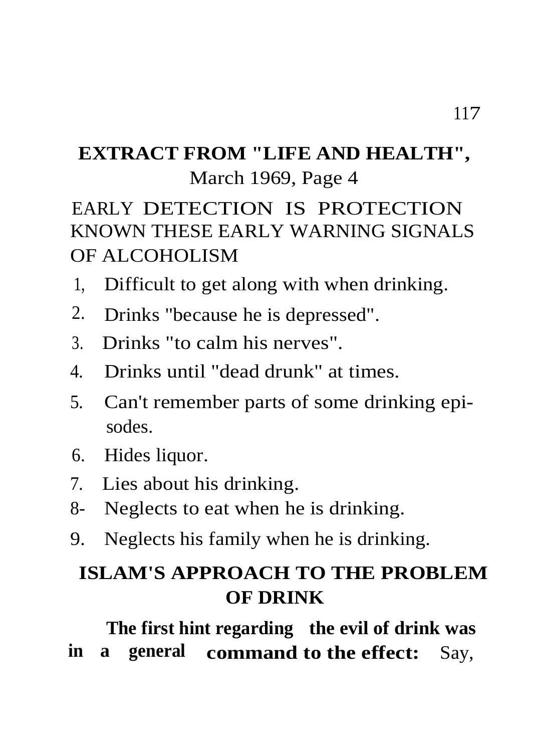## **EXTRACT FROM "LIFE AND HEALTH",** March 1969, Page 4

# EARLY DETECTION IS PROTECTION KNOWN THESE EARLY WARNING SIGNALS OF ALCOHOLISM

- 1, Difficult to get along with when drinking.
- 2. Drinks "because he is depressed".
- 3. Drinks "to calm his nerves".
- 4. Drinks until "dead drunk" at times.
- 5. Can't remember parts of some drinking episodes.
- 6. Hides liquor.
- 7. Lies about his drinking.
- 8- Neglects to eat when he is drinking.
- 9. Neglects his family when he is drinking.

# **ISLAM'S APPROACH TO THE PROBLEM OF DRINK**

**The first hint regarding the evil of drink was in a general command to the effect:** Say,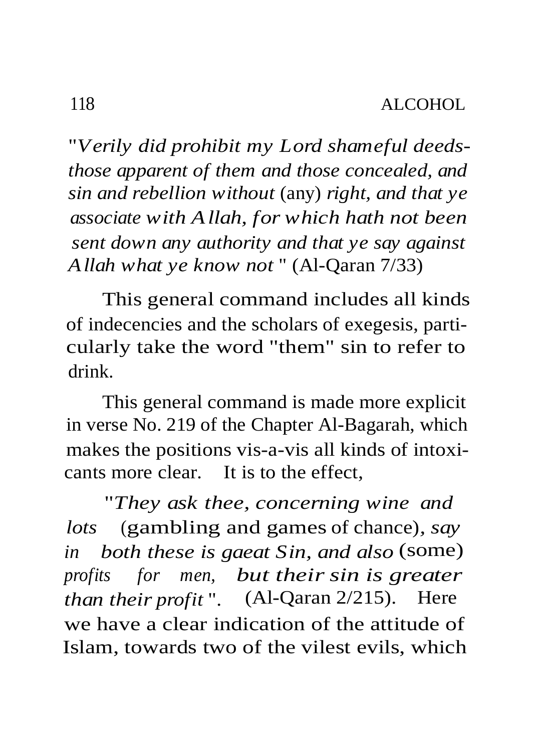"*Verily did prohibit my Lord shameful deedsthose apparent of them and those concealed, and sin and rebellion without* (any) *right, and that ye associate with Allah, for which hath not been sent down any authority and that ye say against Allah what ye know not* " (Al-Qaran 7/33)

This general command includes all kinds of indecencies and the scholars of exegesis, particularly take the word "them" sin to refer to drink.

This general command is made more explicit in verse No. 219 of the Chapter Al-Bagarah, which makes the positions vis-a-vis all kinds of intoxicants more clear. It is to the effect,

"*They ask thee, concerning wine and lots* (gambling and games of chance)*, say in both these is gaeat Sin, and also* (some) *profits for men, but their sin is greater than their profit* ". (Al-Qaran 2/215). Here we have a clear indication of the attitude of Islam, towards two of the vilest evils, which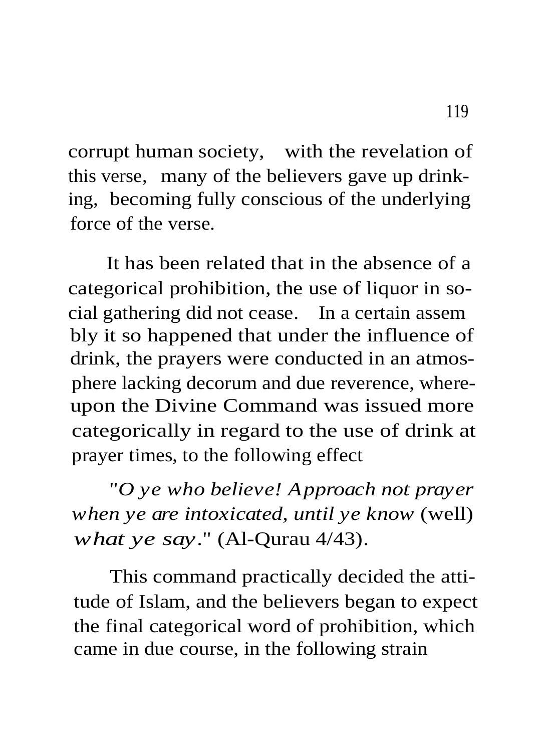corrupt human society, with the revelation of this verse, many of the believers gave up drinking, becoming fully conscious of the underlying force of the verse.

It has been related that in the absence of a categorical prohibition, the use of liquor in social gathering did not cease. In a certain assem bly it so happened that under the influence of drink, the prayers were conducted in an atmosphere lacking decorum and due reverence, whereupon the Divine Command was issued more categorically in regard to the use of drink at prayer times, to the following effect

"*O ye who believe! Approach not prayer when ye are intoxicated, until ye know* (well) *what ye say*." (Al-Qurau 4/43).

This command practically decided the attitude of Islam, and the believers began to expect the final categorical word of prohibition, which came in due course, in the following strain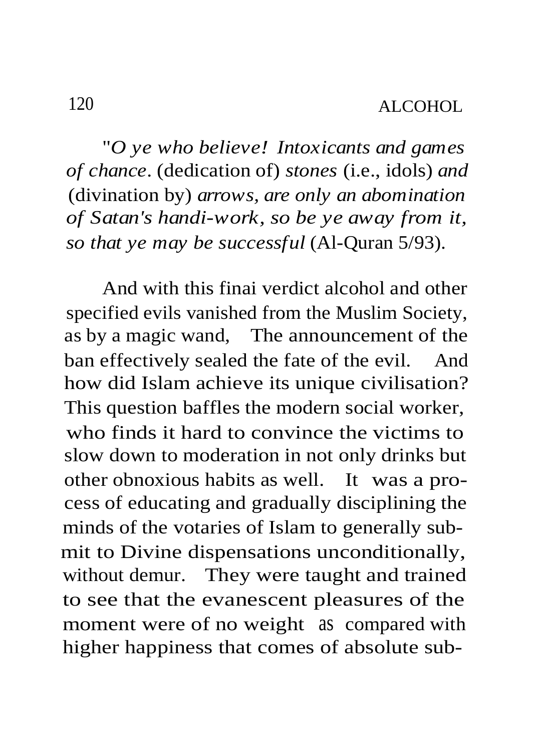"*O ye who believe! Intoxicants and games of chance*. (dedication of) *stones* (i.e., idols) *and* (divination by) *arrows, are only an abomination of Satan's handi-work, so be ye away from it, so that ye may be successful* (Al-Quran 5/93).

And with this finai verdict alcohol and other specified evils vanished from the Muslim Society, as by a magic wand, The announcement of the ban effectively sealed the fate of the evil. And how did Islam achieve its unique civilisation? This question baffles the modern social worker, who finds it hard to convince the victims to slow down to moderation in not only drinks but other obnoxious habits as well. It was a process of educating and gradually disciplining the minds of the votaries of Islam to generally submit to Divine dispensations unconditionally, without demur. They were taught and trained to see that the evanescent pleasures of the moment were of no weight as compared with higher happiness that comes of absolute sub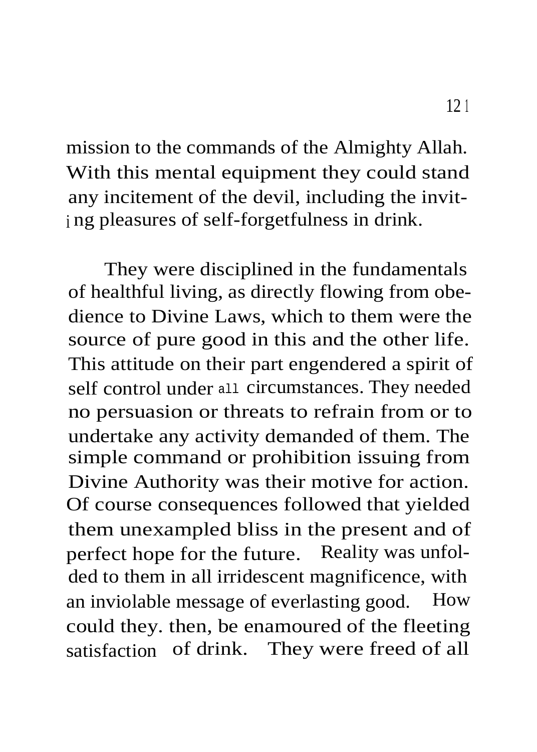mission to the commands of the Almighty Allah. With this mental equipment they could stand any incitement of the devil, including the invit<sup>i</sup> ng pleasures of self-forgetfulness in drink.

They were disciplined in the fundamentals of healthful living, as directly flowing from obedience to Divine Laws, which to them were the source of pure good in this and the other life. This attitude on their part engendered a spirit of self control under all circumstances. They needed no persuasion or threats to refrain from or to undertake any activity demanded of them. The simple command or prohibition issuing from Divine Authority was their motive for action. Of course consequences followed that yielded them unexampled bliss in the present and of perfect hope for the future. Reality was unfolded to them in all irridescent magnificence, with an inviolable message of everlasting good. How could they. then, be enamoured of the fleeting satisfaction of drink. They were freed of all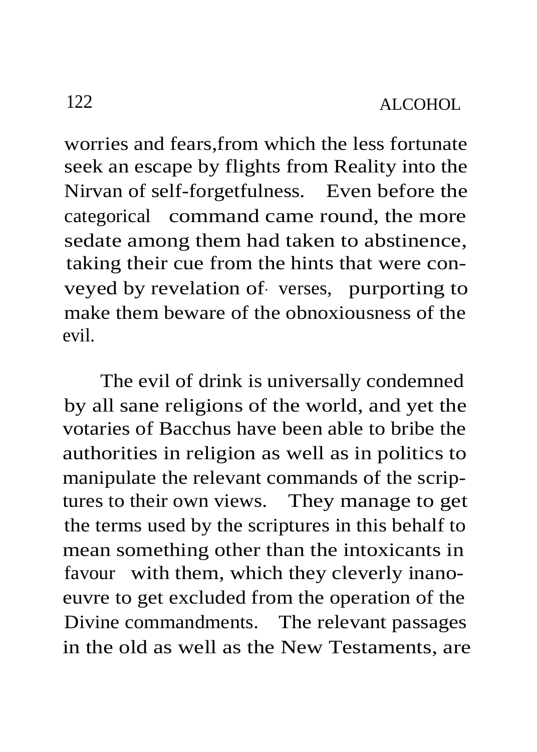worries and fears,from which the less fortunate seek an escape by flights from Reality into the Nirvan of self-forgetfulness. Even before the categorical command came round, the more sedate among them had taken to abstinence, taking their cue from the hints that were conveyed by revelation of- verses, purporting to make them beware of the obnoxiousness of the evil.

The evil of drink is universally condemned by all sane religions of the world, and yet the votaries of Bacchus have been able to bribe the authorities in religion as well as in politics to manipulate the relevant commands of the scriptures to their own views. They manage to get the terms used by the scriptures in this behalf to mean something other than the intoxicants in favour with them, which they cleverly inanoeuvre to get excluded from the operation of the Divine commandments. The relevant passages in the old as well as the New Testaments, are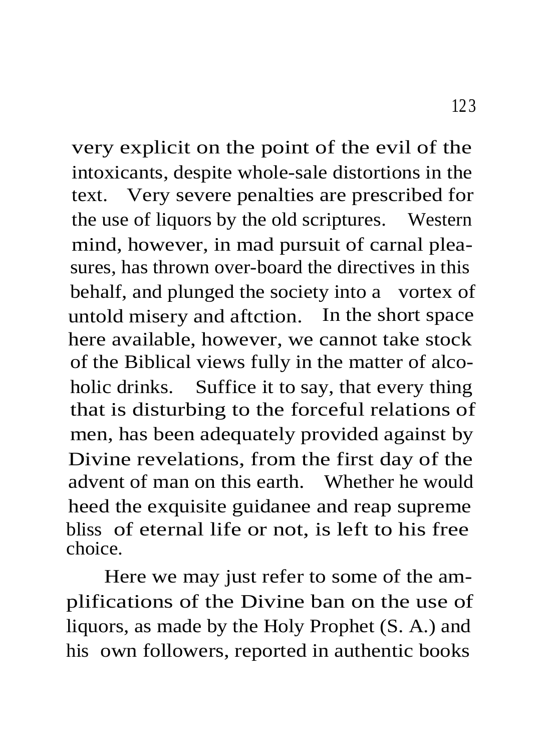very explicit on the point of the evil of the intoxicants, despite whole-sale distortions in the text. Very severe penalties are prescribed for the use of liquors by the old scriptures. Western mind, however, in mad pursuit of carnal pleasures, has thrown over-board the directives in this behalf, and plunged the society into a vortex of untold misery and aftction. In the short space here available, however, we cannot take stock of the Biblical views fully in the matter of alcoholic drinks. Suffice it to say, that every thing that is disturbing to the forceful relations of men, has been adequately provided against by Divine revelations, from the first day of the advent of man on this earth. Whether he would heed the exquisite guidanee and reap supreme bliss of eternal life or not, is left to his free choice.

Here we may just refer to some of the amplifications of the Divine ban on the use of liquors, as made by the Holy Prophet (S. A.) and his own followers, reported in authentic books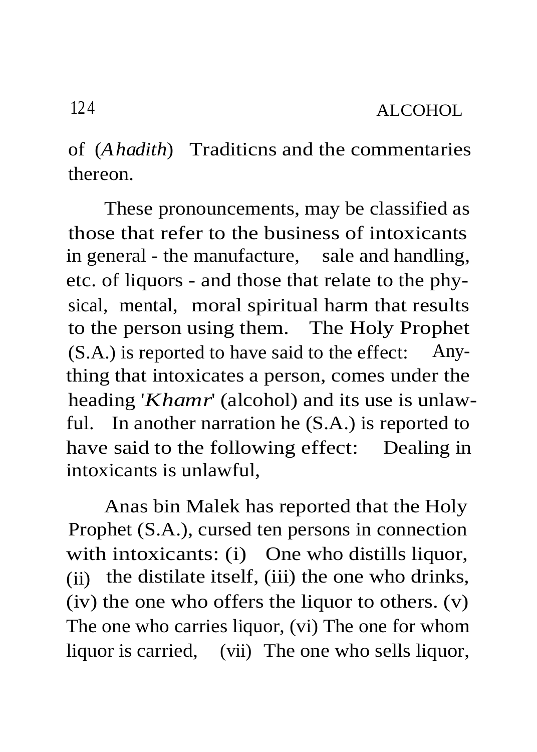of (*Ahadith*) Traditicns and the commentaries thereon.

These pronouncements, may be classified as those that refer to the business of intoxicants in general - the manufacture, sale and handling, etc. of liquors - and those that relate to the physical, mental, moral spiritual harm that results to the person using them. The Holy Prophet (S.A.) is reported to have said to the effect: Anything that intoxicates a person, comes under the heading '*Khamr*' (alcohol) and its use is unlawful. In another narration he (S.A.) is reported to have said to the following effect: Dealing in intoxicants is unlawful,

Anas bin Malek has reported that the Holy Prophet (S.A.), cursed ten persons in connection with intoxicants: (i) One who distills liquor, (ii) the distilate itself, (iii) the one who drinks, (iv) the one who offers the liquor to others. (v) The one who carries liquor, (vi) The one for whom liquor is carried, (vii) The one who sells liquor,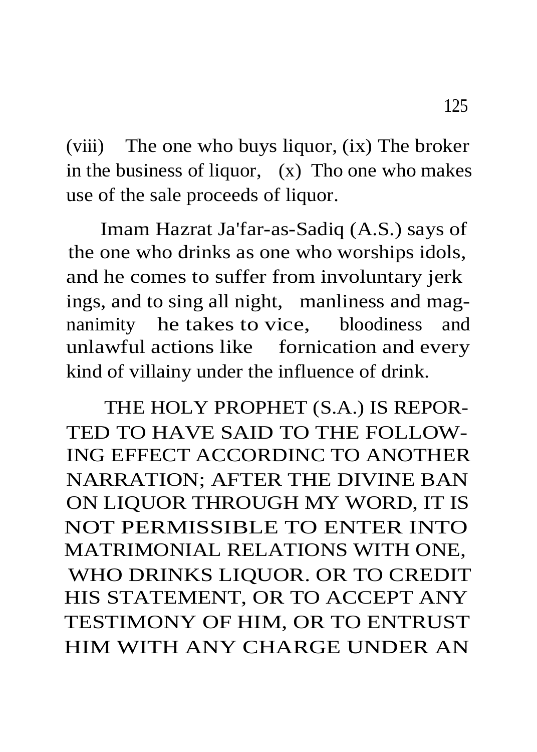(viii) The one who buys liquor, (ix) The broker in the business of liquor, (x) Tho one who makes use of the sale proceeds of liquor.

Imam Hazrat Ja'far-as-Sadiq (A.S.) says of the one who drinks as one who worships idols, and he comes to suffer from involuntary jerk ings, and to sing all night, manliness and magnanimity he takes to vice, bloodiness and unlawful actions like fornication and every kind of villainy under the influence of drink.

THE HOLY PROPHET (S.A.) IS REPOR-TED TO HAVE SAID TO THE FOLLOW-ING EFFECT ACCORDINC TO ANOTHER NARRATION; AFTER THE DIVINE BAN ON LIQUOR THROUGH MY WORD, IT IS NOT PERMISSIBLE TO ENTER INTO MATRIMONIAL RELATIONS WITH ONE, WHO DRINKS LIQUOR. OR TO CREDIT HIS STATEMENT, OR TO ACCEPT ANY TESTIMONY OF HIM, OR TO ENTRUST HIM WITH ANY CHARGE UNDER AN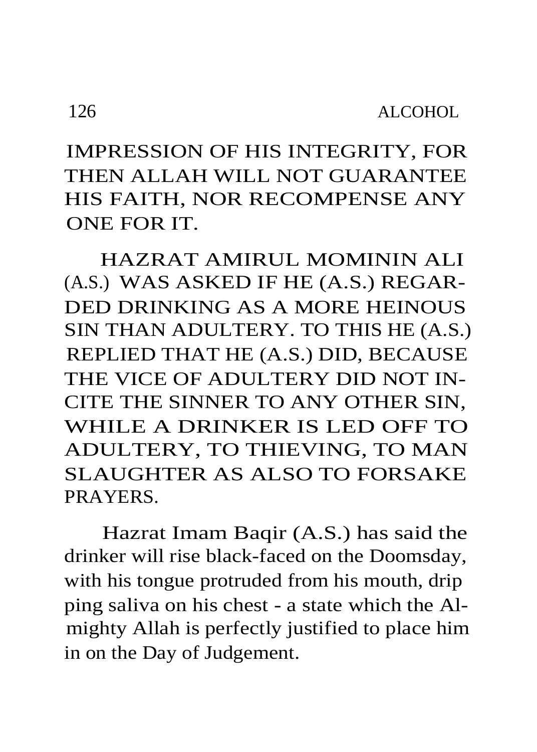IMPRESSION OF HIS INTEGRITY, FOR THEN ALLAH WILL NOT GUARANTEE HIS FAITH, NOR RECOMPENSE ANY ONE FOR IT.

HAZRAT AMIRUL MOMININ ALI (A.S.) WAS ASKED IF HE (A.S.) REGAR-DED DRINKING AS A MORE HEINOUS SIN THAN ADULTERY. TO THIS HE (A.S.) REPLIED THAT HE (A.S.) DID, BECAUSE THE VICE OF ADULTERY DID NOT IN-CITE THE SINNER TO ANY OTHER SIN, WHILE A DRINKER IS LED OFF TO ADULTERY, TO THIEVING, TO MAN SLAUGHTER AS ALSO TO FORSAKE PRAYERS.

Hazrat Imam Baqir (A.S.) has said the drinker will rise black-faced on the Doomsday, with his tongue protruded from his mouth, drip ping saliva on his chest - a state which the Almighty Allah is perfectly justified to place him in on the Day of Judgement.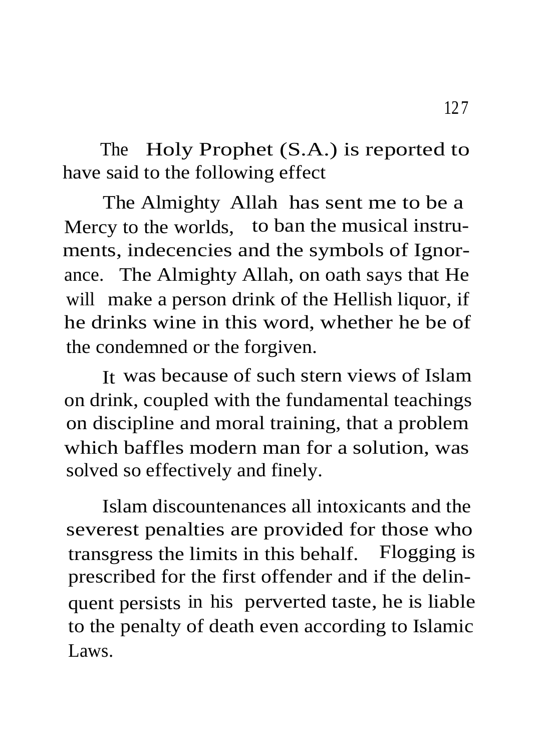The Holy Prophet (S.A.) is reported to have said to the following effect

The Almighty Allah has sent me to be a Mercy to the worlds, to ban the musical instruments, indecencies and the symbols of Ignorance. The Almighty Allah, on oath says that He will make a person drink of the Hellish liquor, if he drinks wine in this word, whether he be of the condemned or the forgiven.

It was because of such stern views of Islam on drink, coupled with the fundamental teachings on discipline and moral training, that a problem which baffles modern man for a solution, was solved so effectively and finely.

Islam discountenances all intoxicants and the severest penalties are provided for those who transgress the limits in this behalf. Flogging is prescribed for the first offender and if the delinquent persists in his perverted taste, he is liable to the penalty of death even according to Islamic Laws.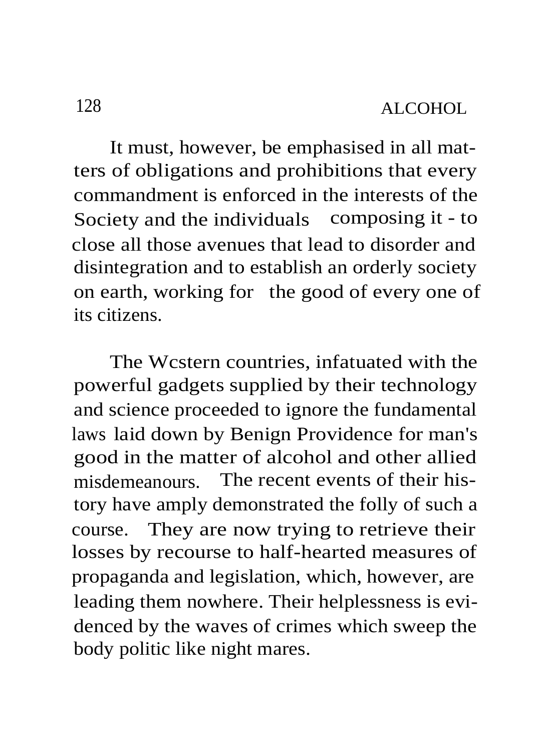It must, however, be emphasised in all matters of obligations and prohibitions that every commandment is enforced in the interests of the Society and the individuals composing it - to close all those avenues that lead to disorder and disintegration and to establish an orderly society on earth, working for the good of every one of its citizens.

The Wcstern countries, infatuated with the powerful gadgets supplied by their technology and science proceeded to ignore the fundamental laws laid down by Benign Providence for man's good in the matter of alcohol and other allied misdemeanours. The recent events of their history have amply demonstrated the folly of such a course. They are now trying to retrieve their losses by recourse to half-hearted measures of propaganda and legislation, which, however, are leading them nowhere. Their helplessness is evidenced by the waves of crimes which sweep the body politic like night mares.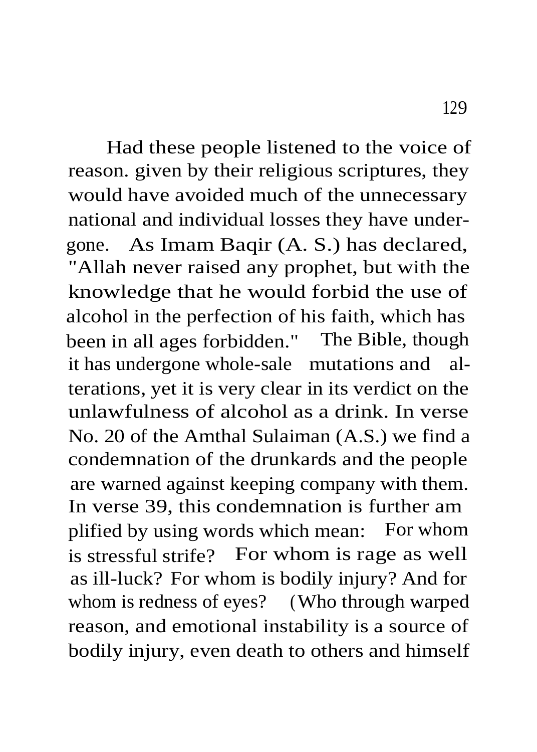Had these people listened to the voice of reason. given by their religious scriptures, they would have avoided much of the unnecessary national and individual losses they have undergone. As Imam Baqir (A. S.) has declared, "Allah never raised any prophet, but with the knowledge that he would forbid the use of alcohol in the perfection of his faith, which has been in all ages forbidden." The Bible, though it has undergone whole-sale mutations and alterations, yet it is very clear in its verdict on the unlawfulness of alcohol as a drink. In verse No. 20 of the Amthal Sulaiman (A.S.) we find a condemnation of the drunkards and the people are warned against keeping company with them. In verse 39, this condemnation is further am plified by using words which mean: For whom is stressful strife? For whom is rage as well as ill-luck? For whom is bodily injury? And for whom is redness of eyes? (Who through warped reason, and emotional instability is a source of bodily injury, even death to others and himself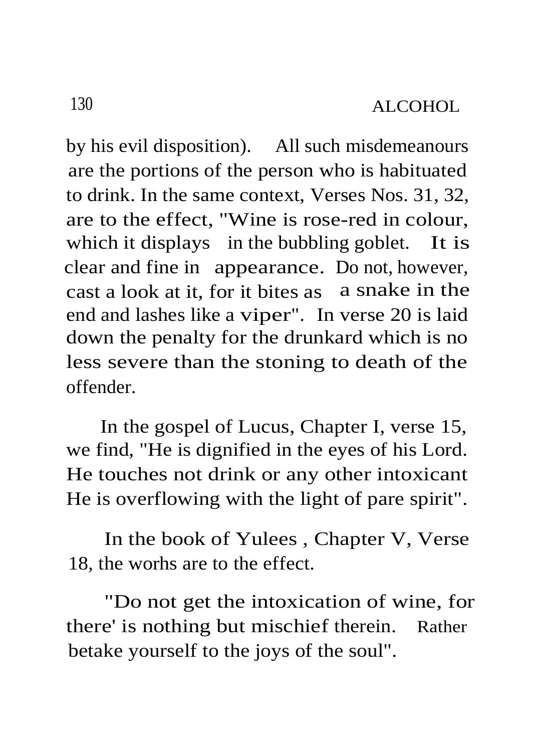by his evil disposition). All such misdemeanours are the portions of the person who is habituated to drink. In the same context, Verses Nos. 31, 32, are to the effect, "Wine is rose-red in colour, which it displays in the bubbling goblet. It is clear and fine in appearance. Do not, however, cast a look at it, for it bites as a snake in the end and lashes like a viper". In verse 20 is laid down the penalty for the drunkard which is no less severe than the stoning to death of the offender.

In the gospel of Lucus, Chapter I, verse 15, we find, "He is dignified in the eyes of his Lord. He touches not drink or any other intoxicant He is overflowing with the light of pare spirit".

In the book of Yulees , Chapter V, Verse 18, the worhs are to the effect.

"Do not get the intoxication of wine, for there' is nothing but mischief therein. Rather betake yourself to the joys of the soul".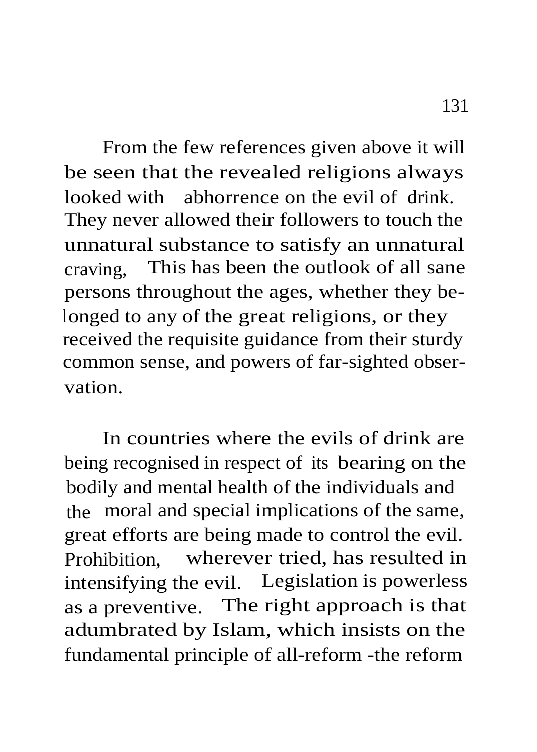From the few references given above it will be seen that the revealed religions always looked with abhorrence on the evil of drink. They never allowed their followers to touch the unnatural substance to satisfy an unnatural craving, This has been the outlook of all sane persons throughout the ages, whether they belonged to any of the great religions, or they received the requisite guidance from their sturdy common sense, and powers of far-sighted observation.

In countries where the evils of drink are being recognised in respect of its bearing on the bodily and mental health of the individuals and the moral and special implications of the same, great efforts are being made to control the evil. Prohibition, wherever tried, has resulted in intensifying the evil. Legislation is powerless as a preventive. The right approach is that adumbrated by Islam, which insists on the fundamental principle of all-reform -the reform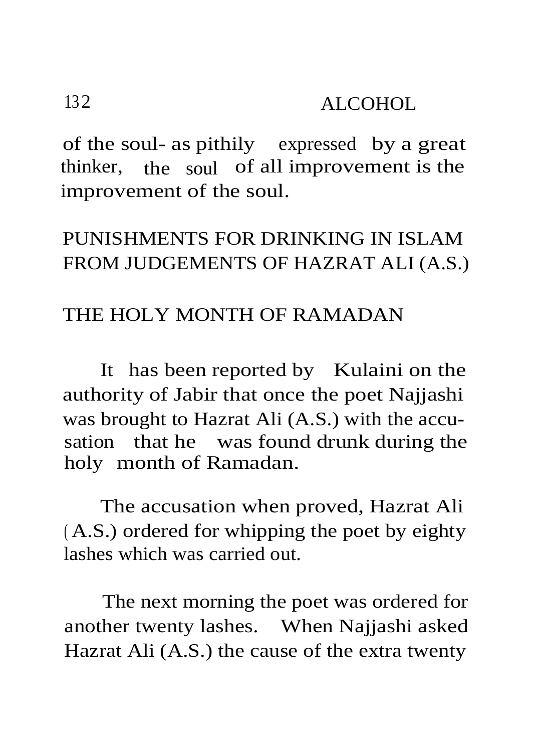of the soul- as pithily expressed by a great thinker, the soul of all improvement is the improvement of the soul.

## PUNISHMENTS FOR DRINKING IN ISLAM FROM JUDGEMENTS OF HAZRAT ALI (A.S.)

#### THE HOLY MONTH OF RAMADAN

It has been reported by Kulaini on the authority of Jabir that once the poet Najjashi was brought to Hazrat Ali (A.S.) with the accusation that he was found drunk during the holy month of Ramadan.

The accusation when proved, Hazrat Ali ( A.S.) ordered for whipping the poet by eighty lashes which was carried out.

The next morning the poet was ordered for another twenty lashes. When Najjashi asked Hazrat Ali (A.S.) the cause of the extra twenty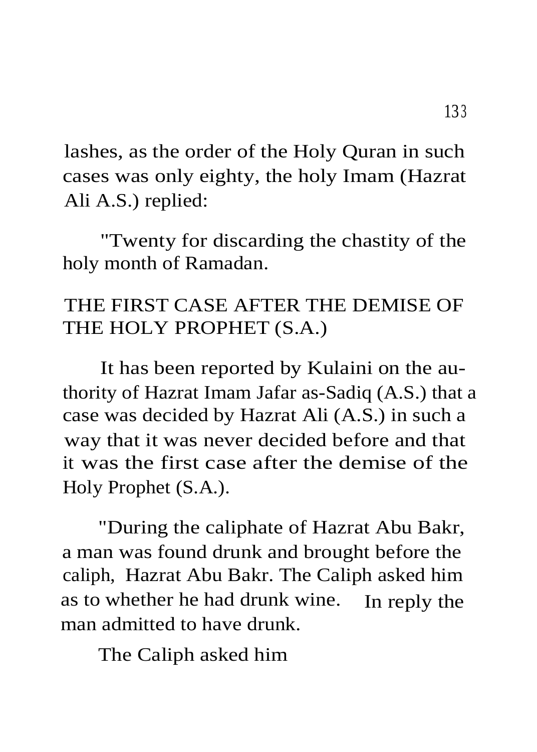lashes, as the order of the Holy Quran in such cases was only eighty, the holy Imam (Hazrat Ali A.S.) replied:

"Twenty for discarding the chastity of the holy month of Ramadan.

# THE FIRST CASE AFTER THE DEMISE OF THE HOLY PROPHET (S.A.)

It has been reported by Kulaini on the authority of Hazrat Imam Jafar as-Sadiq (A.S.) that a case was decided by Hazrat Ali (A.S.) in such a way that it was never decided before and that it was the first case after the demise of the Holy Prophet (S.A.).

"During the caliphate of Hazrat Abu Bakr, a man was found drunk and brought before the caliph, Hazrat Abu Bakr. The Caliph asked him as to whether he had drunk wine. In reply the man admitted to have drunk.

The Caliph asked him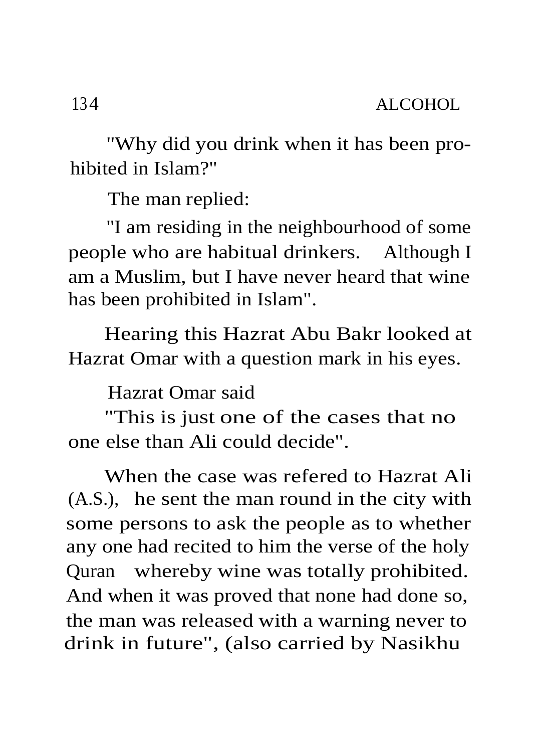"Why did you drink when it has been prohibited in Islam?"

The man replied:

"I am residing in the neighbourhood of some people who are habitual drinkers. Although I am a Muslim, but I have never heard that wine has been prohibited in Islam".

Hearing this Hazrat Abu Bakr looked at Hazrat Omar with a question mark in his eyes.

Hazrat Omar said

"This is just one of the cases that no one else than Ali could decide".

When the case was refered to Hazrat Ali (A.S.), he sent the man round in the city with some persons to ask the people as to whether any one had recited to him the verse of the holy Quran whereby wine was totally prohibited. And when it was proved that none had done so, the man was released with a warning never to drink in future", (also carried by Nasikhu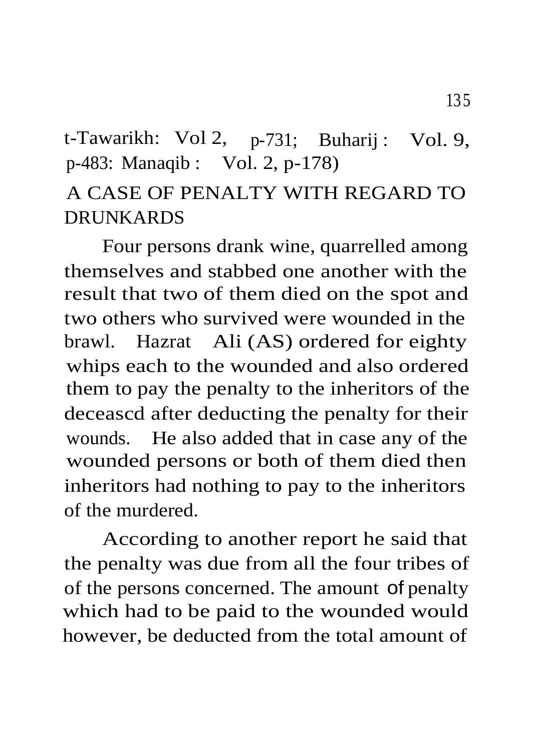# t-Tawarikh: Vol 2, p-731; Buharij: Vol. 9, p-483: Manaqib : Vol. 2, p-178)

## A CASE OF PENALTY WITH REGARD TO **DRUNKARDS**

Four persons drank wine, quarrelled among themselves and stabbed one another with the result that two of them died on the spot and two others who survived were wounded in the brawl. Hazrat Ali (AS) ordered for eighty whips each to the wounded and also ordered them to pay the penalty to the inheritors of the deceascd after deducting the penalty for their wounds. He also added that in case any of the wounded persons or both of them died then inheritors had nothing to pay to the inheritors of the murdered.

According to another report he said that the penalty was due from all the four tribes of of the persons concerned. The amount of penalty which had to be paid to the wounded would however, be deducted from the total amount of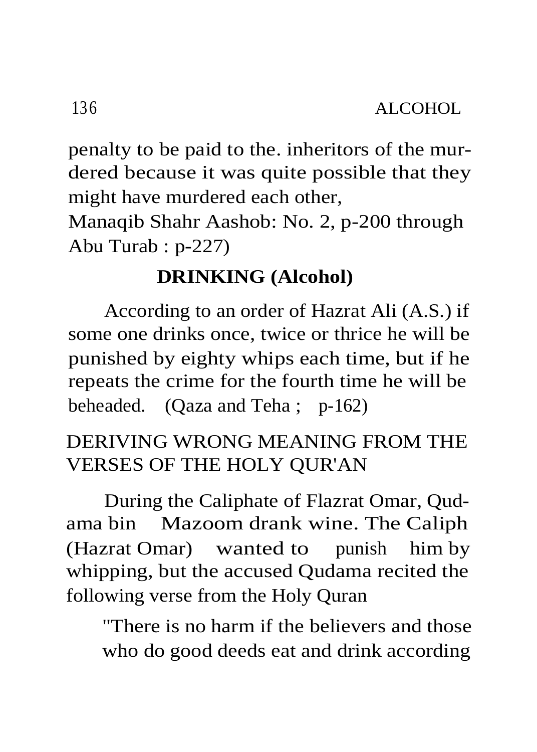penalty to be paid to the. inheritors of the murdered because it was quite possible that they might have murdered each other,

Manaqib Shahr Aashob: No. 2, p-200 through Abu Turab : p-227)

### **DRINKING (Alcohol)**

According to an order of Hazrat Ali (A.S.) if some one drinks once, twice or thrice he will be punished by eighty whips each time, but if he repeats the crime for the fourth time he will be beheaded. (Qaza and Teha ; p-162)

### DERIVING WRONG MEANING FROM THE VERSES OF THE HOLY QUR'AN

During the Caliphate of Flazrat Omar, Qudama bin Mazoom drank wine. The Caliph (Hazrat Omar) wanted to punish him by whipping, but the accused Qudama recited the following verse from the Holy Quran

"There is no harm if the believers and those who do good deeds eat and drink according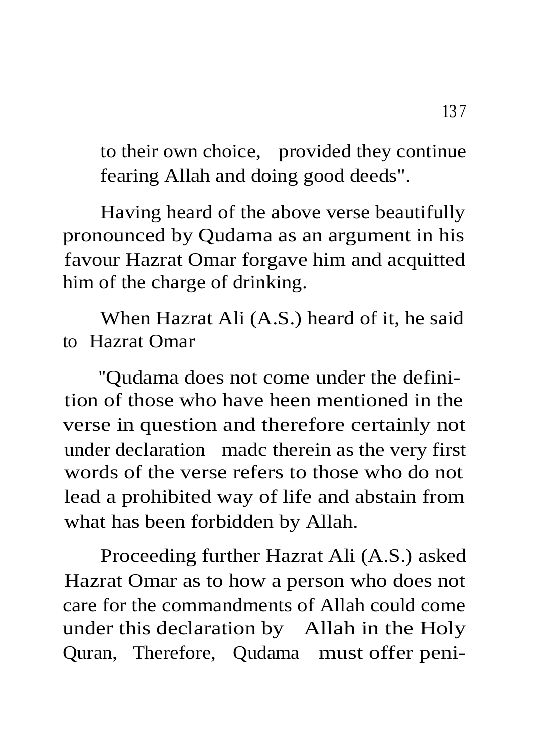to their own choice, provided they continue fearing Allah and doing good deeds".

Having heard of the above verse beautifully pronounced by Qudama as an argument in his favour Hazrat Omar forgave him and acquitted him of the charge of drinking.

When Hazrat Ali (A.S.) heard of it, he said to Hazrat Omar

"Qudama does not come under the definition of those who have heen mentioned in the verse in question and therefore certainly not under declaration madc therein as the very first words of the verse refers to those who do not lead a prohibited way of life and abstain from what has been forbidden by Allah.

Proceeding further Hazrat Ali (A.S.) asked Hazrat Omar as to how a person who does not care for the commandments of Allah could come under this declaration by Allah in the Holy Quran, Therefore, Qudama must offer peni-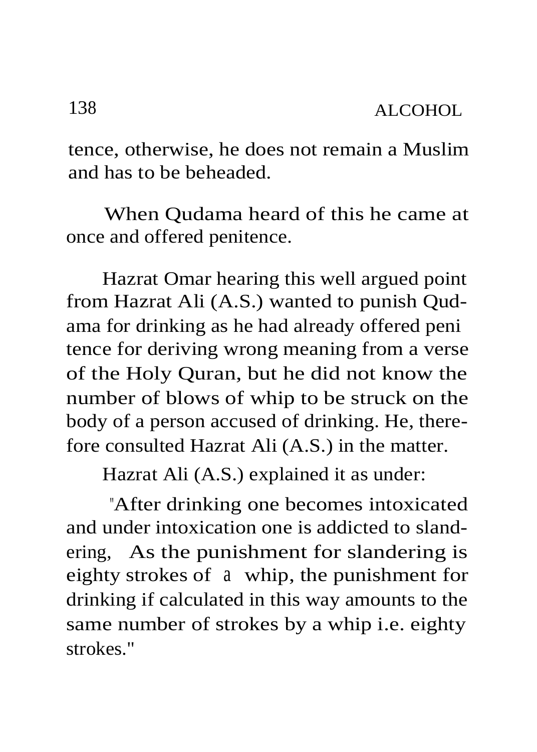tence, otherwise, he does not remain a Muslim and has to be beheaded.

When Qudama heard of this he came at once and offered penitence.

Hazrat Omar hearing this well argued point from Hazrat Ali (A.S.) wanted to punish Qudama for drinking as he had already offered peni tence for deriving wrong meaning from a verse of the Holy Quran, but he did not know the number of blows of whip to be struck on the body of a person accused of drinking. He, therefore consulted Hazrat Ali (A.S.) in the matter.

Hazrat Ali (A.S.) explained it as under:

"After drinking one becomes intoxicated and under intoxication one is addicted to slandering, As the punishment for slandering is eighty strokes of a whip, the punishment for drinking if calculated in this way amounts to the same number of strokes by a whip i.e. eighty strokes."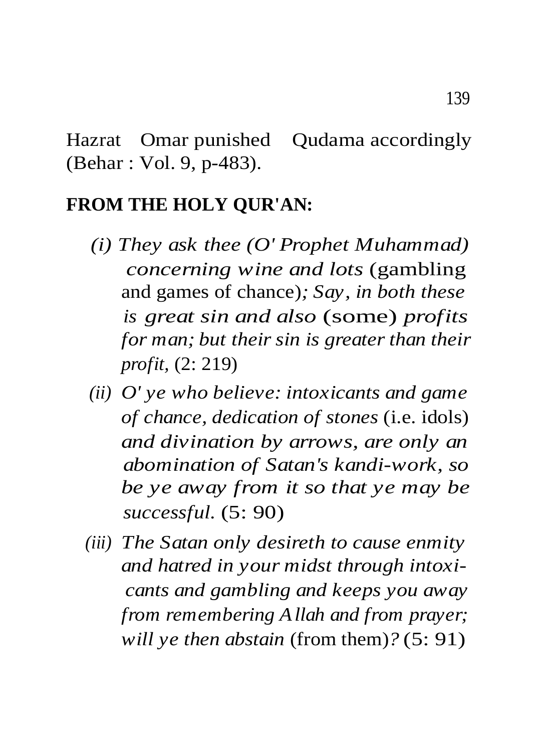Hazrat Omar punished Qudama accordingly (Behar : Vol. 9, p-483).

#### **FROM THE HOLY QUR'AN:**

- *(i) They ask thee (O' Prophet Muhammad) concerning wine and lots* (gambling and games of chance)*; Say, in both these is great sin and also* (some) *profits for man; but their sin is greater than their profit,* (2: 219)
- *(ii) O' ye who believe: intoxicants and game of chance, dedication of stones* (i.e. idols) *and divination by arrows, are only an abomination of Satan's kandi-work, so be ye away from it so that ye may be successful.* (5: 90)
- *(iii) The Satan only desireth to cause enmity and hatred in your midst through intoxicants and gambling and keeps you away from remembering Allah and from prayer; will ye then abstain* (from them)*?* (5: 91)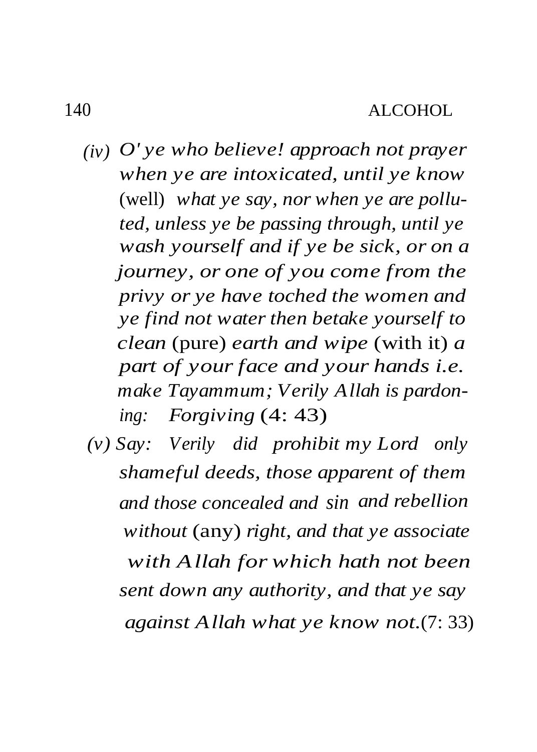- *(iv) O' ye who believe! approach not prayer when ye are intoxicated, until ye know* (well) *what ye say, nor when ye are polluted, unless ye be passing through, until ye wash yourself and if ye be sick, or on a journey, or one of you come from the privy or ye have toched the women and ye find not water then betake yourself to clean* (pure) *earth and wipe* (with it) *a part of your face and your hands i.e. make Tayammum; Verily Allah is pardoning: Forgiving* (4: 43)
	- *(v) Say: Verily did prohibit my Lord only shameful deeds, those apparent of them and those concealed and sin and rebellion without* (any) *right, and that ye associate with Allah for which hath not been sent down any authority, and that ye say against Allah what ye know not.*(7: 33)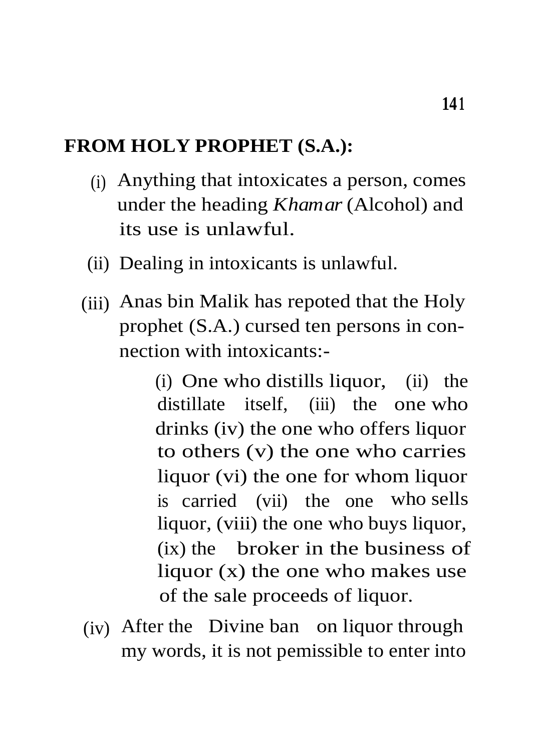#### **FROM HOLY PROPHET (S.A.):**

- (i) Anything that intoxicates a person, comes under the heading *Khamar* (Alcohol) and its use is unlawful.
- (ii) Dealing in intoxicants is unlawful.
- (iii) Anas bin Malik has repoted that the Holy prophet (S.A.) cursed ten persons in connection with intoxicants:-

(i) One who distills liquor, (ii) the distillate itself, (iii) the one who drinks (iv) the one who offers liquor to others (v) the one who carries liquor (vi) the one for whom liquor is carried (vii) the one who sells liquor, (viii) the one who buys liquor, (ix) the broker in the business of liquor (x) the one who makes use of the sale proceeds of liquor.

(iv) After the Divine ban on liquor through my words, it is not pemissible to enter into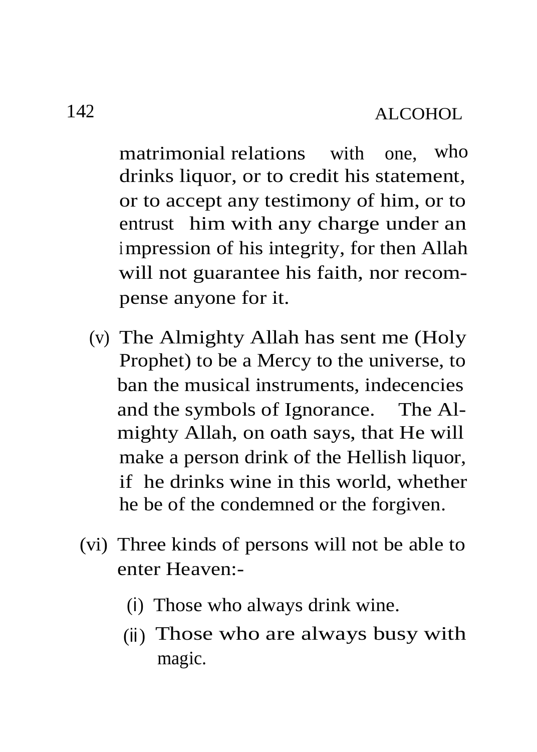matrimonial relations with one, who drinks liquor, or to credit his statement, or to accept any testimony of him, or to entrust him with any charge under an impression of his integrity, for then Allah will not guarantee his faith, nor recompense anyone for it.

- (v) The Almighty Allah has sent me (Holy Prophet) to be a Mercy to the universe, to ban the musical instruments, indecencies and the symbols of Ignorance. The Almighty Allah, on oath says, that He will make a person drink of the Hellish liquor, if he drinks wine in this world, whether he be of the condemned or the forgiven.
- (vi) Three kinds of persons will not be able to enter Heaven:-
	- (i) Those who always drink wine.
	- (ii) Those who are always busy with magic.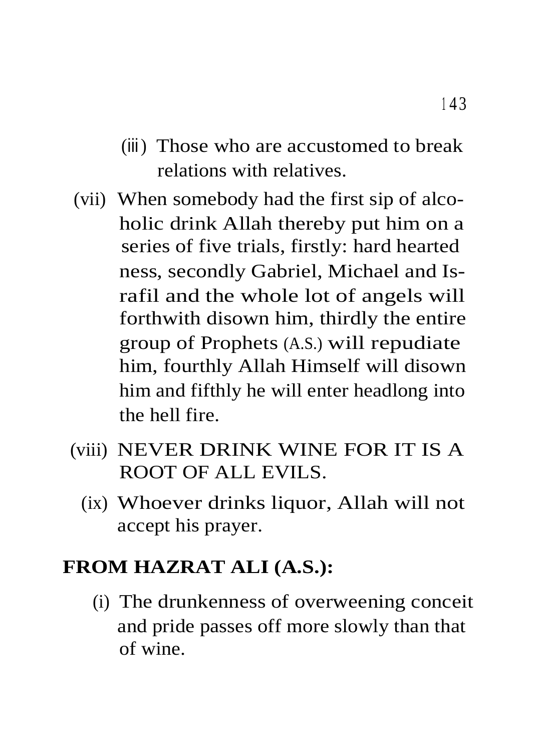- (iii) Those who are accustomed to break relations with relatives.
- (vii) When somebody had the first sip of alcoholic drink Allah thereby put him on a series of five trials, firstly: hard hearted ness, secondly Gabriel, Michael and Israfil and the whole lot of angels will forthwith disown him, thirdly the entire group of Prophets (A.S.) will repudiate him, fourthly Allah Himself will disown him and fifthly he will enter headlong into the hell fire.
- (viii) NEVER DRINK WINE FOR IT IS A ROOT OF ALL EVILS.
	- (ix) Whoever drinks liquor, Allah will not accept his prayer.

### **FROM HAZRAT ALI (A.S.):**

(i) The drunkenness of overweening conceit and pride passes off more slowly than that of wine.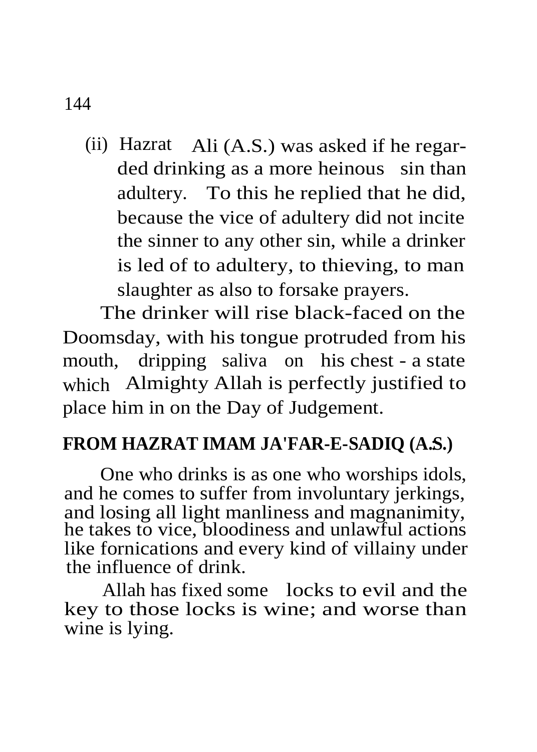(ii) Hazrat Ali (A.S.) was asked if he regarded drinking as a more heinous sin than adultery. To this he replied that he did, because the vice of adultery did not incite the sinner to any other sin, while a drinker is led of to adultery, to thieving, to man slaughter as also to forsake prayers.

The drinker will rise black-faced on the Doomsday, with his tongue protruded from his mouth, dripping saliva on his chest - a state which Almighty Allah is perfectly justified to place him in on the Day of Judgement.

### **FROM HAZRAT IMAM JA'FAR-E-SADIQ (A.S.)** :

One who drinks is as one who worships idols, and he comes to suffer from involuntary jerkings, and losing all light manliness and magnanimity, he takes to vice, bloodiness and unlawful actions like fornications and every kind of villainy under the influence of drink.

Allah has fixed some locks to evil and the key to those locks is wine; and worse than wine is lying.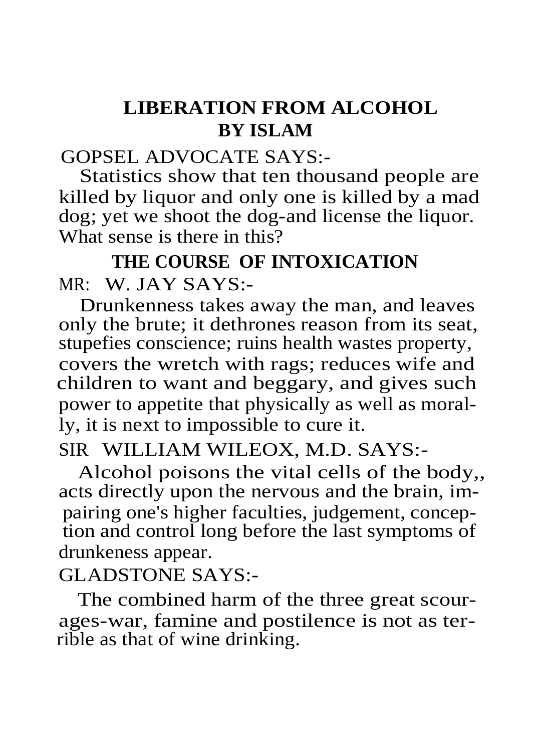# **LIBERATION FROM ALCOHOL BY ISLAM**

#### GOPSEL ADVOCATE SAYS:-

Statistics show that ten thousand people are killed by liquor and only one is killed by a mad dog; yet we shoot the dog-and license the liquor. What sense is there in this?

# **THE COURSE OF INTOXICATION** MR: W. JAY SAYS:-

Drunkenness takes away the man, and leaves only the brute; it dethrones reason from its seat, stupefies conscience; ruins health wastes property, covers the wretch with rags; reduces wife and children to want and beggary, and gives such power to appetite that physically as well as morally, it is next to impossible to cure it.

### SIR WILLIAM WILEOX, M.D. SAYS:-

Alcohol poisons the vital cells of the body,, acts directly upon the nervous and the brain, impairing one's higher faculties, judgement, conception and control long before the last symptoms of drunkeness appear.

#### GLADSTONE SAYS:-

The combined harm of the three great scourages-war, famine and postilence is not as terrible as that of wine drinking.